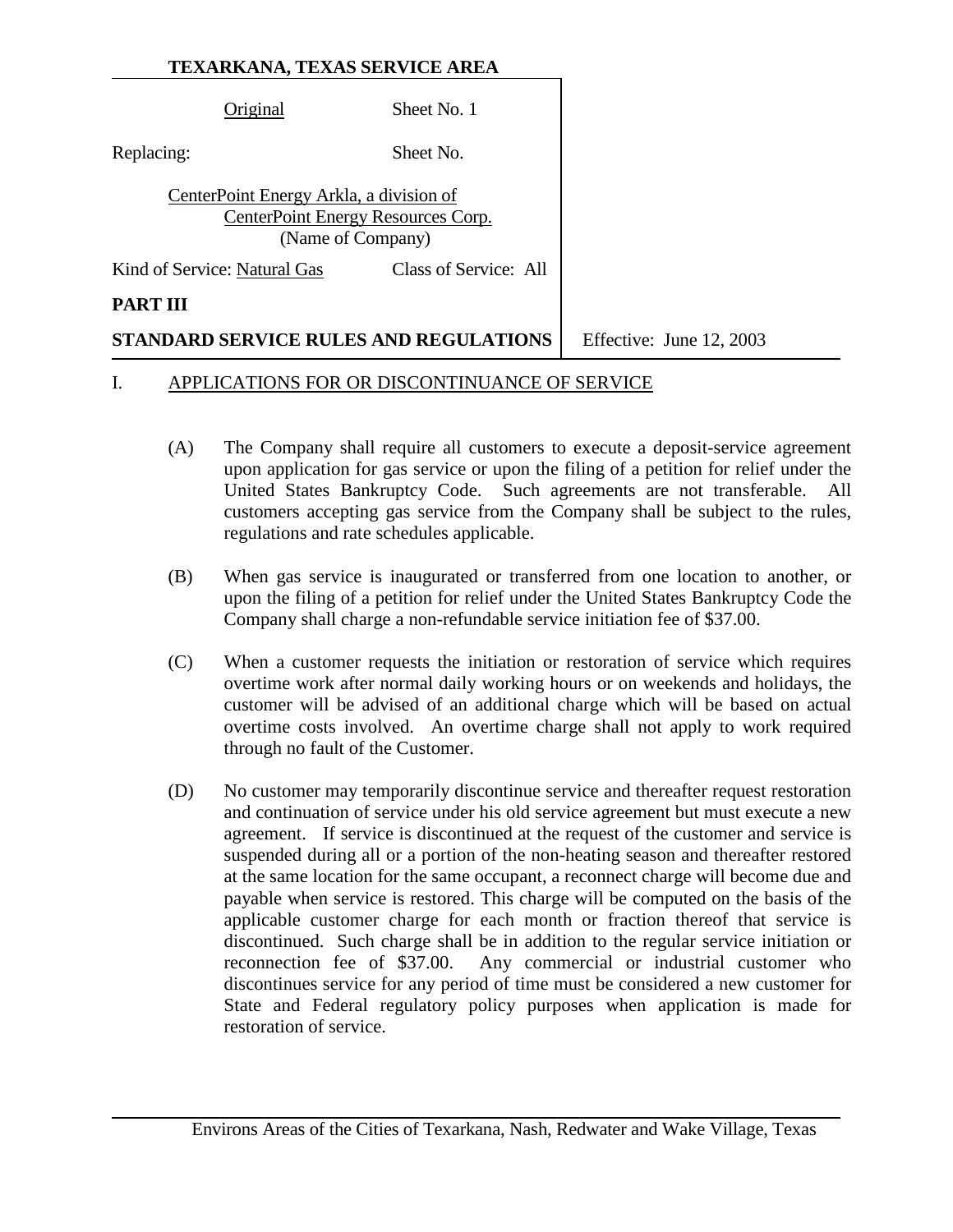|                                                                                                    | Original                     | Sheet No. 1           |                          |
|----------------------------------------------------------------------------------------------------|------------------------------|-----------------------|--------------------------|
| Replacing:                                                                                         |                              | Sheet No.             |                          |
| CenterPoint Energy Arkla, a division of<br>CenterPoint Energy Resources Corp.<br>(Name of Company) |                              |                       |                          |
|                                                                                                    | Kind of Service: Natural Gas | Class of Service: All |                          |
| PART III                                                                                           |                              |                       |                          |
| STANDARD SERVICE RULES AND REGULATIONS                                                             |                              |                       | Effective: June 12, 2003 |

### I. APPLICATIONS FOR OR DISCONTINUANCE OF SERVICE

- (A) The Company shall require all customers to execute a deposit-service agreement upon application for gas service or upon the filing of a petition for relief under the United States Bankruptcy Code. Such agreements are not transferable. All customers accepting gas service from the Company shall be subject to the rules, regulations and rate schedules applicable.
- (B) When gas service is inaugurated or transferred from one location to another, or upon the filing of a petition for relief under the United States Bankruptcy Code the Company shall charge a non-refundable service initiation fee of \$37.00.
- (C) When a customer requests the initiation or restoration of service which requires overtime work after normal daily working hours or on weekends and holidays, the customer will be advised of an additional charge which will be based on actual overtime costs involved. An overtime charge shall not apply to work required through no fault of the Customer.
- (D) No customer may temporarily discontinue service and thereafter request restoration and continuation of service under his old service agreement but must execute a new agreement. If service is discontinued at the request of the customer and service is suspended during all or a portion of the non-heating season and thereafter restored at the same location for the same occupant, a reconnect charge will become due and payable when service is restored. This charge will be computed on the basis of the applicable customer charge for each month or fraction thereof that service is discontinued. Such charge shall be in addition to the regular service initiation or reconnection fee of \$37.00. Any commercial or industrial customer who discontinues service for any period of time must be considered a new customer for State and Federal regulatory policy purposes when application is made for restoration of service.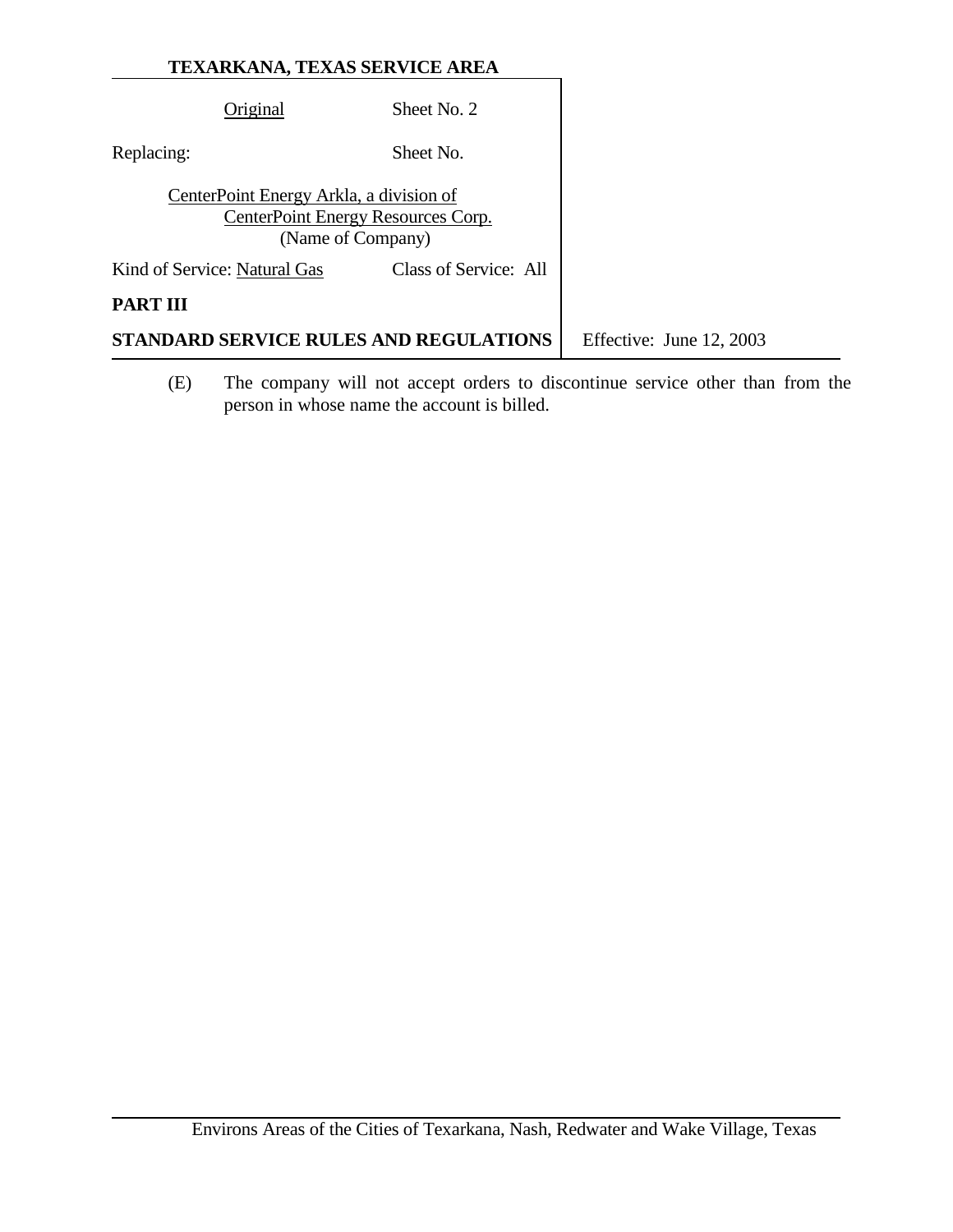|                                                                                                    | Original                     | Sheet No. 2                            |                          |
|----------------------------------------------------------------------------------------------------|------------------------------|----------------------------------------|--------------------------|
| Replacing:                                                                                         |                              | Sheet No.                              |                          |
| CenterPoint Energy Arkla, a division of<br>CenterPoint Energy Resources Corp.<br>(Name of Company) |                              |                                        |                          |
|                                                                                                    | Kind of Service: Natural Gas | Class of Service: All                  |                          |
| PART III                                                                                           |                              |                                        |                          |
|                                                                                                    |                              | STANDARD SERVICE RULES AND REGULATIONS | Effective: June 12, 2003 |

(E) The company will not accept orders to discontinue service other than from the person in whose name the account is billed.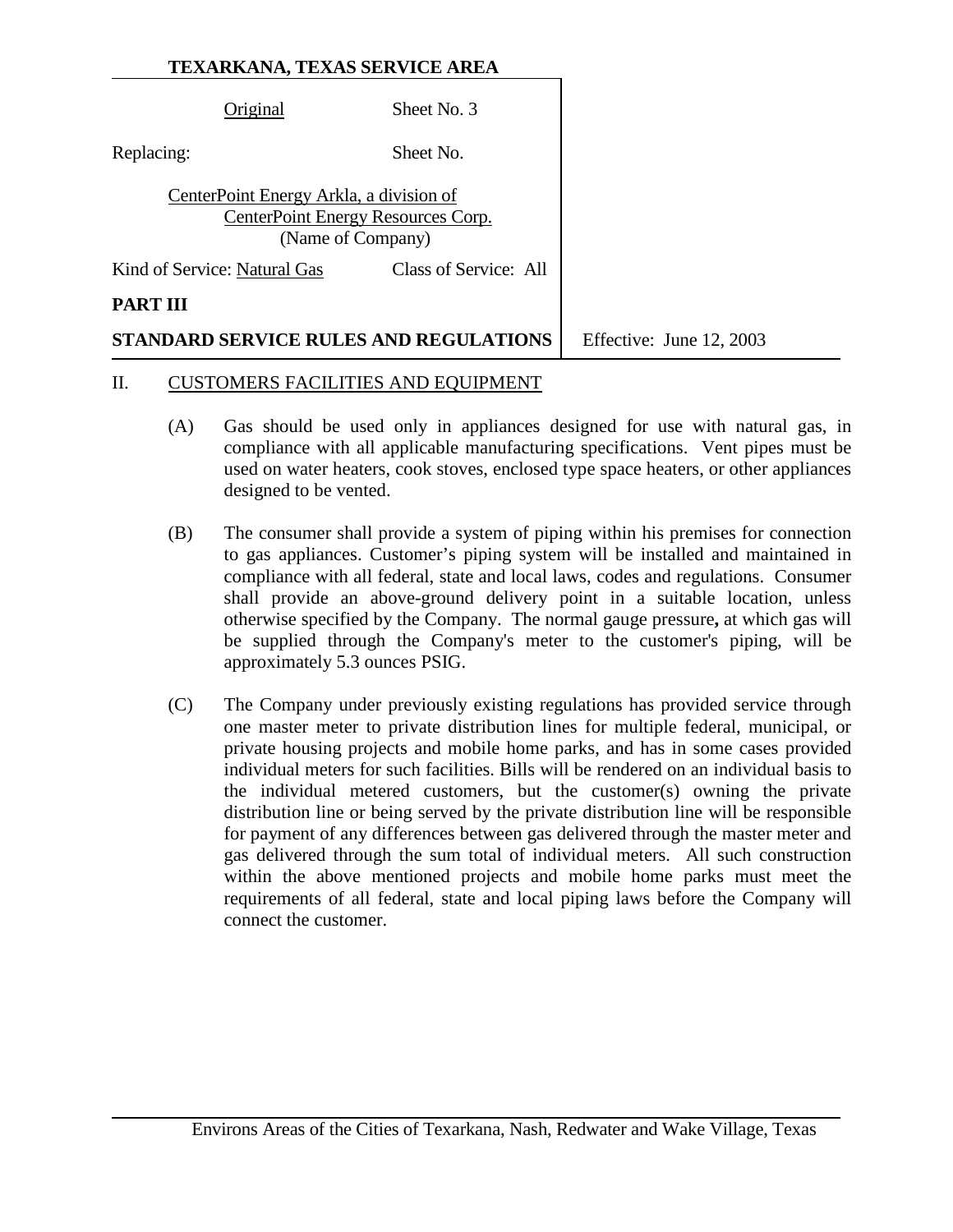|                                                                                                    | Original                     | Sheet No. 3              |  |
|----------------------------------------------------------------------------------------------------|------------------------------|--------------------------|--|
| Replacing:                                                                                         |                              | Sheet No.                |  |
| CenterPoint Energy Arkla, a division of<br>CenterPoint Energy Resources Corp.<br>(Name of Company) |                              |                          |  |
|                                                                                                    | Kind of Service: Natural Gas | Class of Service: All    |  |
| PART III                                                                                           |                              |                          |  |
| STANDARD SERVICE RULES AND REGULATIONS                                                             |                              | Effective: June 12, 2003 |  |

#### II. CUSTOMERS FACILITIES AND EQUIPMENT

- (A) Gas should be used only in appliances designed for use with natural gas, in compliance with all applicable manufacturing specifications. Vent pipes must be used on water heaters, cook stoves, enclosed type space heaters, or other appliances designed to be vented.
- (B) The consumer shall provide a system of piping within his premises for connection to gas appliances. Customer's piping system will be installed and maintained in compliance with all federal, state and local laws, codes and regulations. Consumer shall provide an above-ground delivery point in a suitable location, unless otherwise specified by the Company. The normal gauge pressure**,** at which gas will be supplied through the Company's meter to the customer's piping, will be approximately 5.3 ounces PSIG.
- (C) The Company under previously existing regulations has provided service through one master meter to private distribution lines for multiple federal, municipal, or private housing projects and mobile home parks, and has in some cases provided individual meters for such facilities. Bills will be rendered on an individual basis to the individual metered customers, but the customer(s) owning the private distribution line or being served by the private distribution line will be responsible for payment of any differences between gas delivered through the master meter and gas delivered through the sum total of individual meters. All such construction within the above mentioned projects and mobile home parks must meet the requirements of all federal, state and local piping laws before the Company will connect the customer.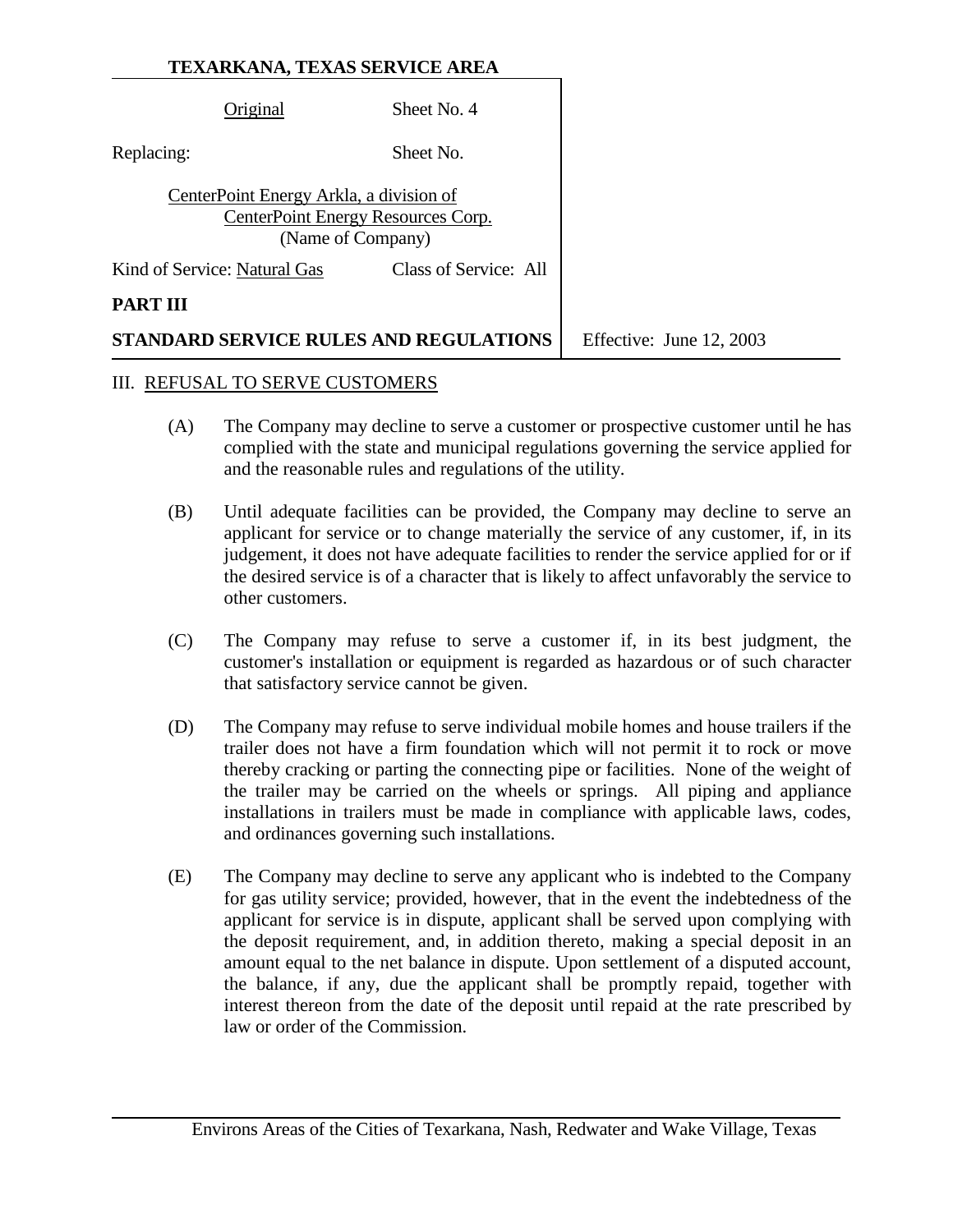|                                                                                                    | Original                     | Sheet No. 4              |  |
|----------------------------------------------------------------------------------------------------|------------------------------|--------------------------|--|
| Replacing:                                                                                         |                              | Sheet No.                |  |
| CenterPoint Energy Arkla, a division of<br>CenterPoint Energy Resources Corp.<br>(Name of Company) |                              |                          |  |
|                                                                                                    | Kind of Service: Natural Gas | Class of Service: All    |  |
| PART III                                                                                           |                              |                          |  |
| STANDARD SERVICE RULES AND REGULATIONS                                                             |                              | Effective: June 12, 2003 |  |

#### III. REFUSAL TO SERVE CUSTOMERS

- (A) The Company may decline to serve a customer or prospective customer until he has complied with the state and municipal regulations governing the service applied for and the reasonable rules and regulations of the utility.
- (B) Until adequate facilities can be provided, the Company may decline to serve an applicant for service or to change materially the service of any customer, if, in its judgement, it does not have adequate facilities to render the service applied for or if the desired service is of a character that is likely to affect unfavorably the service to other customers.
- (C) The Company may refuse to serve a customer if, in its best judgment, the customer's installation or equipment is regarded as hazardous or of such character that satisfactory service cannot be given.
- (D) The Company may refuse to serve individual mobile homes and house trailers if the trailer does not have a firm foundation which will not permit it to rock or move thereby cracking or parting the connecting pipe or facilities. None of the weight of the trailer may be carried on the wheels or springs. All piping and appliance installations in trailers must be made in compliance with applicable laws, codes, and ordinances governing such installations.
- (E) The Company may decline to serve any applicant who is indebted to the Company for gas utility service; provided, however, that in the event the indebtedness of the applicant for service is in dispute, applicant shall be served upon complying with the deposit requirement, and, in addition thereto, making a special deposit in an amount equal to the net balance in dispute. Upon settlement of a disputed account, the balance, if any, due the applicant shall be promptly repaid, together with interest thereon from the date of the deposit until repaid at the rate prescribed by law or order of the Commission.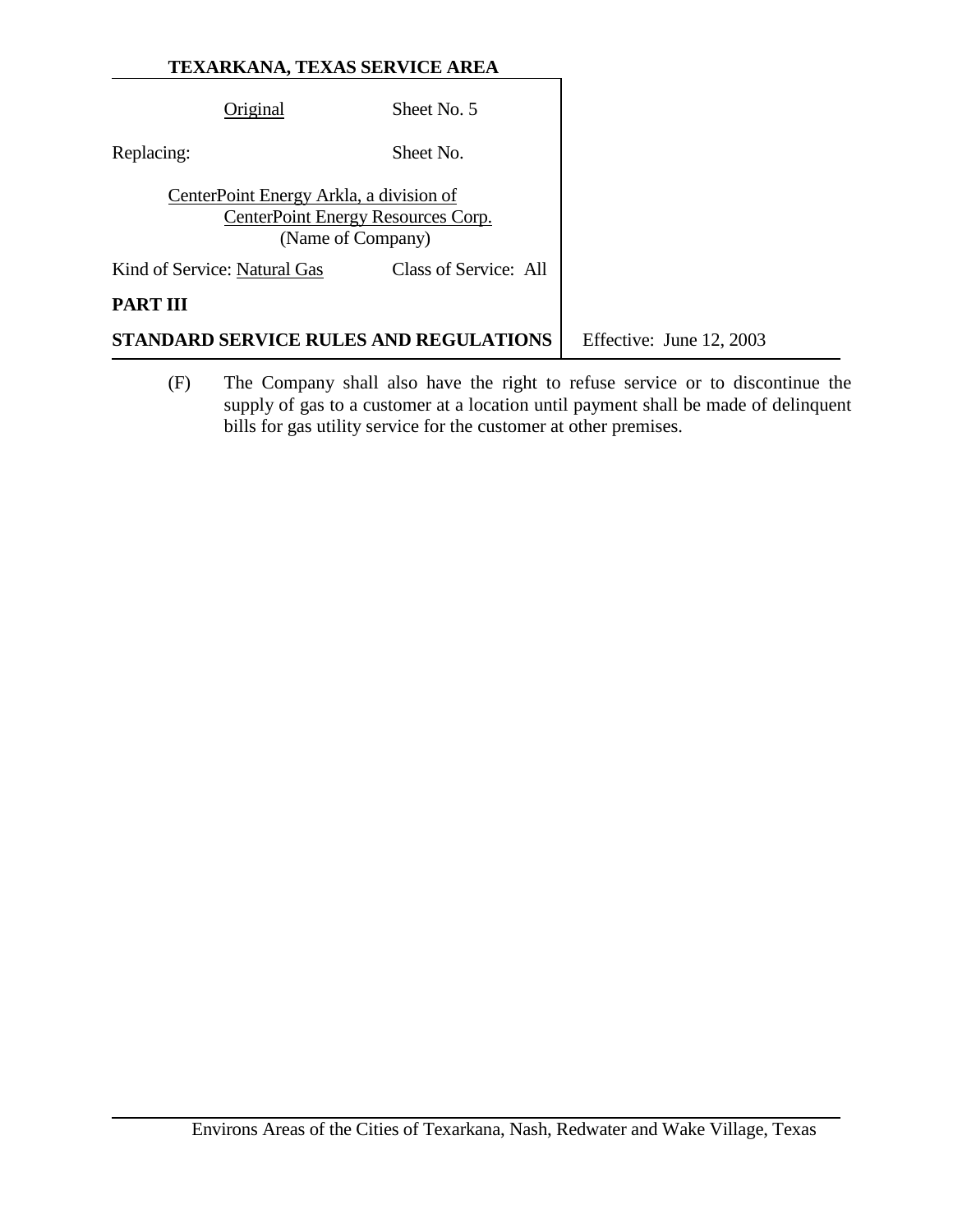|                                                                                                    | Original                     | Sheet No. 5           |                          |
|----------------------------------------------------------------------------------------------------|------------------------------|-----------------------|--------------------------|
| Replacing:                                                                                         |                              | Sheet No.             |                          |
| CenterPoint Energy Arkla, a division of<br>CenterPoint Energy Resources Corp.<br>(Name of Company) |                              |                       |                          |
|                                                                                                    | Kind of Service: Natural Gas | Class of Service: All |                          |
| PART III                                                                                           |                              |                       |                          |
| STANDARD SERVICE RULES AND REGULATIONS                                                             |                              |                       | Effective: June 12, 2003 |

(F) The Company shall also have the right to refuse service or to discontinue the supply of gas to a customer at a location until payment shall be made of delinquent bills for gas utility service for the customer at other premises.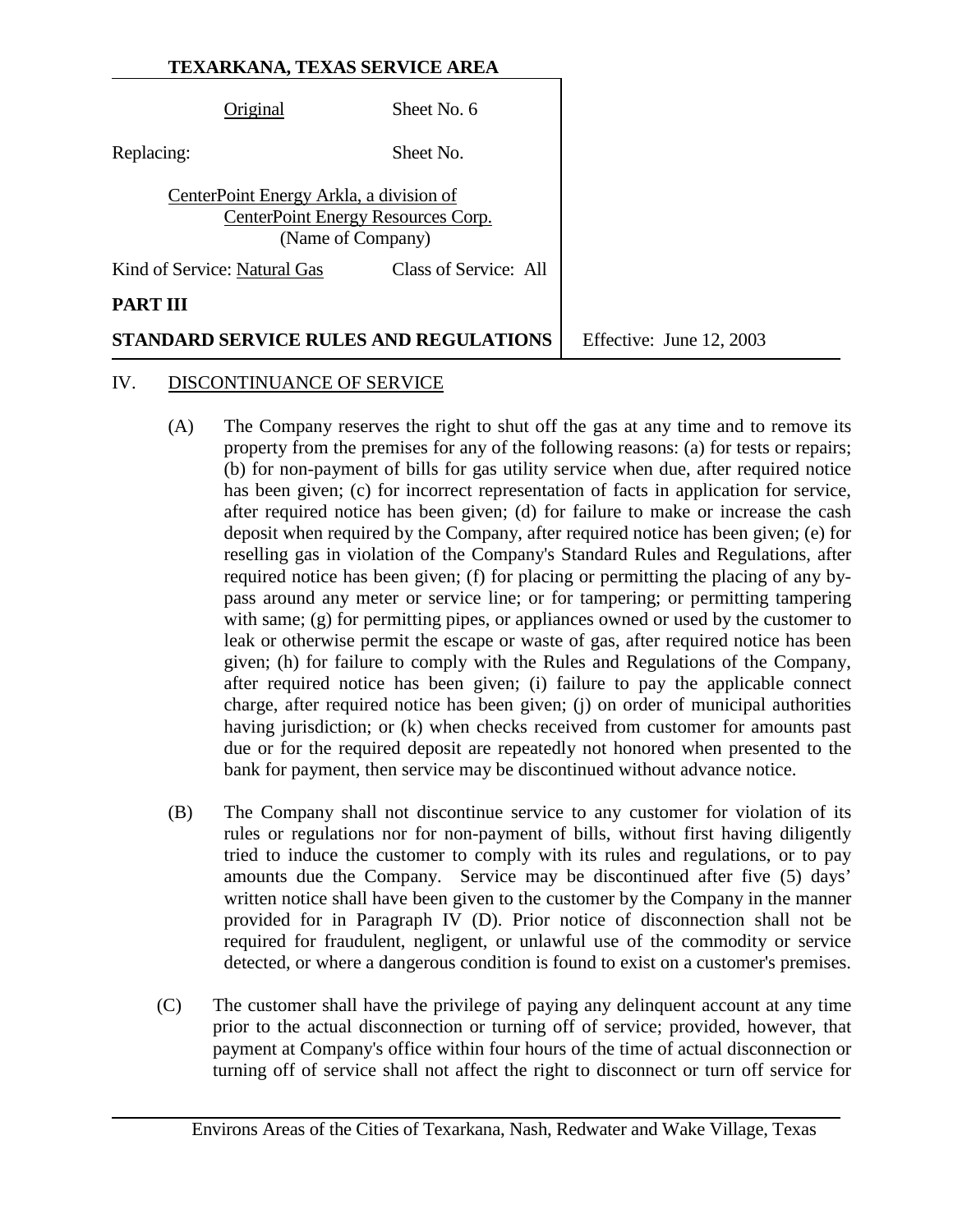|                                                                                                    | Original | Sheet No. 6                            |                          |
|----------------------------------------------------------------------------------------------------|----------|----------------------------------------|--------------------------|
| Replacing:                                                                                         |          | Sheet No.                              |                          |
| CenterPoint Energy Arkla, a division of<br>CenterPoint Energy Resources Corp.<br>(Name of Company) |          |                                        |                          |
| Kind of Service: Natural Gas                                                                       |          | Class of Service: All                  |                          |
| PART III                                                                                           |          |                                        |                          |
|                                                                                                    |          | STANDARD SERVICE RULES AND REGULATIONS | Effective: June 12, 2003 |

#### IV. DISCONTINUANCE OF SERVICE

- (A) The Company reserves the right to shut off the gas at any time and to remove its property from the premises for any of the following reasons: (a) for tests or repairs; (b) for non-payment of bills for gas utility service when due, after required notice has been given; (c) for incorrect representation of facts in application for service, after required notice has been given; (d) for failure to make or increase the cash deposit when required by the Company, after required notice has been given; (e) for reselling gas in violation of the Company's Standard Rules and Regulations, after required notice has been given; (f) for placing or permitting the placing of any bypass around any meter or service line; or for tampering; or permitting tampering with same; (g) for permitting pipes, or appliances owned or used by the customer to leak or otherwise permit the escape or waste of gas, after required notice has been given; (h) for failure to comply with the Rules and Regulations of the Company, after required notice has been given; (i) failure to pay the applicable connect charge, after required notice has been given; (j) on order of municipal authorities having jurisdiction; or (k) when checks received from customer for amounts past due or for the required deposit are repeatedly not honored when presented to the bank for payment, then service may be discontinued without advance notice.
- (B) The Company shall not discontinue service to any customer for violation of its rules or regulations nor for non-payment of bills, without first having diligently tried to induce the customer to comply with its rules and regulations, or to pay amounts due the Company. Service may be discontinued after five (5) days' written notice shall have been given to the customer by the Company in the manner provided for in Paragraph IV (D). Prior notice of disconnection shall not be required for fraudulent, negligent, or unlawful use of the commodity or service detected, or where a dangerous condition is found to exist on a customer's premises.
- (C) The customer shall have the privilege of paying any delinquent account at any time prior to the actual disconnection or turning off of service; provided, however, that payment at Company's office within four hours of the time of actual disconnection or turning off of service shall not affect the right to disconnect or turn off service for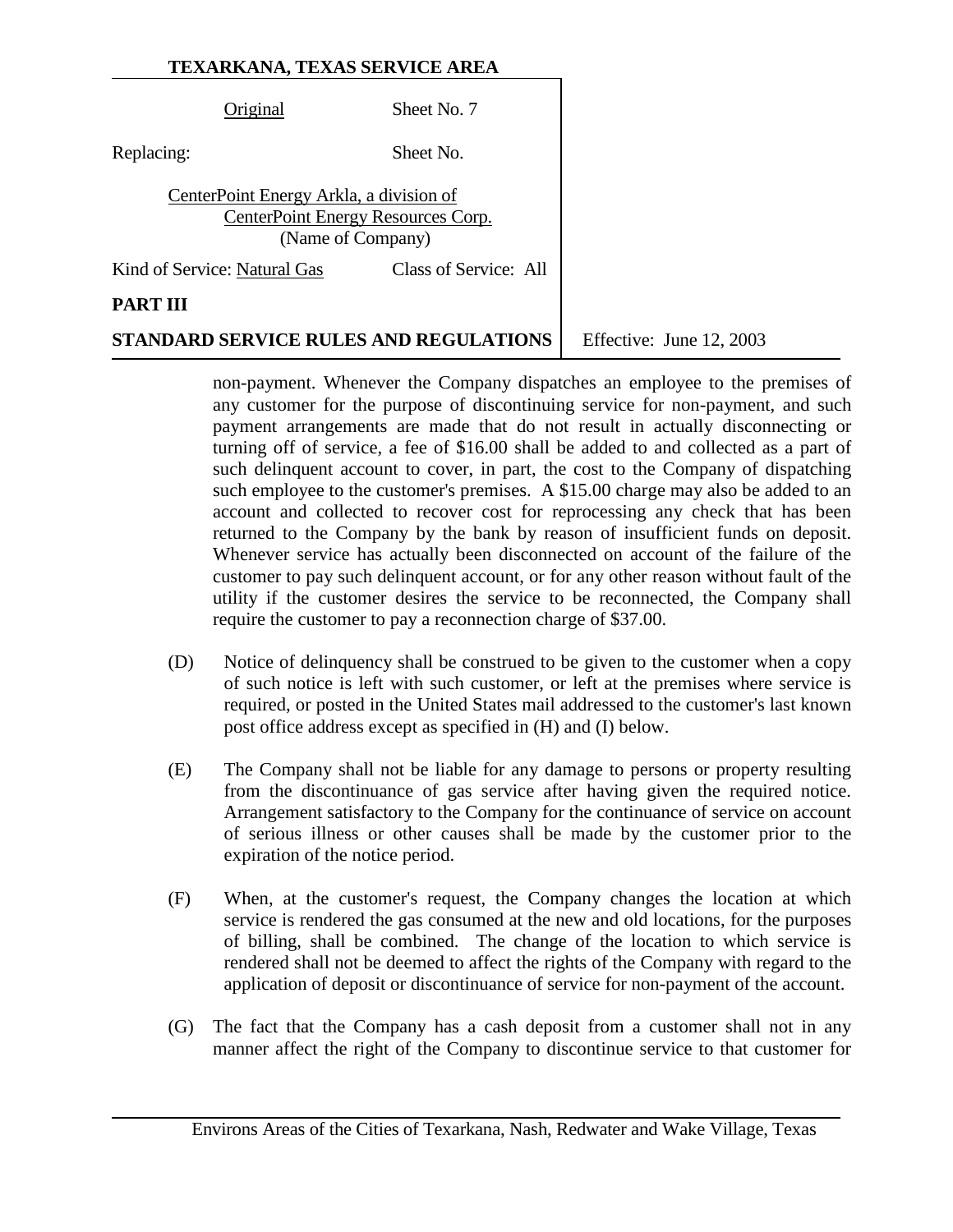Original Sheet No. 7

Replacing: Sheet No.

CenterPoint Energy Arkla, a division of CenterPoint Energy Resources Corp. (Name of Company)

Kind of Service: Natural Gas Class of Service: All

### **PART III**

# **STANDARD SERVICE RULES AND REGULATIONS** Effective: June 12, 2003

non-payment. Whenever the Company dispatches an employee to the premises of any customer for the purpose of discontinuing service for non-payment, and such payment arrangements are made that do not result in actually disconnecting or turning off of service, a fee of \$16.00 shall be added to and collected as a part of such delinquent account to cover, in part, the cost to the Company of dispatching such employee to the customer's premises. A \$15.00 charge may also be added to an account and collected to recover cost for reprocessing any check that has been returned to the Company by the bank by reason of insufficient funds on deposit. Whenever service has actually been disconnected on account of the failure of the customer to pay such delinquent account, or for any other reason without fault of the utility if the customer desires the service to be reconnected, the Company shall require the customer to pay a reconnection charge of \$37.00.

- (D) Notice of delinquency shall be construed to be given to the customer when a copy of such notice is left with such customer, or left at the premises where service is required, or posted in the United States mail addressed to the customer's last known post office address except as specified in (H) and (I) below.
- (E) The Company shall not be liable for any damage to persons or property resulting from the discontinuance of gas service after having given the required notice. Arrangement satisfactory to the Company for the continuance of service on account of serious illness or other causes shall be made by the customer prior to the expiration of the notice period.
- (F) When, at the customer's request, the Company changes the location at which service is rendered the gas consumed at the new and old locations, for the purposes of billing, shall be combined. The change of the location to which service is rendered shall not be deemed to affect the rights of the Company with regard to the application of deposit or discontinuance of service for non-payment of the account.
- (G) The fact that the Company has a cash deposit from a customer shall not in any manner affect the right of the Company to discontinue service to that customer for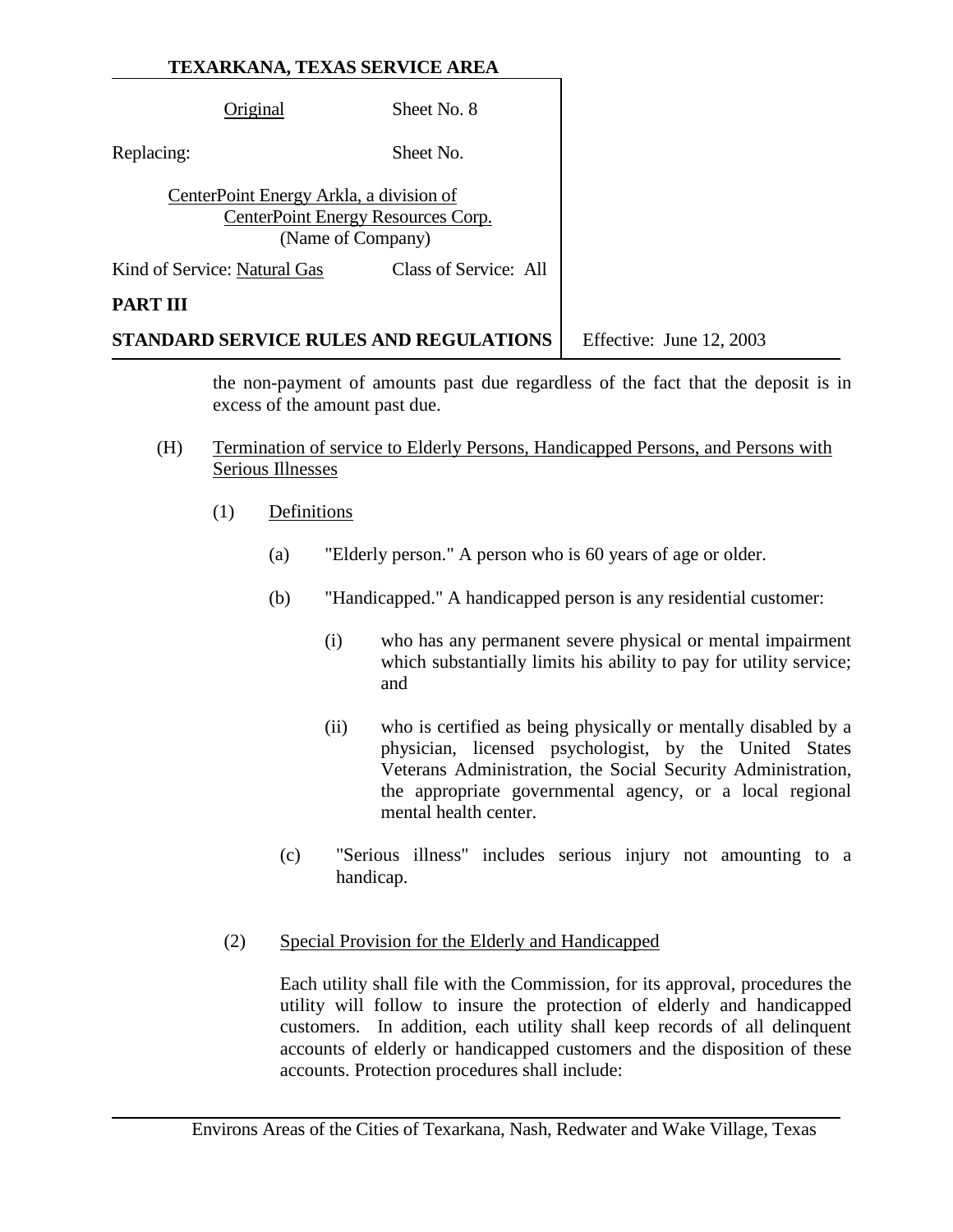|                                                                                                    | Original                     | Sheet No. 8           |                          |
|----------------------------------------------------------------------------------------------------|------------------------------|-----------------------|--------------------------|
| Replacing:                                                                                         |                              | Sheet No.             |                          |
| CenterPoint Energy Arkla, a division of<br>CenterPoint Energy Resources Corp.<br>(Name of Company) |                              |                       |                          |
|                                                                                                    | Kind of Service: Natural Gas | Class of Service: All |                          |
| <b>PART III</b>                                                                                    |                              |                       |                          |
| STANDARD SERVICE RULES AND REGULATIONS                                                             |                              |                       | Effective: June 12, 2003 |

the non-payment of amounts past due regardless of the fact that the deposit is in excess of the amount past due.

- (H) Termination of service to Elderly Persons, Handicapped Persons, and Persons with Serious Illnesses
	- (1) Definitions
		- (a) "Elderly person." A person who is 60 years of age or older.
		- (b) "Handicapped." A handicapped person is any residential customer:
			- (i) who has any permanent severe physical or mental impairment which substantially limits his ability to pay for utility service; and
			- (ii) who is certified as being physically or mentally disabled by a physician, licensed psychologist, by the United States Veterans Administration, the Social Security Administration, the appropriate governmental agency, or a local regional mental health center.
			- (c) "Serious illness" includes serious injury not amounting to a handicap.

# (2) Special Provision for the Elderly and Handicapped

Each utility shall file with the Commission, for its approval, procedures the utility will follow to insure the protection of elderly and handicapped customers. In addition, each utility shall keep records of all delinquent accounts of elderly or handicapped customers and the disposition of these accounts. Protection procedures shall include: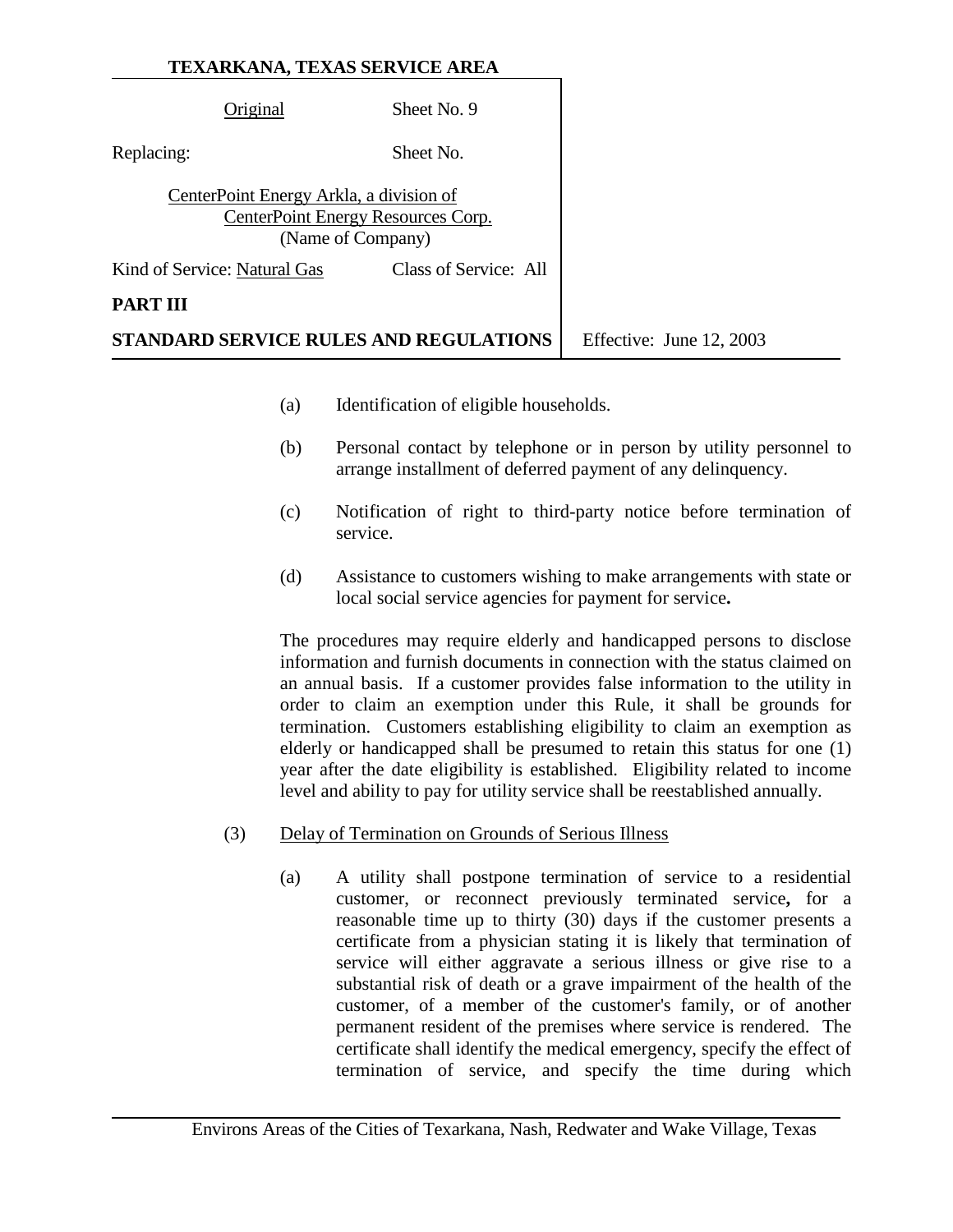| Original                                                                                           | Sheet No. 9           |                          |
|----------------------------------------------------------------------------------------------------|-----------------------|--------------------------|
| Replacing:                                                                                         | Sheet No.             |                          |
| CenterPoint Energy Arkla, a division of<br>CenterPoint Energy Resources Corp.<br>(Name of Company) |                       |                          |
| Kind of Service: Natural Gas                                                                       | Class of Service: All |                          |
| PART III                                                                                           |                       |                          |
| STANDARD SERVICE RULES AND REGULATIONS                                                             |                       | Effective: June 12, 2003 |

- (a) Identification of eligible households.
- (b) Personal contact by telephone or in person by utility personnel to arrange installment of deferred payment of any delinquency.
- (c) Notification of right to third-party notice before termination of service.
- (d) Assistance to customers wishing to make arrangements with state or local social service agencies for payment for service**.**

The procedures may require elderly and handicapped persons to disclose information and furnish documents in connection with the status claimed on an annual basis. If a customer provides false information to the utility in order to claim an exemption under this Rule, it shall be grounds for termination. Customers establishing eligibility to claim an exemption as elderly or handicapped shall be presumed to retain this status for one (1) year after the date eligibility is established. Eligibility related to income level and ability to pay for utility service shall be reestablished annually.

- (3) Delay of Termination on Grounds of Serious Illness
	- (a) A utility shall postpone termination of service to a residential customer, or reconnect previously terminated service**,** for a reasonable time up to thirty (30) days if the customer presents a certificate from a physician stating it is likely that termination of service will either aggravate a serious illness or give rise to a substantial risk of death or a grave impairment of the health of the customer, of a member of the customer's family, or of another permanent resident of the premises where service is rendered. The certificate shall identify the medical emergency, specify the effect of termination of service, and specify the time during which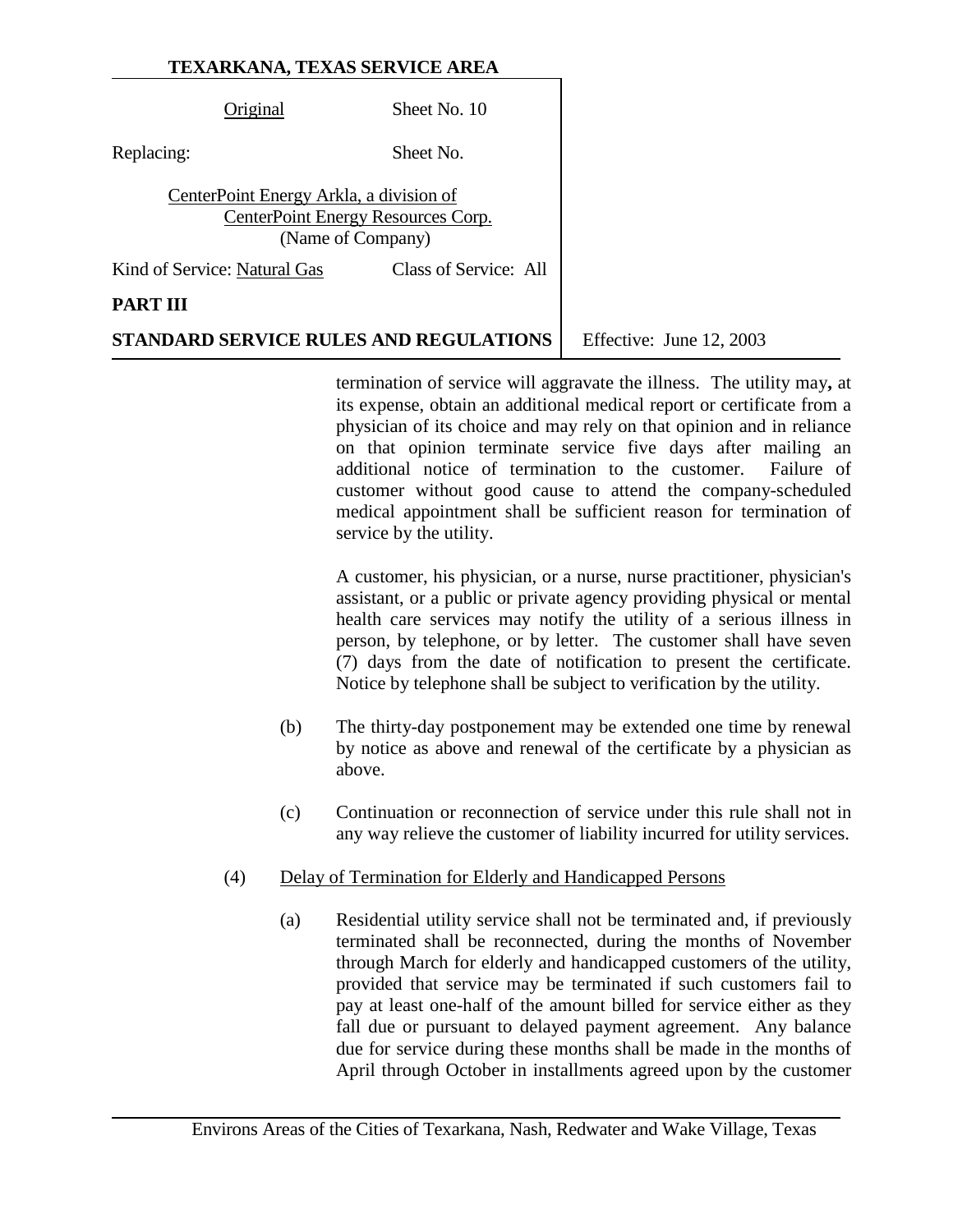| Original                                                                                           | Sheet No. 10          |  |  |
|----------------------------------------------------------------------------------------------------|-----------------------|--|--|
| Replacing:                                                                                         | Sheet No.             |  |  |
| CenterPoint Energy Arkla, a division of<br>CenterPoint Energy Resources Corp.<br>(Name of Company) |                       |  |  |
| Kind of Service: Natural Gas                                                                       | Class of Service: All |  |  |
| <b>PART</b>                                                                                        |                       |  |  |

**STANDARD SERVICE RULES AND REGULATIONS** Feffective: June 12, 2003

termination of service will aggravate the illness. The utility may**,** at its expense, obtain an additional medical report or certificate from a physician of its choice and may rely on that opinion and in reliance on that opinion terminate service five days after mailing an additional notice of termination to the customer. Failure of customer without good cause to attend the company-scheduled medical appointment shall be sufficient reason for termination of service by the utility.

A customer, his physician, or a nurse, nurse practitioner, physician's assistant, or a public or private agency providing physical or mental health care services may notify the utility of a serious illness in person, by telephone, or by letter. The customer shall have seven (7) days from the date of notification to present the certificate. Notice by telephone shall be subject to verification by the utility.

- (b) The thirty-day postponement may be extended one time by renewal by notice as above and renewal of the certificate by a physician as above.
- (c) Continuation or reconnection of service under this rule shall not in any way relieve the customer of liability incurred for utility services.

### (4) Delay of Termination for Elderly and Handicapped Persons

(a) Residential utility service shall not be terminated and, if previously terminated shall be reconnected, during the months of November through March for elderly and handicapped customers of the utility, provided that service may be terminated if such customers fail to pay at least one-half of the amount billed for service either as they fall due or pursuant to delayed payment agreement. Any balance due for service during these months shall be made in the months of April through October in installments agreed upon by the customer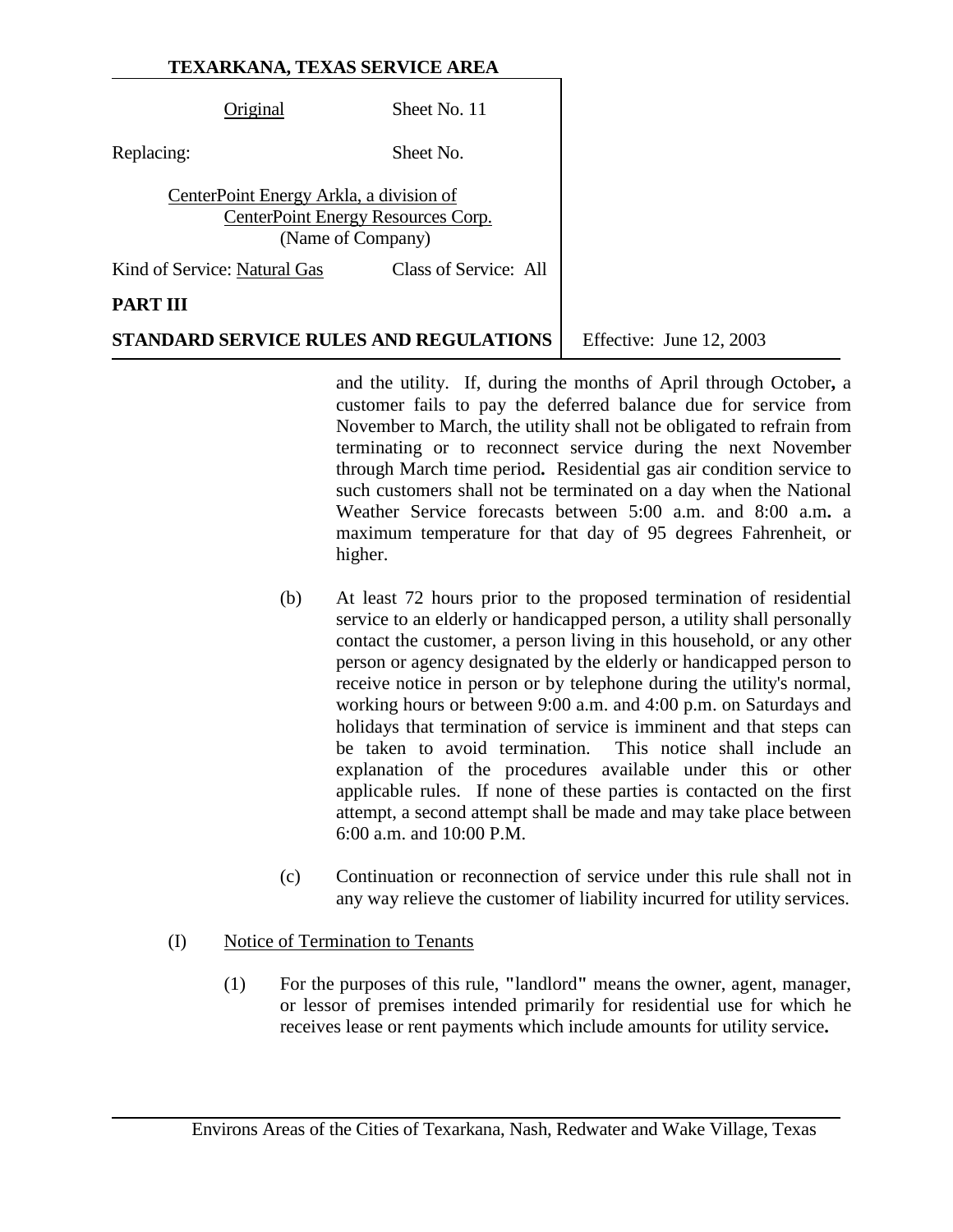| Original                                                                                           | Sheet No. 11          |  |  |
|----------------------------------------------------------------------------------------------------|-----------------------|--|--|
| Replacing:                                                                                         | Sheet No.             |  |  |
| CenterPoint Energy Arkla, a division of<br>CenterPoint Energy Resources Corp.<br>(Name of Company) |                       |  |  |
| Kind of Service: Natural Gas                                                                       | Class of Service: All |  |  |
| PAR'                                                                                               |                       |  |  |

**STANDARD SERVICE RULES AND REGULATIONS** Fffective: June 12, 2003

and the utility. If, during the months of April through October**,** a customer fails to pay the deferred balance due for service from November to March, the utility shall not be obligated to refrain from terminating or to reconnect service during the next November through March time period**.** Residential gas air condition service to such customers shall not be terminated on a day when the National Weather Service forecasts between 5:00 a.m. and 8:00 a.m**.** a maximum temperature for that day of 95 degrees Fahrenheit, or higher.

- (b) At least 72 hours prior to the proposed termination of residential service to an elderly or handicapped person, a utility shall personally contact the customer, a person living in this household, or any other person or agency designated by the elderly or handicapped person to receive notice in person or by telephone during the utility's normal, working hours or between 9:00 a.m. and 4:00 p.m. on Saturdays and holidays that termination of service is imminent and that steps can be taken to avoid termination. This notice shall include an explanation of the procedures available under this or other applicable rules. If none of these parties is contacted on the first attempt, a second attempt shall be made and may take place between 6:00 a.m. and 10:00 P.M.
- (c) Continuation or reconnection of service under this rule shall not in any way relieve the customer of liability incurred for utility services.

### (I) Notice of Termination to Tenants

(1) For the purposes of this rule, **"**landlord**"** means the owner, agent, manager, or lessor of premises intended primarily for residential use for which he receives lease or rent payments which include amounts for utility service**.**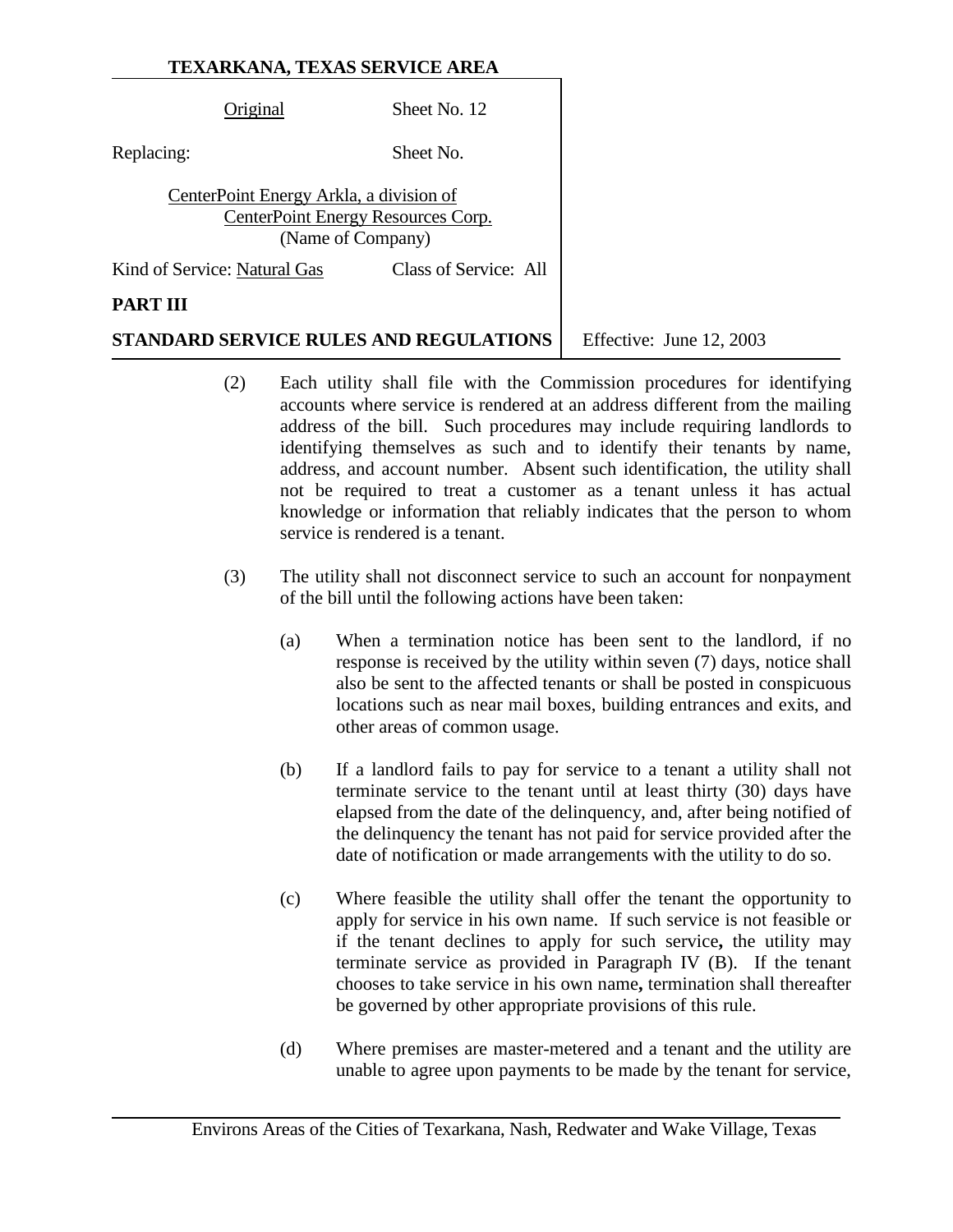Original Sheet No. 12 Replacing: Sheet No. CenterPoint Energy Arkla, a division of CenterPoint Energy Resources Corp. (Name of Company) Kind of Service: Natural Gas Class of Service: All

#### **PART III**

### **STANDARD SERVICE RULES AND REGULATIONS** Effective: June 12, 2003

- (2) Each utility shall file with the Commission procedures for identifying accounts where service is rendered at an address different from the mailing address of the bill. Such procedures may include requiring landlords to identifying themselves as such and to identify their tenants by name, address, and account number. Absent such identification, the utility shall not be required to treat a customer as a tenant unless it has actual knowledge or information that reliably indicates that the person to whom service is rendered is a tenant.
- (3) The utility shall not disconnect service to such an account for nonpayment of the bill until the following actions have been taken:
	- (a) When a termination notice has been sent to the landlord, if no response is received by the utility within seven (7) days, notice shall also be sent to the affected tenants or shall be posted in conspicuous locations such as near mail boxes, building entrances and exits, and other areas of common usage.
	- (b) If a landlord fails to pay for service to a tenant a utility shall not terminate service to the tenant until at least thirty (30) days have elapsed from the date of the delinquency, and, after being notified of the delinquency the tenant has not paid for service provided after the date of notification or made arrangements with the utility to do so.
	- (c) Where feasible the utility shall offer the tenant the opportunity to apply for service in his own name. If such service is not feasible or if the tenant declines to apply for such service**,** the utility may terminate service as provided in Paragraph IV (B). If the tenant chooses to take service in his own name**,** termination shall thereafter be governed by other appropriate provisions of this rule.
	- (d) Where premises are master-metered and a tenant and the utility are unable to agree upon payments to be made by the tenant for service,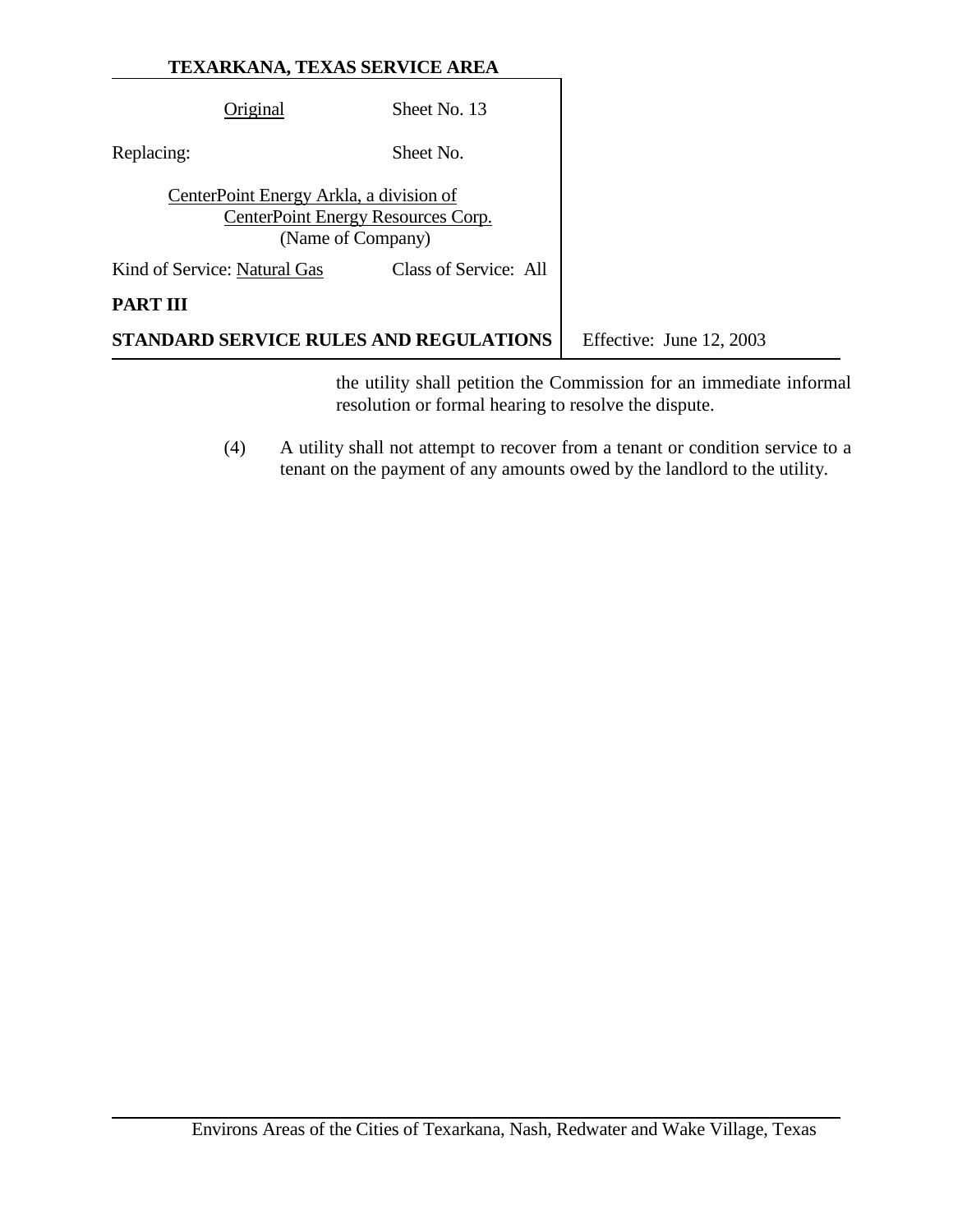| TEXARKANA, TEXAS SERVICE AREA                                |                                    |                                                                   |
|--------------------------------------------------------------|------------------------------------|-------------------------------------------------------------------|
| Original                                                     | Sheet No. 13                       |                                                                   |
| Replacing:                                                   | Sheet No.                          |                                                                   |
| CenterPoint Energy Arkla, a division of<br>(Name of Company) | CenterPoint Energy Resources Corp. |                                                                   |
| Kind of Service: Natural Gas                                 | Class of Service: All              |                                                                   |
| <b>PART III</b>                                              |                                    |                                                                   |
| <b>STANDARD SERVICE RULES AND REGULATIONS</b>                |                                    | Effective: June 12, 2003                                          |
|                                                              |                                    | the utility shell petition the Commission for an immediate inform |

the utility shall petition the Commission for an immediate informal resolution or formal hearing to resolve the dispute.

(4) A utility shall not attempt to recover from a tenant or condition service to a tenant on the payment of any amounts owed by the landlord to the utility.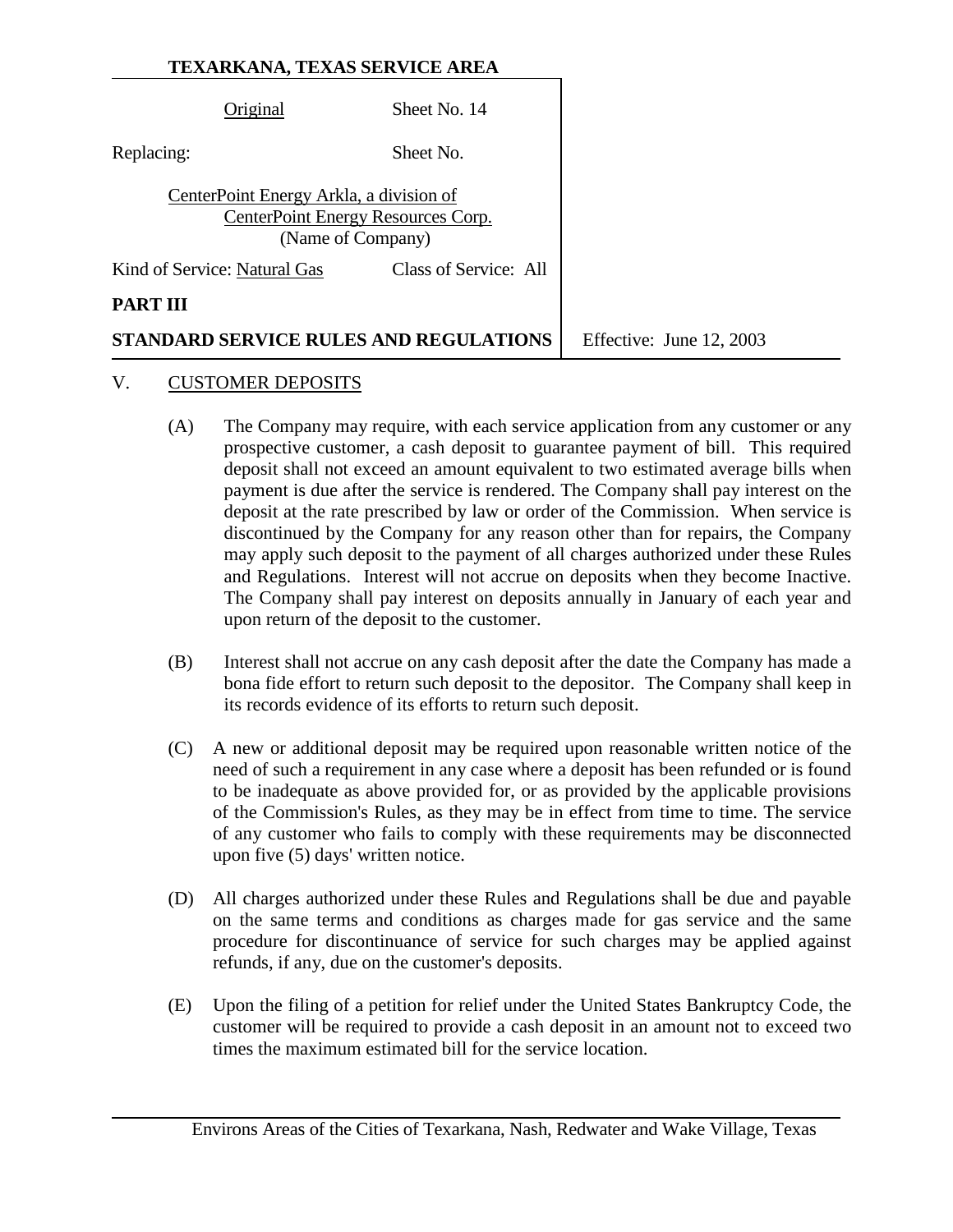|            | Original                                | Sheet No. 14                                            |                          |
|------------|-----------------------------------------|---------------------------------------------------------|--------------------------|
| Replacing: |                                         | Sheet No.                                               |                          |
|            | CenterPoint Energy Arkla, a division of | CenterPoint Energy Resources Corp.<br>(Name of Company) |                          |
|            | Kind of Service: Natural Gas            | Class of Service: All                                   |                          |
| PART III   |                                         |                                                         |                          |
|            |                                         | STANDARD SERVICE RULES AND REGULATIONS                  | Effective: June 12, 2003 |

#### V. CUSTOMER DEPOSITS

- (A) The Company may require, with each service application from any customer or any prospective customer, a cash deposit to guarantee payment of bill. This required deposit shall not exceed an amount equivalent to two estimated average bills when payment is due after the service is rendered. The Company shall pay interest on the deposit at the rate prescribed by law or order of the Commission. When service is discontinued by the Company for any reason other than for repairs, the Company may apply such deposit to the payment of all charges authorized under these Rules and Regulations. Interest will not accrue on deposits when they become Inactive. The Company shall pay interest on deposits annually in January of each year and upon return of the deposit to the customer.
- (B) Interest shall not accrue on any cash deposit after the date the Company has made a bona fide effort to return such deposit to the depositor. The Company shall keep in its records evidence of its efforts to return such deposit.
- (C) A new or additional deposit may be required upon reasonable written notice of the need of such a requirement in any case where a deposit has been refunded or is found to be inadequate as above provided for, or as provided by the applicable provisions of the Commission's Rules, as they may be in effect from time to time. The service of any customer who fails to comply with these requirements may be disconnected upon five (5) days' written notice.
- (D) All charges authorized under these Rules and Regulations shall be due and payable on the same terms and conditions as charges made for gas service and the same procedure for discontinuance of service for such charges may be applied against refunds, if any, due on the customer's deposits.
- (E) Upon the filing of a petition for relief under the United States Bankruptcy Code, the customer will be required to provide a cash deposit in an amount not to exceed two times the maximum estimated bill for the service location.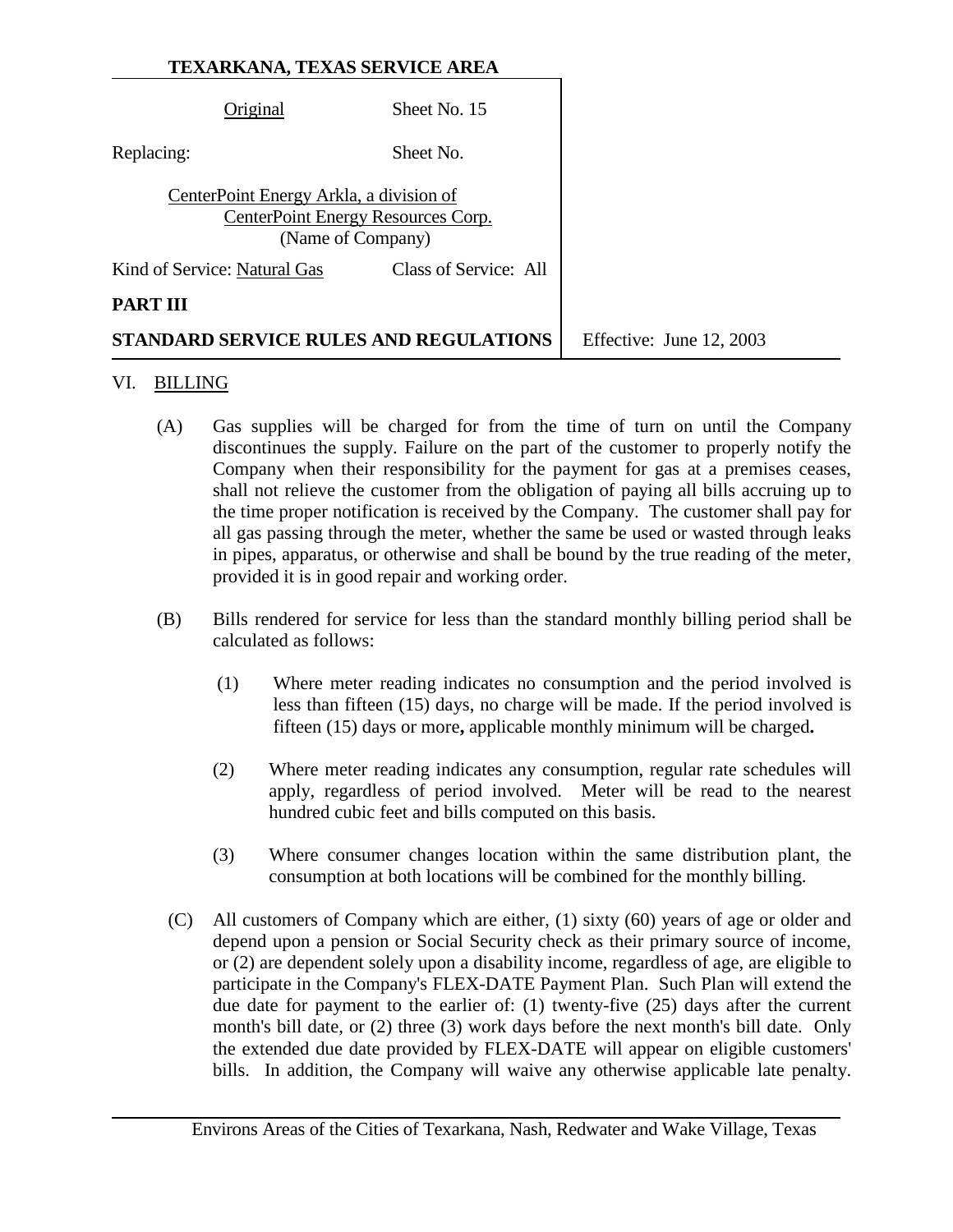|            | Original                                | Sheet No. 15                                            |                          |
|------------|-----------------------------------------|---------------------------------------------------------|--------------------------|
| Replacing: |                                         | Sheet No.                                               |                          |
|            | CenterPoint Energy Arkla, a division of | CenterPoint Energy Resources Corp.<br>(Name of Company) |                          |
|            | Kind of Service: Natural Gas            | Class of Service: All                                   |                          |
| PART III   |                                         |                                                         |                          |
|            |                                         | STANDARD SERVICE RULES AND REGULATIONS                  | Effective: June 12, 2003 |

#### VI. BILLING

- (A) Gas supplies will be charged for from the time of turn on until the Company discontinues the supply. Failure on the part of the customer to properly notify the Company when their responsibility for the payment for gas at a premises ceases, shall not relieve the customer from the obligation of paying all bills accruing up to the time proper notification is received by the Company. The customer shall pay for all gas passing through the meter, whether the same be used or wasted through leaks in pipes, apparatus, or otherwise and shall be bound by the true reading of the meter, provided it is in good repair and working order.
- (B) Bills rendered for service for less than the standard monthly billing period shall be calculated as follows:
	- (1) Where meter reading indicates no consumption and the period involved is less than fifteen (15) days, no charge will be made. If the period involved is fifteen (15) days or more**,** applicable monthly minimum will be charged**.**
	- (2) Where meter reading indicates any consumption, regular rate schedules will apply, regardless of period involved. Meter will be read to the nearest hundred cubic feet and bills computed on this basis.
	- (3) Where consumer changes location within the same distribution plant, the consumption at both locations will be combined for the monthly billing.
	- (C) All customers of Company which are either, (1) sixty (60) years of age or older and depend upon a pension or Social Security check as their primary source of income, or (2) are dependent solely upon a disability income, regardless of age, are eligible to participate in the Company's FLEX-DATE Payment Plan. Such Plan will extend the due date for payment to the earlier of: (1) twenty-five (25) days after the current month's bill date, or (2) three (3) work days before the next month's bill date. Only the extended due date provided by FLEX-DATE will appear on eligible customers' bills. In addition, the Company will waive any otherwise applicable late penalty.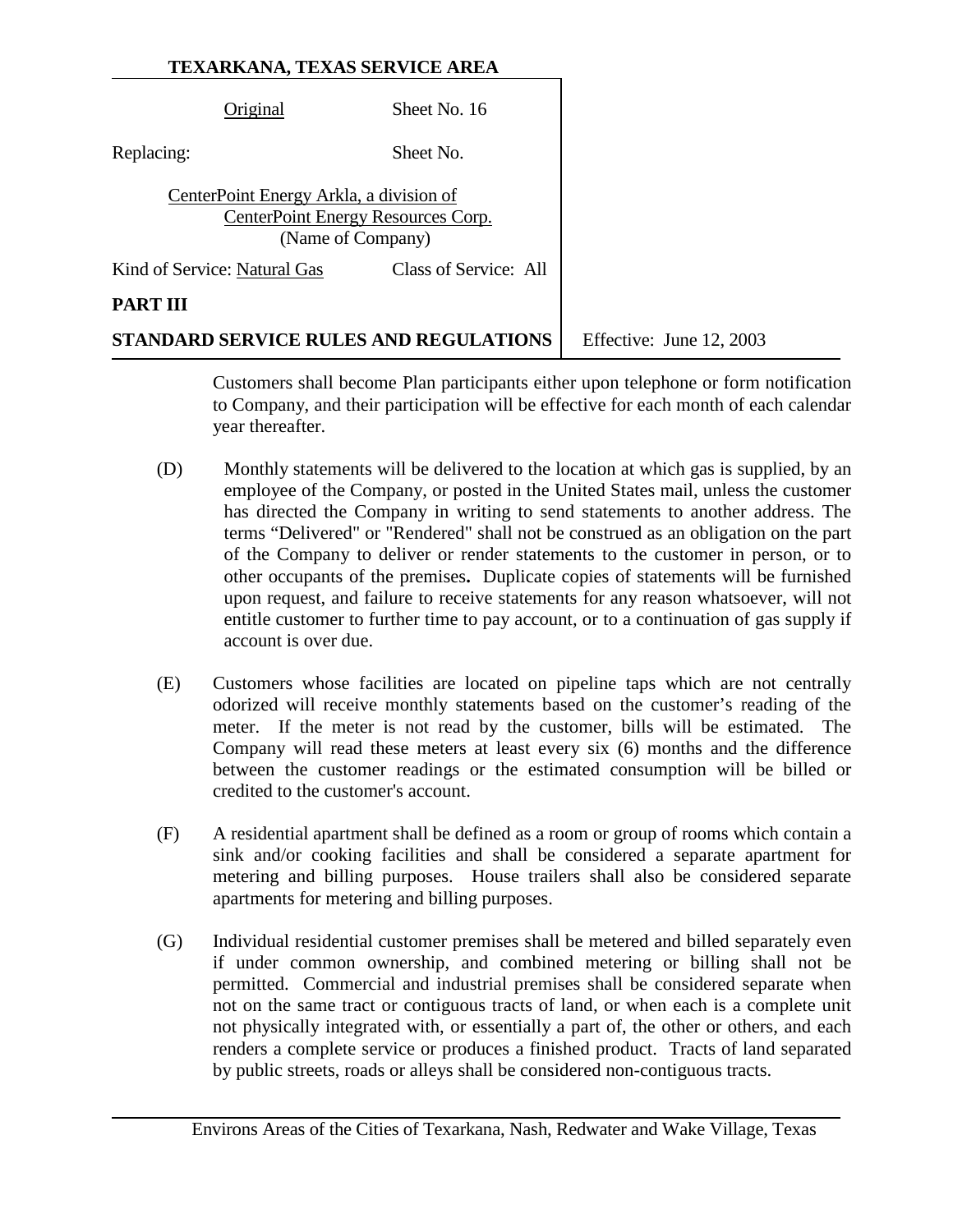|                              | Original                                                                                           | Sheet No. 16                           |                          |
|------------------------------|----------------------------------------------------------------------------------------------------|----------------------------------------|--------------------------|
| Replacing:                   |                                                                                                    | Sheet No.                              |                          |
|                              | CenterPoint Energy Arkla, a division of<br>CenterPoint Energy Resources Corp.<br>(Name of Company) |                                        |                          |
| Kind of Service: Natural Gas |                                                                                                    | Class of Service: All                  |                          |
| <b>PART III</b>              |                                                                                                    |                                        |                          |
|                              |                                                                                                    | STANDARD SERVICE RULES AND REGULATIONS | Effective: June 12, 2003 |

Customers shall become Plan participants either upon telephone or form notification to Company, and their participation will be effective for each month of each calendar year thereafter.

- (D) Monthly statements will be delivered to the location at which gas is supplied, by an employee of the Company, or posted in the United States mail, unless the customer has directed the Company in writing to send statements to another address. The terms "Delivered" or "Rendered" shall not be construed as an obligation on the part of the Company to deliver or render statements to the customer in person, or to other occupants of the premises**.** Duplicate copies of statements will be furnished upon request, and failure to receive statements for any reason whatsoever, will not entitle customer to further time to pay account, or to a continuation of gas supply if account is over due.
- (E) Customers whose facilities are located on pipeline taps which are not centrally odorized will receive monthly statements based on the customer's reading of the meter. If the meter is not read by the customer, bills will be estimated. The Company will read these meters at least every six (6) months and the difference between the customer readings or the estimated consumption will be billed or credited to the customer's account.
- (F) A residential apartment shall be defined as a room or group of rooms which contain a sink and/or cooking facilities and shall be considered a separate apartment for metering and billing purposes. House trailers shall also be considered separate apartments for metering and billing purposes.
- (G) Individual residential customer premises shall be metered and billed separately even if under common ownership, and combined metering or billing shall not be permitted. Commercial and industrial premises shall be considered separate when not on the same tract or contiguous tracts of land, or when each is a complete unit not physically integrated with, or essentially a part of, the other or others, and each renders a complete service or produces a finished product. Tracts of land separated by public streets, roads or alleys shall be considered non-contiguous tracts.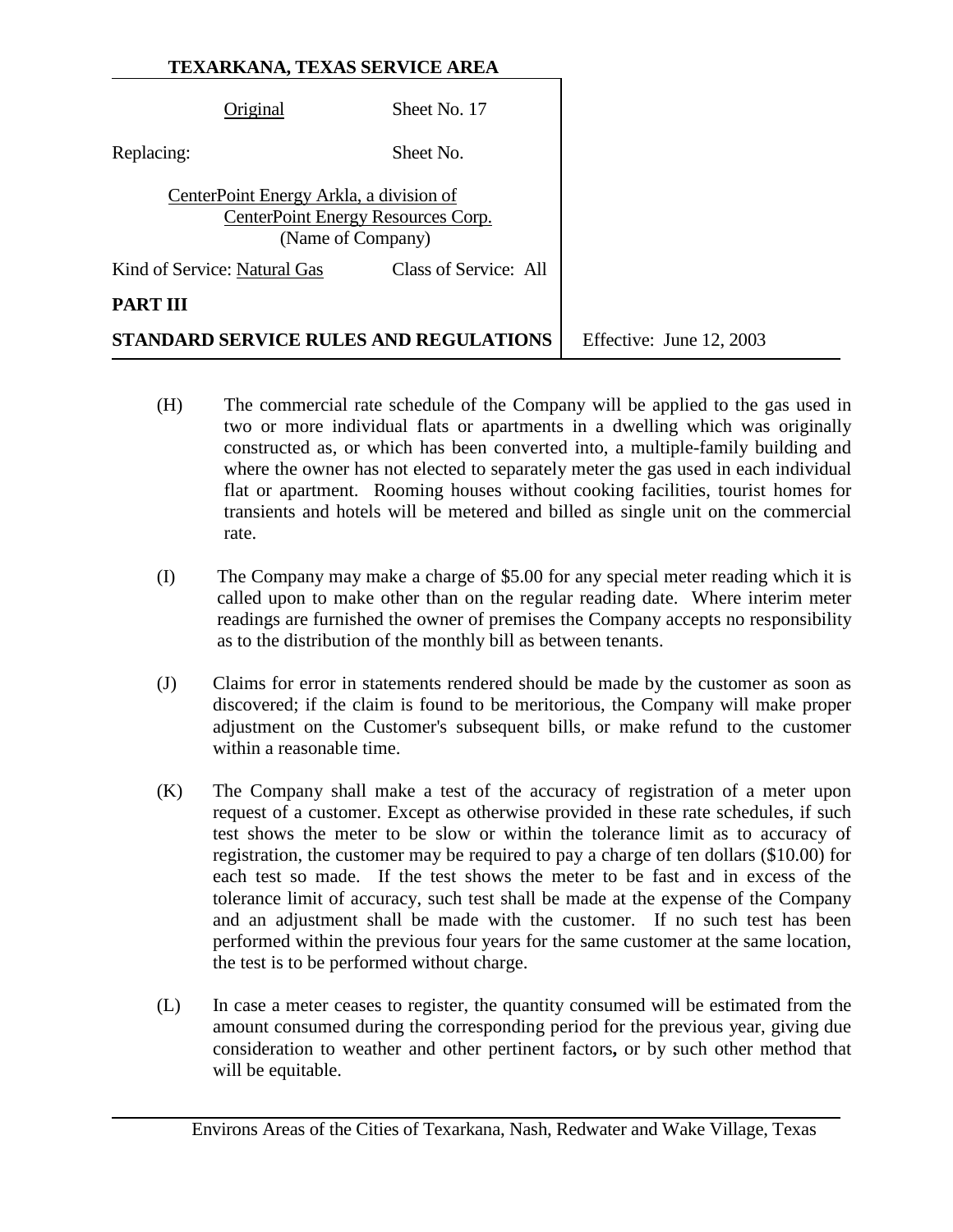|                              | Original                                                     | Sheet No. 17                           |                          |
|------------------------------|--------------------------------------------------------------|----------------------------------------|--------------------------|
| Replacing:                   |                                                              | Sheet No.                              |                          |
|                              | CenterPoint Energy Arkla, a division of<br>(Name of Company) | CenterPoint Energy Resources Corp.     |                          |
| Kind of Service: Natural Gas |                                                              | Class of Service: All                  |                          |
| PART III                     |                                                              |                                        |                          |
|                              |                                                              | STANDARD SERVICE RULES AND REGULATIONS | Effective: June 12, 2003 |

- (H) The commercial rate schedule of the Company will be applied to the gas used in two or more individual flats or apartments in a dwelling which was originally constructed as, or which has been converted into, a multiple-family building and where the owner has not elected to separately meter the gas used in each individual flat or apartment. Rooming houses without cooking facilities, tourist homes for transients and hotels will be metered and billed as single unit on the commercial rate.
- (I) The Company may make a charge of \$5.00 for any special meter reading which it is called upon to make other than on the regular reading date. Where interim meter readings are furnished the owner of premises the Company accepts no responsibility as to the distribution of the monthly bill as between tenants.
- (J) Claims for error in statements rendered should be made by the customer as soon as discovered; if the claim is found to be meritorious, the Company will make proper adjustment on the Customer's subsequent bills, or make refund to the customer within a reasonable time.
- (K) The Company shall make a test of the accuracy of registration of a meter upon request of a customer. Except as otherwise provided in these rate schedules, if such test shows the meter to be slow or within the tolerance limit as to accuracy of registration, the customer may be required to pay a charge of ten dollars (\$10.00) for each test so made. If the test shows the meter to be fast and in excess of the tolerance limit of accuracy, such test shall be made at the expense of the Company and an adjustment shall be made with the customer. If no such test has been performed within the previous four years for the same customer at the same location, the test is to be performed without charge.
- (L) In case a meter ceases to register, the quantity consumed will be estimated from the amount consumed during the corresponding period for the previous year, giving due consideration to weather and other pertinent factors**,** or by such other method that will be equitable.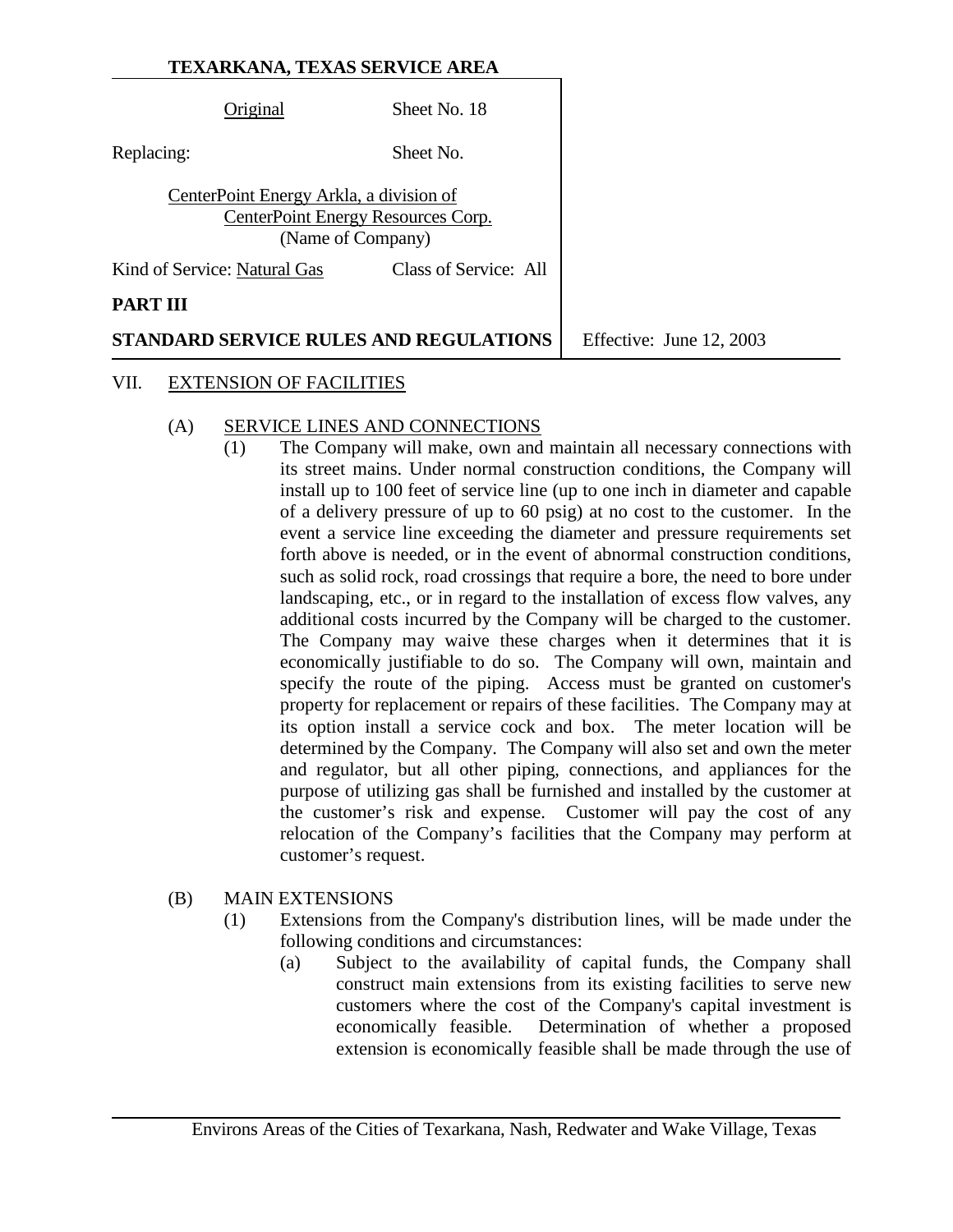Original Sheet No. 18 Replacing: Sheet No. CenterPoint Energy Arkla, a division of CenterPoint Energy Resources Corp. (Name of Company) Kind of Service: Natural Gas Class of Service: All **PART III STANDARD SERVICE RULES AND REGULATIONS** Effective: June 12, 2003

#### VII. EXTENSION OF FACILITIES

#### (A) SERVICE LINES AND CONNECTIONS

(1) The Company will make, own and maintain all necessary connections with its street mains. Under normal construction conditions, the Company will install up to 100 feet of service line (up to one inch in diameter and capable of a delivery pressure of up to 60 psig) at no cost to the customer. In the event a service line exceeding the diameter and pressure requirements set forth above is needed, or in the event of abnormal construction conditions, such as solid rock, road crossings that require a bore, the need to bore under landscaping, etc., or in regard to the installation of excess flow valves, any additional costs incurred by the Company will be charged to the customer. The Company may waive these charges when it determines that it is economically justifiable to do so. The Company will own, maintain and specify the route of the piping. Access must be granted on customer's property for replacement or repairs of these facilities. The Company may at its option install a service cock and box. The meter location will be determined by the Company. The Company will also set and own the meter and regulator, but all other piping, connections, and appliances for the purpose of utilizing gas shall be furnished and installed by the customer at the customer's risk and expense. Customer will pay the cost of any relocation of the Company's facilities that the Company may perform at customer's request.

### (B) MAIN EXTENSIONS

- (1) Extensions from the Company's distribution lines, will be made under the following conditions and circumstances:
	- (a) Subject to the availability of capital funds, the Company shall construct main extensions from its existing facilities to serve new customers where the cost of the Company's capital investment is economically feasible. Determination of whether a proposed extension is economically feasible shall be made through the use of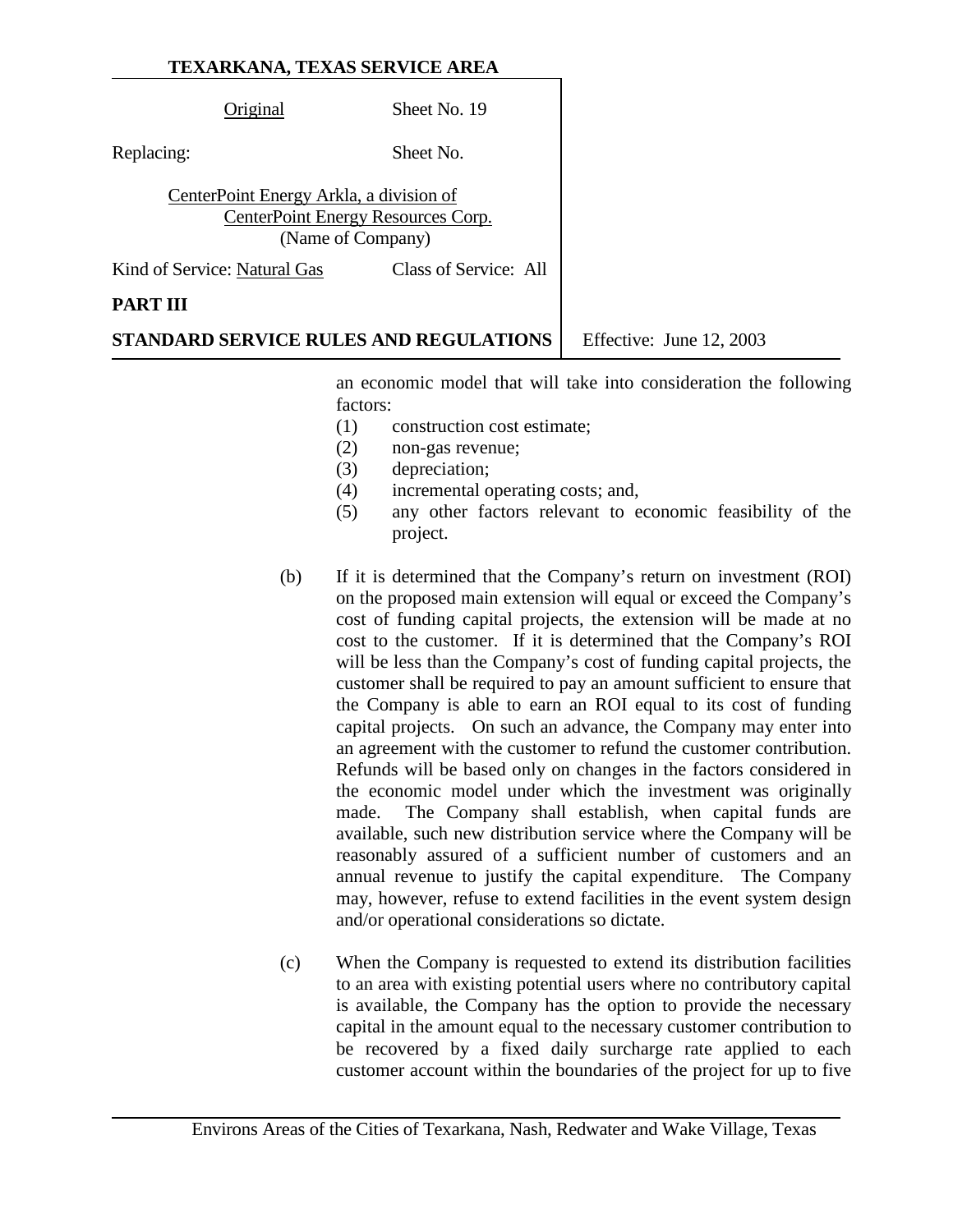Original Sheet No. 19 Replacing: Sheet No. CenterPoint Energy Arkla, a division of CenterPoint Energy Resources Corp. (Name of Company) Kind of Service: Natural Gas Class of Service: All **PART III**

**STANDARD SERVICE RULES AND REGULATIONS** Effective: June 12, 2003

an economic model that will take into consideration the following factors:

- (1) construction cost estimate;
- (2) non-gas revenue;
- (3) depreciation;
- (4) incremental operating costs; and,
- (5) any other factors relevant to economic feasibility of the project.
- (b) If it is determined that the Company's return on investment (ROI) on the proposed main extension will equal or exceed the Company's cost of funding capital projects, the extension will be made at no cost to the customer. If it is determined that the Company's ROI will be less than the Company's cost of funding capital projects, the customer shall be required to pay an amount sufficient to ensure that the Company is able to earn an ROI equal to its cost of funding capital projects. On such an advance, the Company may enter into an agreement with the customer to refund the customer contribution. Refunds will be based only on changes in the factors considered in the economic model under which the investment was originally made. The Company shall establish, when capital funds are available, such new distribution service where the Company will be reasonably assured of a sufficient number of customers and an annual revenue to justify the capital expenditure. The Company may, however, refuse to extend facilities in the event system design and/or operational considerations so dictate.
- (c) When the Company is requested to extend its distribution facilities to an area with existing potential users where no contributory capital is available, the Company has the option to provide the necessary capital in the amount equal to the necessary customer contribution to be recovered by a fixed daily surcharge rate applied to each customer account within the boundaries of the project for up to five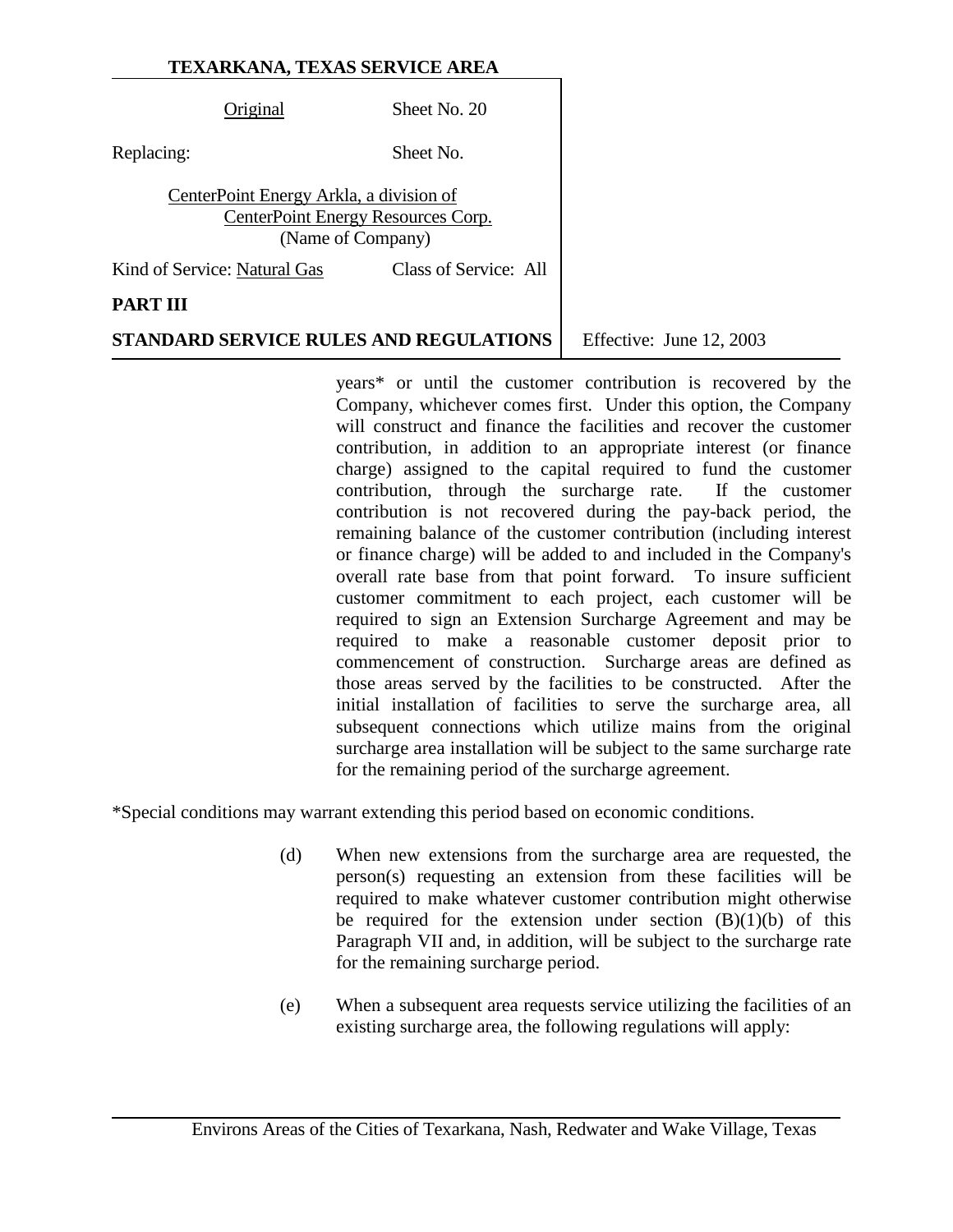Original Sheet No. 20

Replacing: Sheet No.

CenterPoint Energy Arkla, a division of CenterPoint Energy Resources Corp. (Name of Company)

Kind of Service: Natural Gas Class of Service: All

### **PART III**

**STANDARD SERVICE RULES AND REGULATIONS** Effective: June 12, 2003

years\* or until the customer contribution is recovered by the Company, whichever comes first. Under this option, the Company will construct and finance the facilities and recover the customer contribution, in addition to an appropriate interest (or finance charge) assigned to the capital required to fund the customer contribution, through the surcharge rate. If the customer contribution is not recovered during the pay-back period, the remaining balance of the customer contribution (including interest or finance charge) will be added to and included in the Company's overall rate base from that point forward. To insure sufficient customer commitment to each project, each customer will be required to sign an Extension Surcharge Agreement and may be required to make a reasonable customer deposit prior to commencement of construction. Surcharge areas are defined as those areas served by the facilities to be constructed. After the initial installation of facilities to serve the surcharge area, all subsequent connections which utilize mains from the original surcharge area installation will be subject to the same surcharge rate for the remaining period of the surcharge agreement.

\*Special conditions may warrant extending this period based on economic conditions.

- (d) When new extensions from the surcharge area are requested, the person(s) requesting an extension from these facilities will be required to make whatever customer contribution might otherwise be required for the extension under section  $(B)(1)(b)$  of this Paragraph VII and, in addition, will be subject to the surcharge rate for the remaining surcharge period.
- (e) When a subsequent area requests service utilizing the facilities of an existing surcharge area, the following regulations will apply: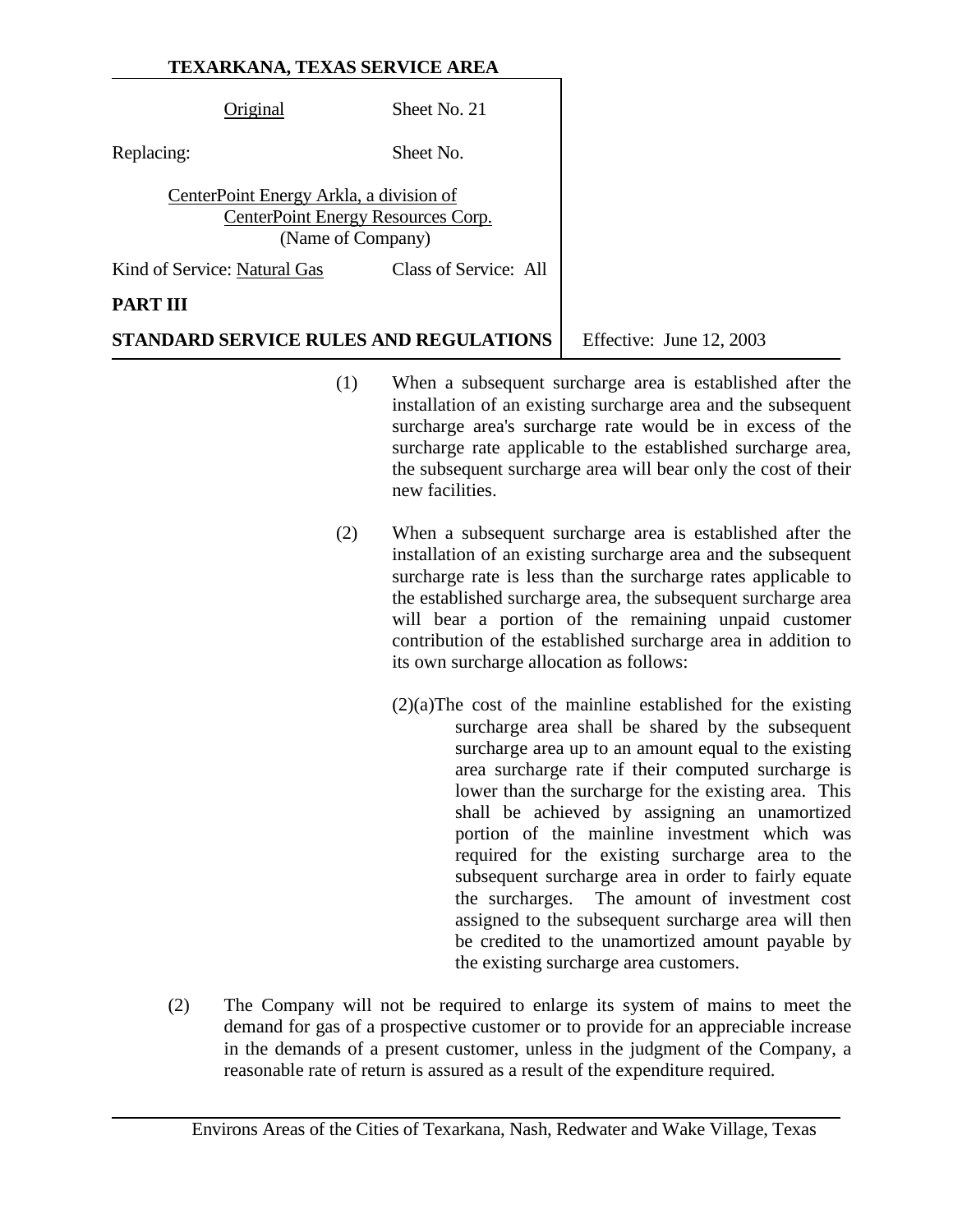|                                                                                                    | Original                     | Sheet No. 21          |  |
|----------------------------------------------------------------------------------------------------|------------------------------|-----------------------|--|
| Replacing:                                                                                         |                              | Sheet No.             |  |
| CenterPoint Energy Arkla, a division of<br>CenterPoint Energy Resources Corp.<br>(Name of Company) |                              |                       |  |
|                                                                                                    | Kind of Service: Natural Gas | Class of Service: All |  |
| PAR'I                                                                                              |                              |                       |  |

**STANDARD SERVICE RULES AND REGULATIONS** Feffective: June 12, 2003

- (1) When a subsequent surcharge area is established after the installation of an existing surcharge area and the subsequent surcharge area's surcharge rate would be in excess of the surcharge rate applicable to the established surcharge area, the subsequent surcharge area will bear only the cost of their new facilities.
- (2) When a subsequent surcharge area is established after the installation of an existing surcharge area and the subsequent surcharge rate is less than the surcharge rates applicable to the established surcharge area, the subsequent surcharge area will bear a portion of the remaining unpaid customer contribution of the established surcharge area in addition to its own surcharge allocation as follows:
	- (2)(a)The cost of the mainline established for the existing surcharge area shall be shared by the subsequent surcharge area up to an amount equal to the existing area surcharge rate if their computed surcharge is lower than the surcharge for the existing area. This shall be achieved by assigning an unamortized portion of the mainline investment which was required for the existing surcharge area to the subsequent surcharge area in order to fairly equate<br>the surcharges. The amount of investment cost The amount of investment cost assigned to the subsequent surcharge area will then be credited to the unamortized amount payable by the existing surcharge area customers.
- (2) The Company will not be required to enlarge its system of mains to meet the demand for gas of a prospective customer or to provide for an appreciable increase in the demands of a present customer, unless in the judgment of the Company, a reasonable rate of return is assured as a result of the expenditure required.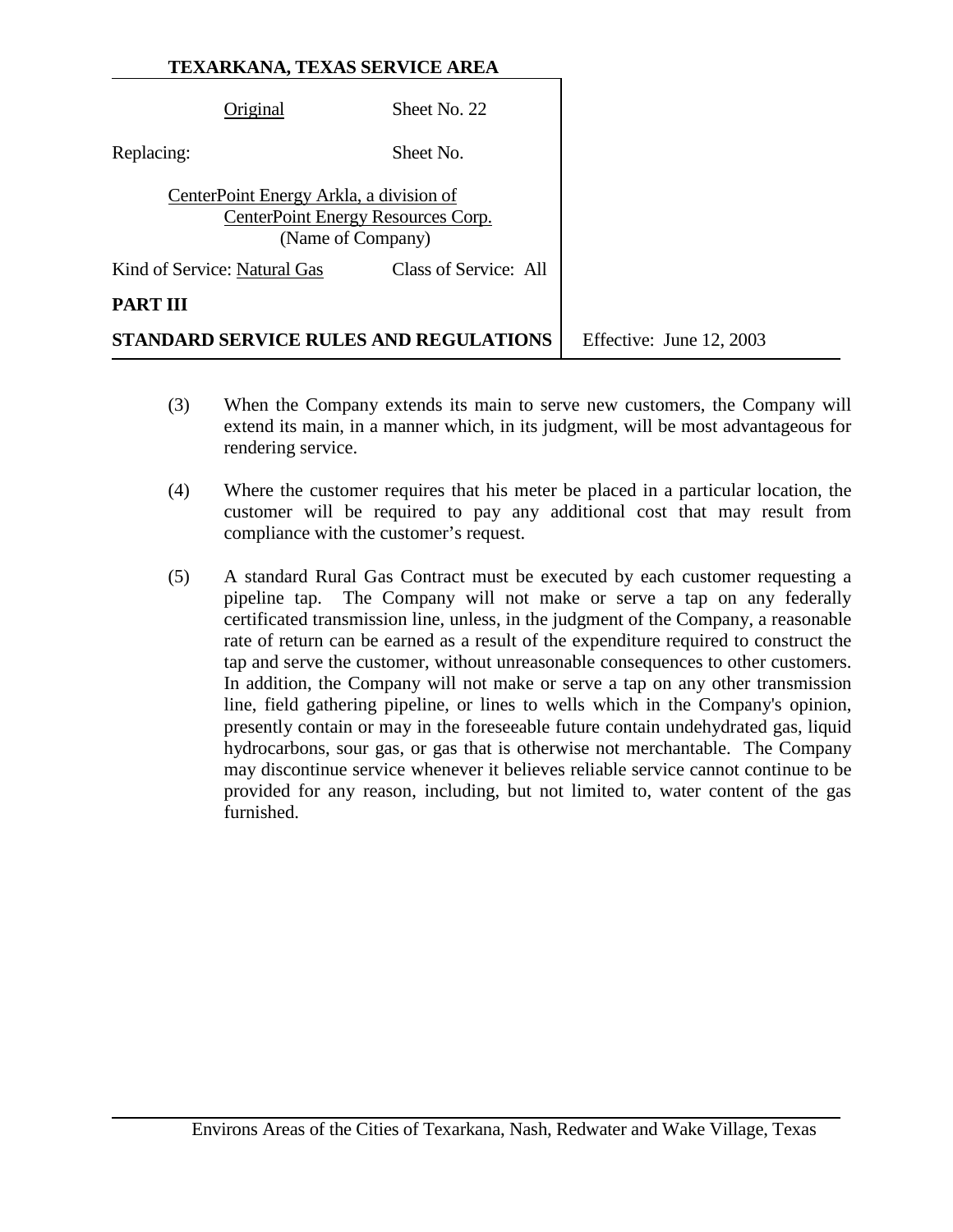| Original                     |                   | Sheet No. 22                                                                  |                          |
|------------------------------|-------------------|-------------------------------------------------------------------------------|--------------------------|
| Replacing:                   |                   | Sheet No.                                                                     |                          |
|                              | (Name of Company) | CenterPoint Energy Arkla, a division of<br>CenterPoint Energy Resources Corp. |                          |
| Kind of Service: Natural Gas |                   | Class of Service: All                                                         |                          |
| PART III                     |                   |                                                                               |                          |
|                              |                   | STANDARD SERVICE RULES AND REGULATIONS                                        | Effective: June 12, 2003 |

- (3) When the Company extends its main to serve new customers, the Company will extend its main, in a manner which, in its judgment, will be most advantageous for rendering service.
- (4) Where the customer requires that his meter be placed in a particular location, the customer will be required to pay any additional cost that may result from compliance with the customer's request.
- (5) A standard Rural Gas Contract must be executed by each customer requesting a pipeline tap. The Company will not make or serve a tap on any federally certificated transmission line, unless, in the judgment of the Company, a reasonable rate of return can be earned as a result of the expenditure required to construct the tap and serve the customer, without unreasonable consequences to other customers. In addition, the Company will not make or serve a tap on any other transmission line, field gathering pipeline, or lines to wells which in the Company's opinion, presently contain or may in the foreseeable future contain undehydrated gas, liquid hydrocarbons, sour gas, or gas that is otherwise not merchantable. The Company may discontinue service whenever it believes reliable service cannot continue to be provided for any reason, including, but not limited to, water content of the gas furnished.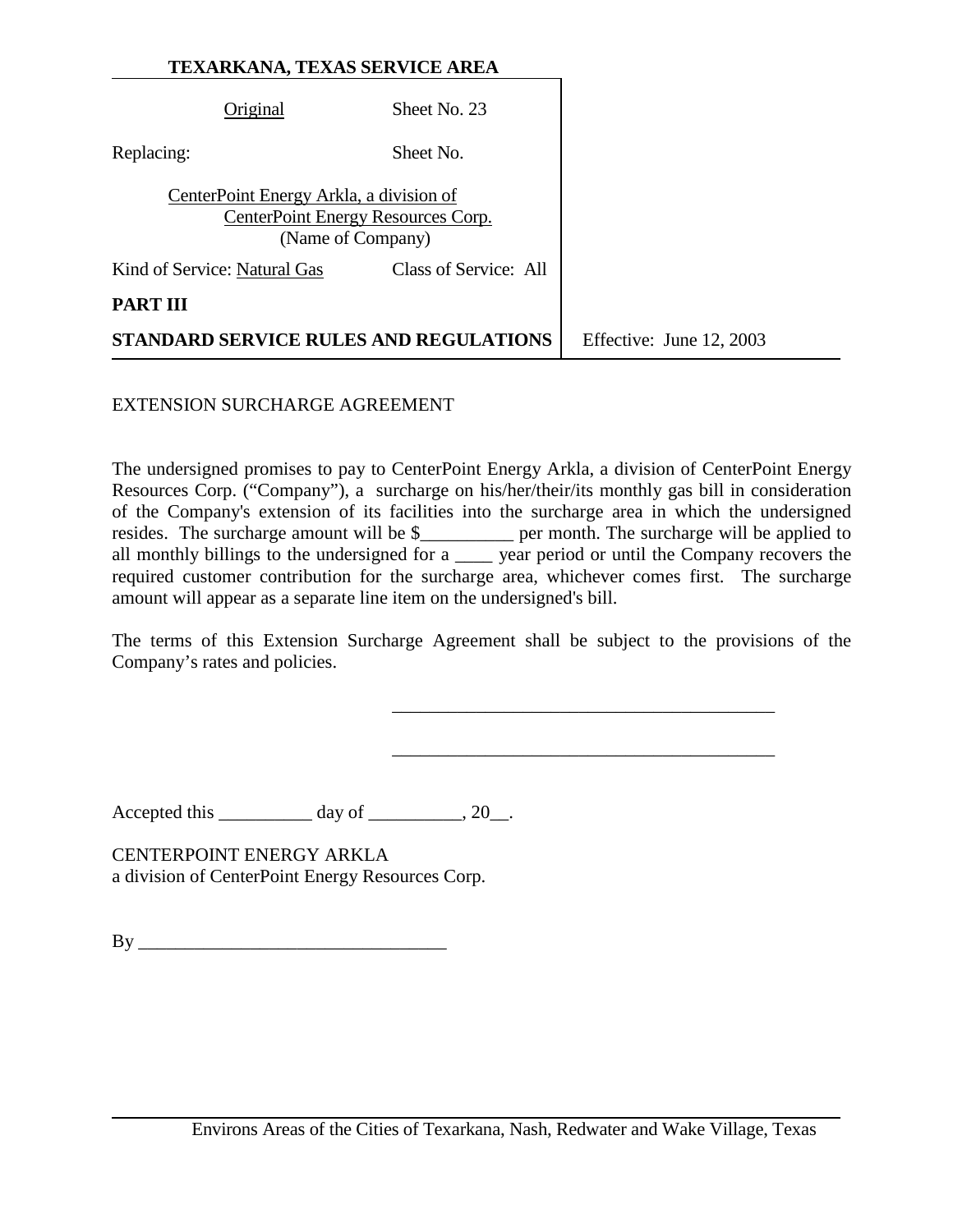| Original                                | Sheet No. 23                                            |                          |
|-----------------------------------------|---------------------------------------------------------|--------------------------|
| Replacing:                              | Sheet No.                                               |                          |
| CenterPoint Energy Arkla, a division of | CenterPoint Energy Resources Corp.<br>(Name of Company) |                          |
| Kind of Service: Natural Gas            | Class of Service: All                                   |                          |
| <b>PART III</b>                         |                                                         |                          |
| STANDARD SERVICE RULES AND REGULATIONS  |                                                         | Effective: June 12, 2003 |

#### EXTENSION SURCHARGE AGREEMENT

The undersigned promises to pay to CenterPoint Energy Arkla, a division of CenterPoint Energy Resources Corp. ("Company"), a surcharge on his/her/their/its monthly gas bill in consideration of the Company's extension of its facilities into the surcharge area in which the undersigned resides. The surcharge amount will be \$\_\_\_\_\_\_\_\_\_\_\_ per month. The surcharge will be applied to all monthly billings to the undersigned for a \_\_\_\_ year period or until the Company recovers the required customer contribution for the surcharge area, whichever comes first. The surcharge amount will appear as a separate line item on the undersigned's bill.

The terms of this Extension Surcharge Agreement shall be subject to the provisions of the Company's rates and policies.

\_\_\_\_\_\_\_\_\_\_\_\_\_\_\_\_\_\_\_\_\_\_\_\_\_\_\_\_\_\_\_\_\_\_\_\_\_\_\_\_\_

\_\_\_\_\_\_\_\_\_\_\_\_\_\_\_\_\_\_\_\_\_\_\_\_\_\_\_\_\_\_\_\_\_\_\_\_\_\_\_\_\_

Accepted this  $\_\_\_\_\_\_\$  day of  $\_\_\_\_\_\$ , 20 $\_\_\_\_\$ .

CENTERPOINT ENERGY ARKLA a division of CenterPoint Energy Resources Corp.

| т<br>- |  |
|--------|--|
|--------|--|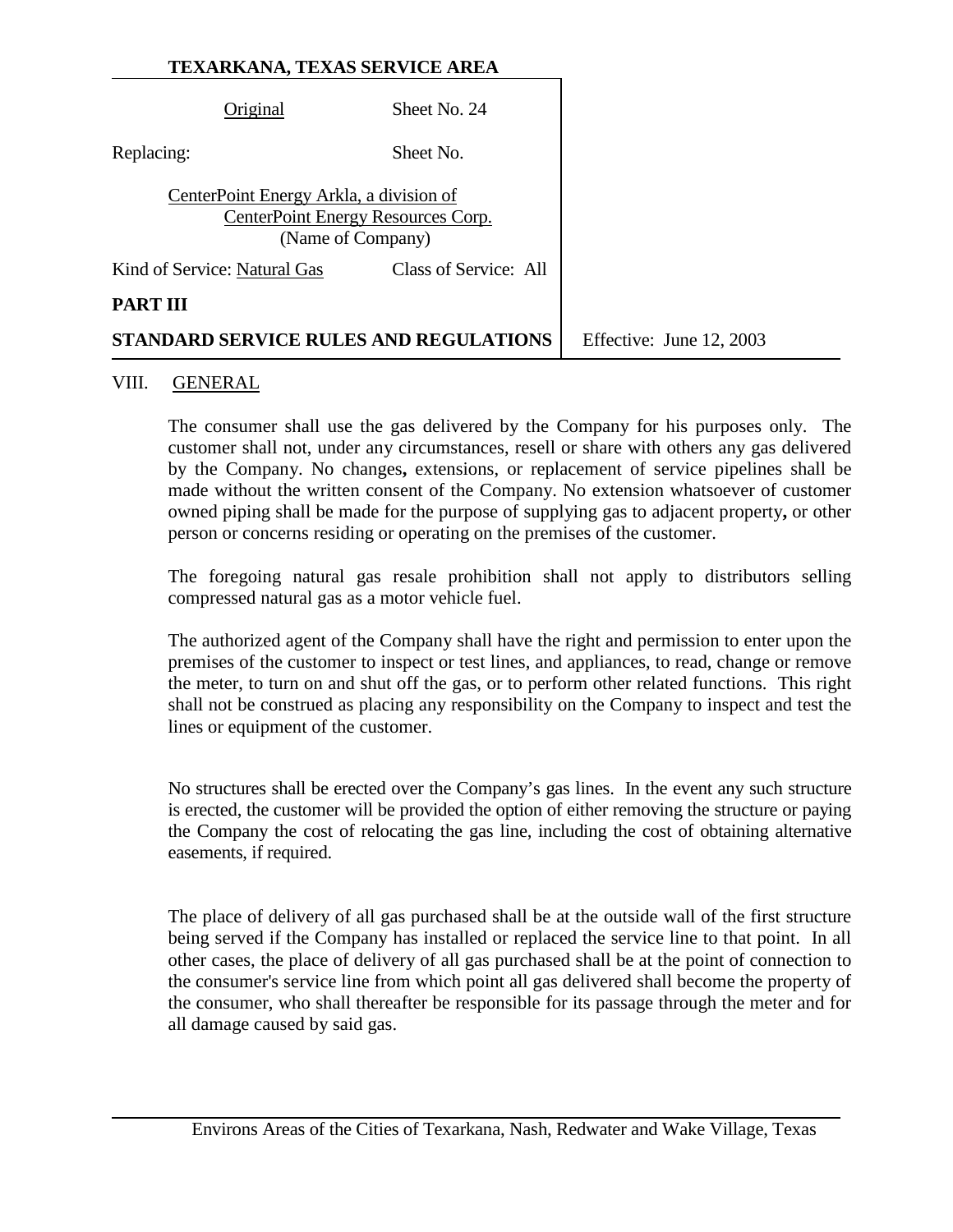| Original                     | Sheet No. 24                                                                                       |                          |
|------------------------------|----------------------------------------------------------------------------------------------------|--------------------------|
| Replacing:                   | Sheet No.                                                                                          |                          |
|                              | CenterPoint Energy Arkla, a division of<br>CenterPoint Energy Resources Corp.<br>(Name of Company) |                          |
| Kind of Service: Natural Gas | Class of Service: All                                                                              |                          |
| PART III                     |                                                                                                    |                          |
|                              | STANDARD SERVICE RULES AND REGULATIONS                                                             | Effective: June 12, 2003 |

#### VIII. GENERAL

The consumer shall use the gas delivered by the Company for his purposes only. The customer shall not, under any circumstances, resell or share with others any gas delivered by the Company. No changes**,** extensions, or replacement of service pipelines shall be made without the written consent of the Company. No extension whatsoever of customer owned piping shall be made for the purpose of supplying gas to adjacent property**,** or other person or concerns residing or operating on the premises of the customer.

The foregoing natural gas resale prohibition shall not apply to distributors selling compressed natural gas as a motor vehicle fuel.

The authorized agent of the Company shall have the right and permission to enter upon the premises of the customer to inspect or test lines, and appliances, to read, change or remove the meter, to turn on and shut off the gas, or to perform other related functions. This right shall not be construed as placing any responsibility on the Company to inspect and test the lines or equipment of the customer.

No structures shall be erected over the Company's gas lines. In the event any such structure is erected, the customer will be provided the option of either removing the structure or paying the Company the cost of relocating the gas line, including the cost of obtaining alternative easements, if required.

The place of delivery of all gas purchased shall be at the outside wall of the first structure being served if the Company has installed or replaced the service line to that point. In all other cases, the place of delivery of all gas purchased shall be at the point of connection to the consumer's service line from which point all gas delivered shall become the property of the consumer, who shall thereafter be responsible for its passage through the meter and for all damage caused by said gas.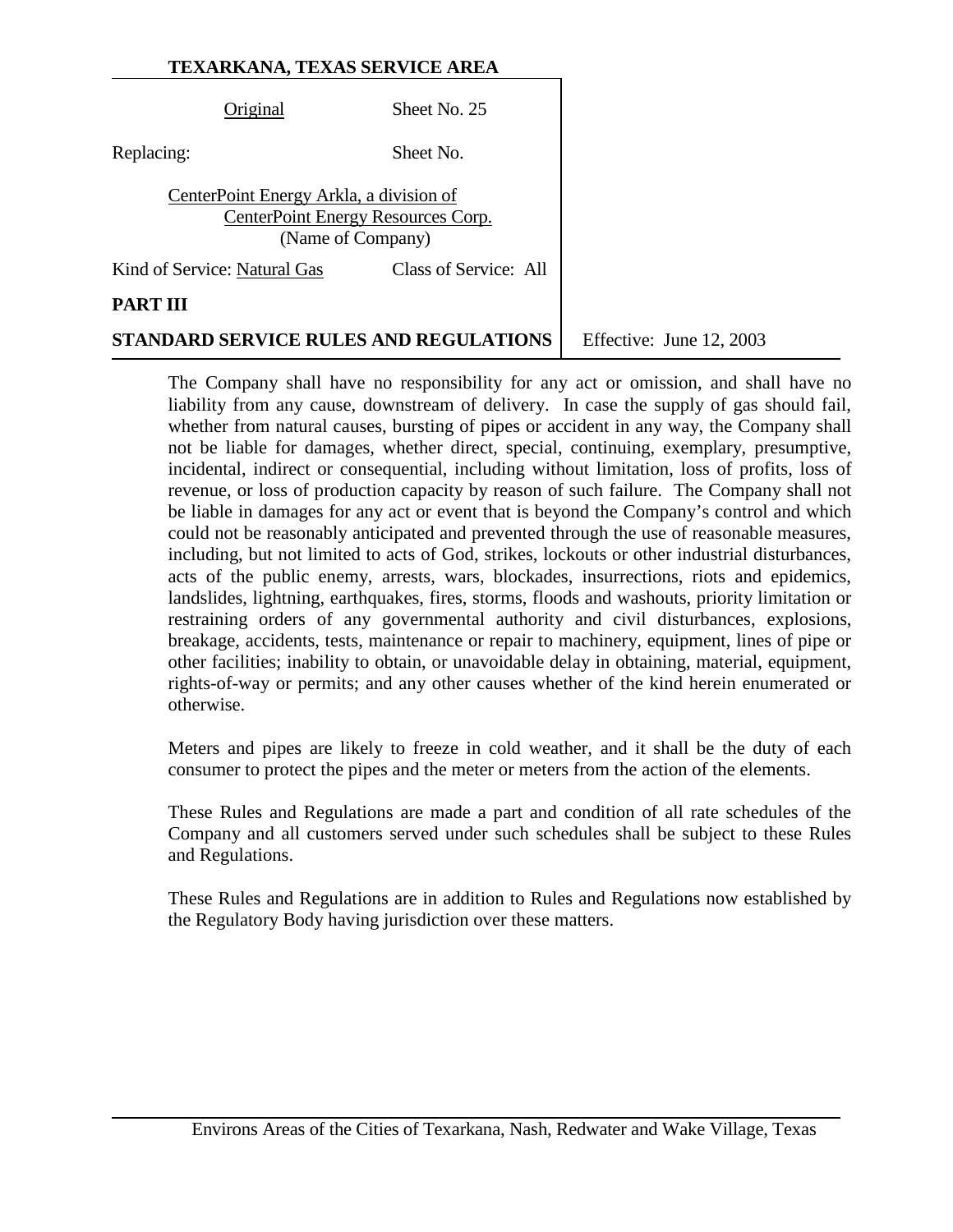| Original                                | Sheet No. 25                                            |
|-----------------------------------------|---------------------------------------------------------|
| Replacing:                              | Sheet No.                                               |
| CenterPoint Energy Arkla, a division of | CenterPoint Energy Resources Corp.<br>(Name of Company) |
| Kind of Service: Natural Gas            | Class of Service: All                                   |
| PAR'I                                   |                                                         |

# **P**

**STANDARD SERVICE RULES AND REGULATIONS** Feffective: June 12, 2003

The Company shall have no responsibility for any act or omission, and shall have no liability from any cause, downstream of delivery. In case the supply of gas should fail, whether from natural causes, bursting of pipes or accident in any way, the Company shall not be liable for damages, whether direct, special, continuing, exemplary, presumptive, incidental, indirect or consequential, including without limitation, loss of profits, loss of revenue, or loss of production capacity by reason of such failure. The Company shall not be liable in damages for any act or event that is beyond the Company's control and which could not be reasonably anticipated and prevented through the use of reasonable measures, including, but not limited to acts of God, strikes, lockouts or other industrial disturbances, acts of the public enemy, arrests, wars, blockades, insurrections, riots and epidemics, landslides, lightning, earthquakes, fires, storms, floods and washouts, priority limitation or restraining orders of any governmental authority and civil disturbances, explosions, breakage, accidents, tests, maintenance or repair to machinery, equipment, lines of pipe or other facilities; inability to obtain, or unavoidable delay in obtaining, material, equipment, rights-of-way or permits; and any other causes whether of the kind herein enumerated or otherwise.

Meters and pipes are likely to freeze in cold weather, and it shall be the duty of each consumer to protect the pipes and the meter or meters from the action of the elements.

These Rules and Regulations are made a part and condition of all rate schedules of the Company and all customers served under such schedules shall be subject to these Rules and Regulations.

These Rules and Regulations are in addition to Rules and Regulations now established by the Regulatory Body having jurisdiction over these matters.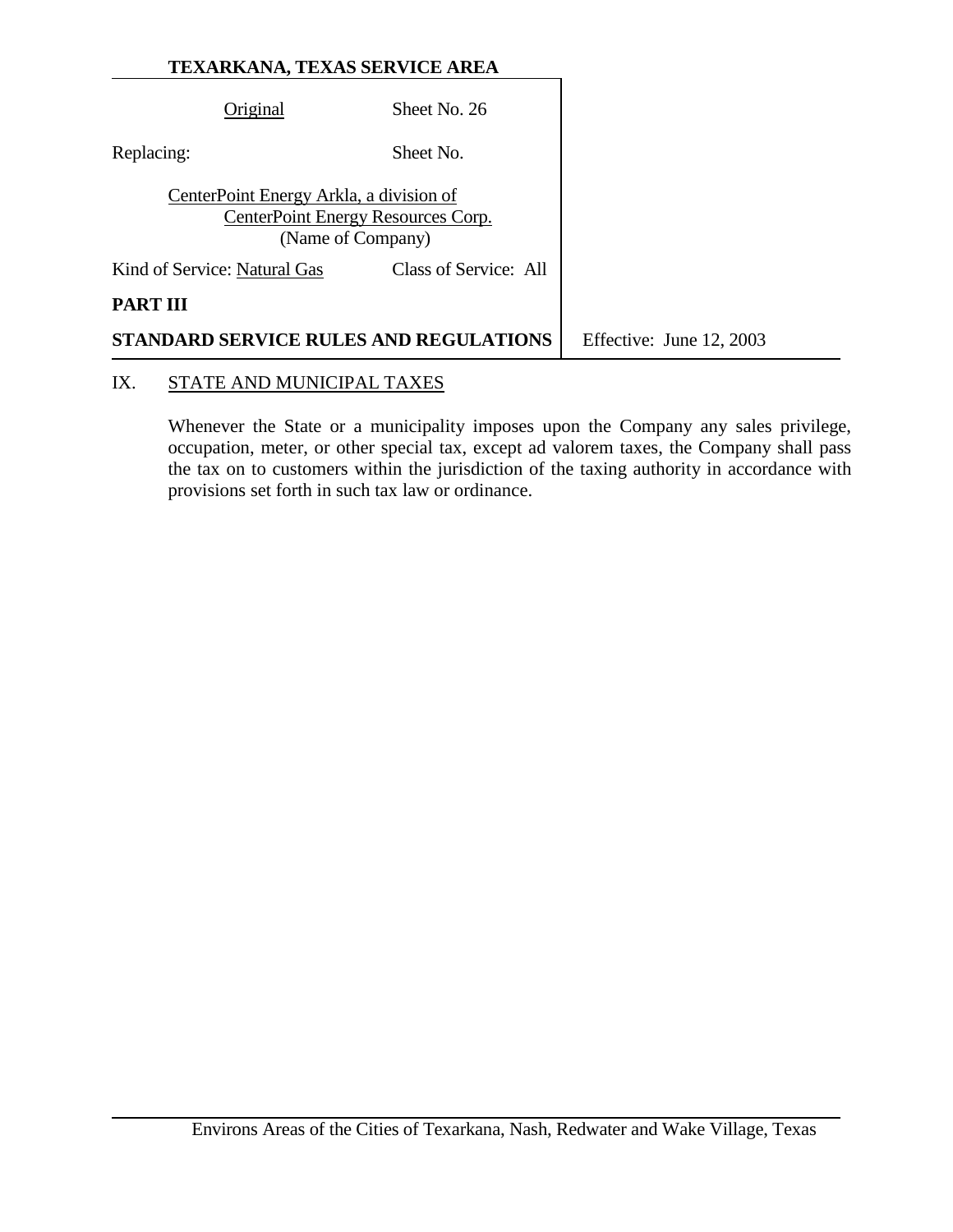|            | Original                                | Sheet No. 26                                            |                          |
|------------|-----------------------------------------|---------------------------------------------------------|--------------------------|
| Replacing: |                                         | Sheet No.                                               |                          |
|            | CenterPoint Energy Arkla, a division of | CenterPoint Energy Resources Corp.<br>(Name of Company) |                          |
|            | Kind of Service: Natural Gas            | Class of Service: All                                   |                          |
| PART III   |                                         |                                                         |                          |
|            |                                         | STANDARD SERVICE RULES AND REGULATIONS                  | Effective: June 12, 2003 |

### IX. STATE AND MUNICIPAL TAXES

Whenever the State or a municipality imposes upon the Company any sales privilege, occupation, meter, or other special tax, except ad valorem taxes, the Company shall pass the tax on to customers within the jurisdiction of the taxing authority in accordance with provisions set forth in such tax law or ordinance.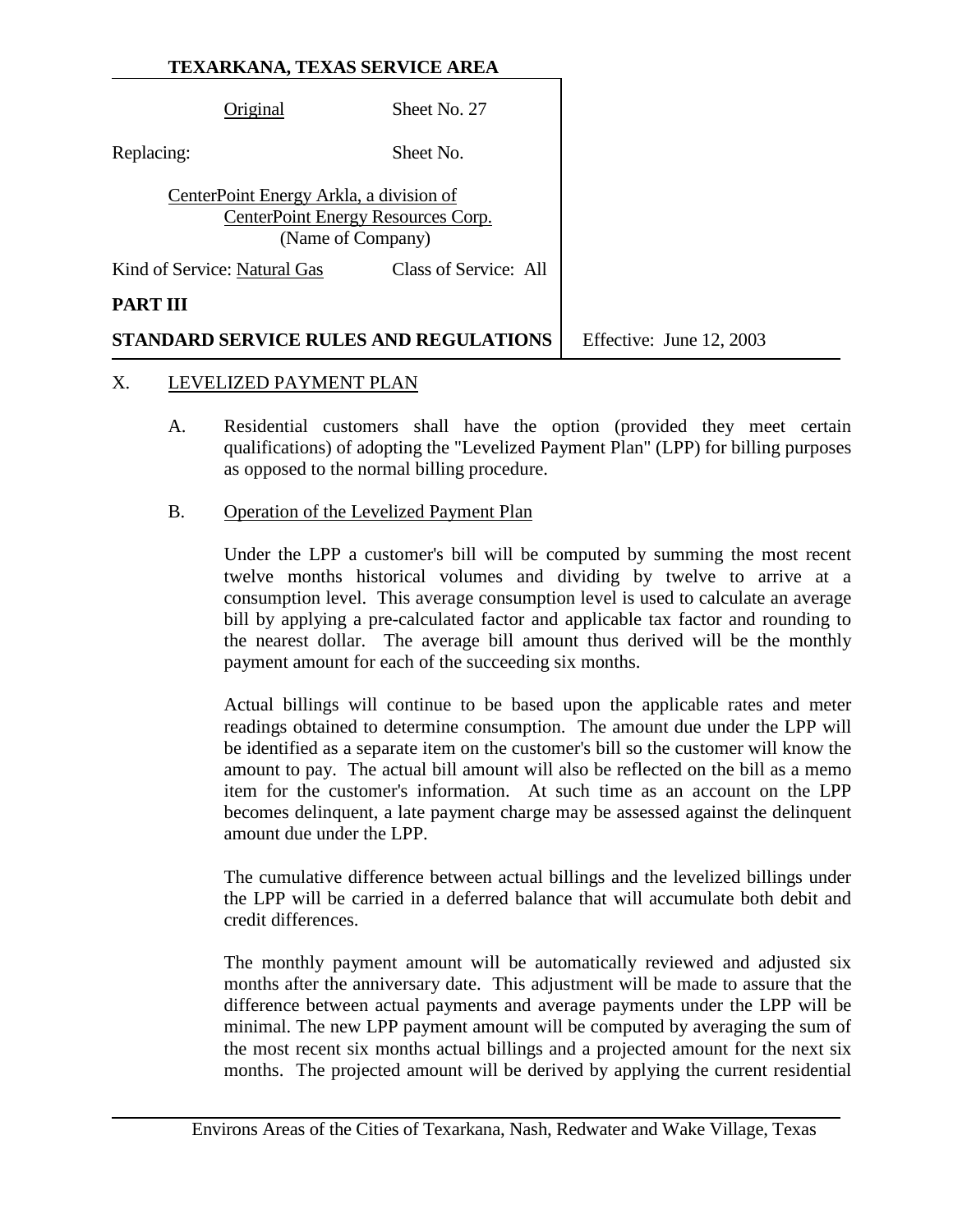|            | Original                                | Sheet No. 27                                            |                          |
|------------|-----------------------------------------|---------------------------------------------------------|--------------------------|
| Replacing: |                                         | Sheet No.                                               |                          |
|            | CenterPoint Energy Arkla, a division of | CenterPoint Energy Resources Corp.<br>(Name of Company) |                          |
|            | Kind of Service: Natural Gas            | Class of Service: All                                   |                          |
| PART III   |                                         |                                                         |                          |
|            |                                         | STANDARD SERVICE RULES AND REGULATIONS                  | Effective: June 12, 2003 |

#### X. LEVELIZED PAYMENT PLAN

A. Residential customers shall have the option (provided they meet certain qualifications) of adopting the "Levelized Payment Plan" (LPP) for billing purposes as opposed to the normal billing procedure.

### B. Operation of the Levelized Payment Plan

Under the LPP a customer's bill will be computed by summing the most recent twelve months historical volumes and dividing by twelve to arrive at a consumption level. This average consumption level is used to calculate an average bill by applying a pre-calculated factor and applicable tax factor and rounding to the nearest dollar. The average bill amount thus derived will be the monthly payment amount for each of the succeeding six months.

Actual billings will continue to be based upon the applicable rates and meter readings obtained to determine consumption. The amount due under the LPP will be identified as a separate item on the customer's bill so the customer will know the amount to pay. The actual bill amount will also be reflected on the bill as a memo item for the customer's information. At such time as an account on the LPP becomes delinquent, a late payment charge may be assessed against the delinquent amount due under the LPP.

The cumulative difference between actual billings and the levelized billings under the LPP will be carried in a deferred balance that will accumulate both debit and credit differences.

The monthly payment amount will be automatically reviewed and adjusted six months after the anniversary date. This adjustment will be made to assure that the difference between actual payments and average payments under the LPP will be minimal. The new LPP payment amount will be computed by averaging the sum of the most recent six months actual billings and a projected amount for the next six months. The projected amount will be derived by applying the current residential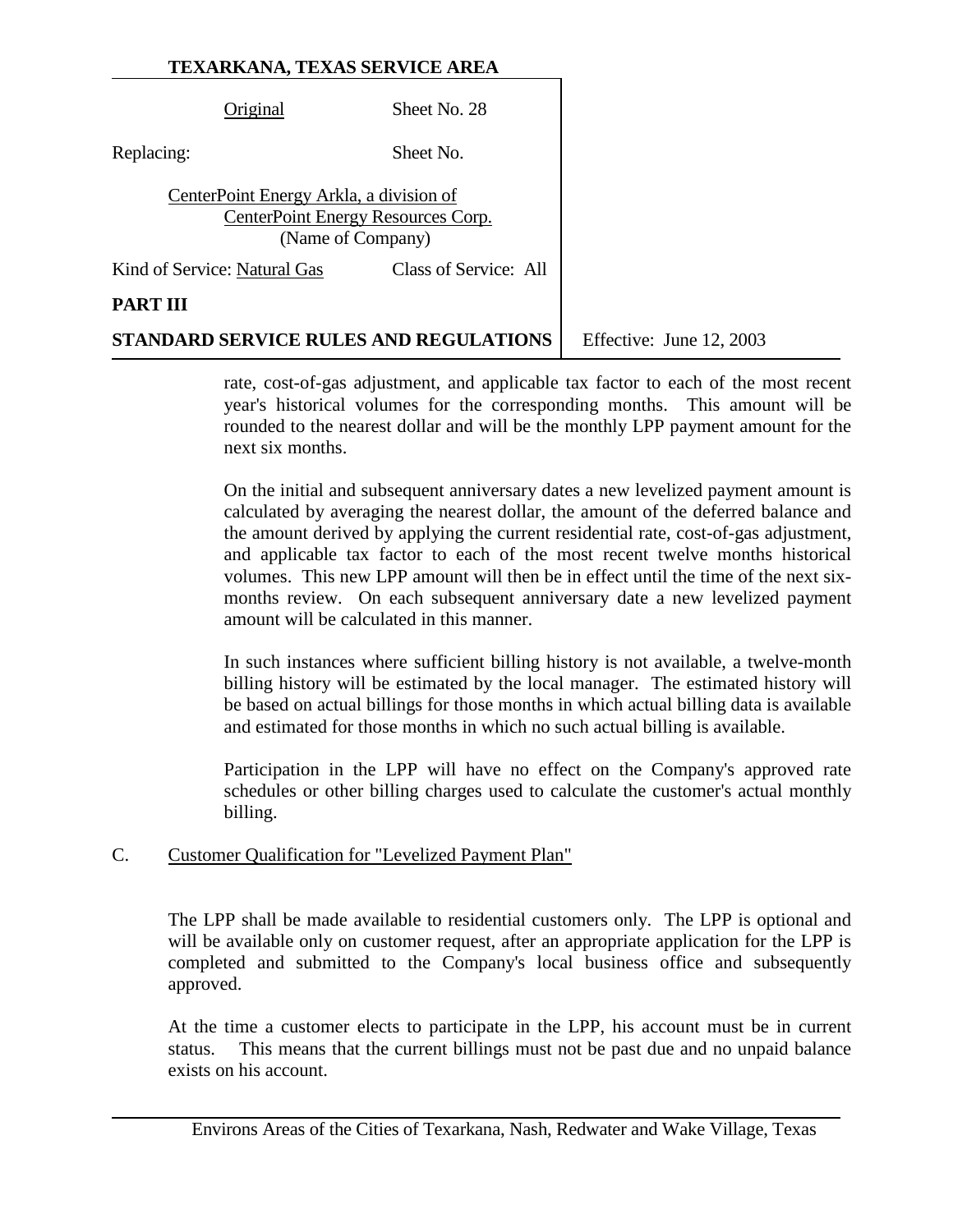|            | Original                                | Sheet No. 28                                            |                          |
|------------|-----------------------------------------|---------------------------------------------------------|--------------------------|
| Replacing: |                                         | Sheet No.                                               |                          |
|            | CenterPoint Energy Arkla, a division of | CenterPoint Energy Resources Corp.<br>(Name of Company) |                          |
|            | Kind of Service: Natural Gas            | Class of Service: All                                   |                          |
| PART III   |                                         |                                                         |                          |
|            |                                         | STANDARD SERVICE RULES AND REGULATIONS                  | Effective: June 12, 2003 |

rate, cost-of-gas adjustment, and applicable tax factor to each of the most recent year's historical volumes for the corresponding months. This amount will be rounded to the nearest dollar and will be the monthly LPP payment amount for the next six months.

On the initial and subsequent anniversary dates a new levelized payment amount is calculated by averaging the nearest dollar, the amount of the deferred balance and the amount derived by applying the current residential rate, cost-of-gas adjustment, and applicable tax factor to each of the most recent twelve months historical volumes. This new LPP amount will then be in effect until the time of the next sixmonths review. On each subsequent anniversary date a new levelized payment amount will be calculated in this manner.

In such instances where sufficient billing history is not available, a twelve-month billing history will be estimated by the local manager. The estimated history will be based on actual billings for those months in which actual billing data is available and estimated for those months in which no such actual billing is available.

Participation in the LPP will have no effect on the Company's approved rate schedules or other billing charges used to calculate the customer's actual monthly billing.

### C. Customer Qualification for "Levelized Payment Plan"

The LPP shall be made available to residential customers only. The LPP is optional and will be available only on customer request, after an appropriate application for the LPP is completed and submitted to the Company's local business office and subsequently approved.

At the time a customer elects to participate in the LPP, his account must be in current status. This means that the current billings must not be past due and no unpaid balance exists on his account.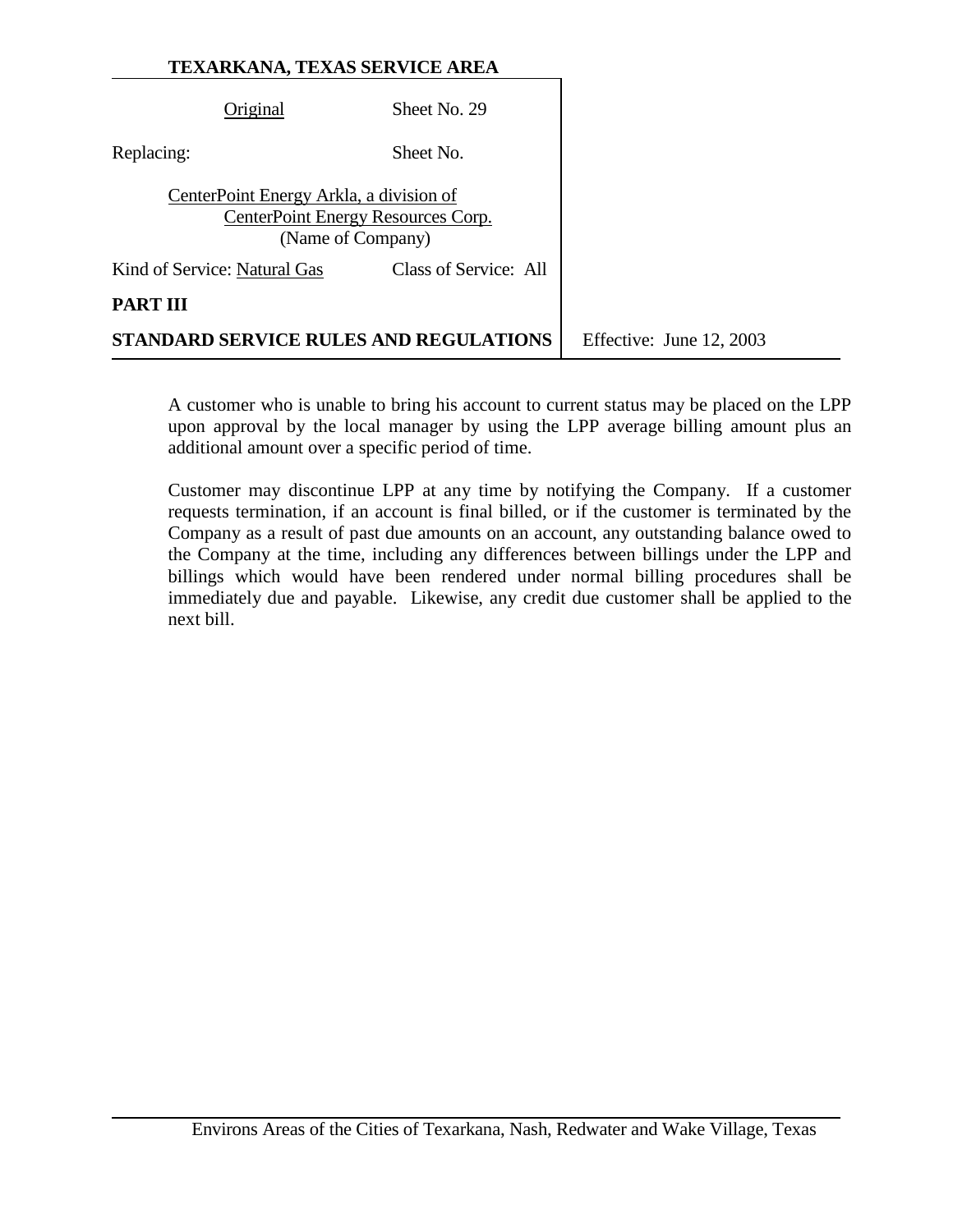|                 | Original                                | Sheet No. 29                                            |                          |
|-----------------|-----------------------------------------|---------------------------------------------------------|--------------------------|
| Replacing:      |                                         | Sheet No.                                               |                          |
|                 | CenterPoint Energy Arkla, a division of | CenterPoint Energy Resources Corp.<br>(Name of Company) |                          |
|                 | Kind of Service: Natural Gas            | Class of Service: All                                   |                          |
| <b>PART III</b> |                                         |                                                         |                          |
|                 |                                         | <b>STANDARD SERVICE RULES AND REGULATIONS</b>           | Effective: June 12, 2003 |

A customer who is unable to bring his account to current status may be placed on the LPP upon approval by the local manager by using the LPP average billing amount plus an additional amount over a specific period of time.

Customer may discontinue LPP at any time by notifying the Company. If a customer requests termination, if an account is final billed, or if the customer is terminated by the Company as a result of past due amounts on an account, any outstanding balance owed to the Company at the time, including any differences between billings under the LPP and billings which would have been rendered under normal billing procedures shall be immediately due and payable. Likewise, any credit due customer shall be applied to the next bill.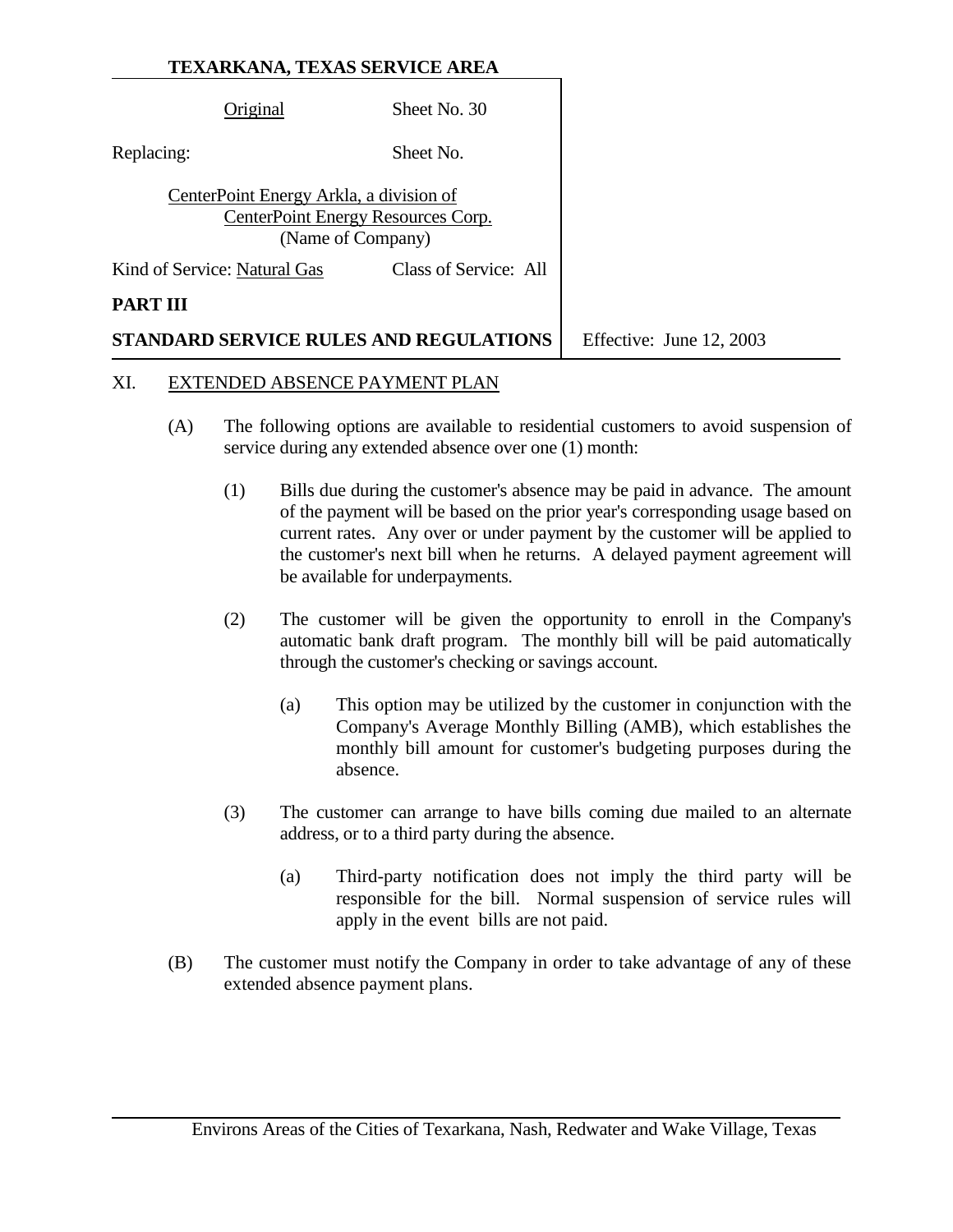| Original                                      | Sheet No. 30                       |                          |
|-----------------------------------------------|------------------------------------|--------------------------|
|                                               |                                    |                          |
| Replacing:                                    | Sheet No.                          |                          |
| CenterPoint Energy Arkla, a division of       |                                    |                          |
|                                               | CenterPoint Energy Resources Corp. |                          |
|                                               | (Name of Company)                  |                          |
| Kind of Service: Natural Gas                  | Class of Service: All              |                          |
| PART III                                      |                                    |                          |
| <b>STANDARD SERVICE RULES AND REGULATIONS</b> |                                    | Effective: June 12, 2003 |

#### XI. EXTENDED ABSENCE PAYMENT PLAN

- (A) The following options are available to residential customers to avoid suspension of service during any extended absence over one (1) month:
	- (1) Bills due during the customer's absence may be paid in advance. The amount of the payment will be based on the prior year's corresponding usage based on current rates. Any over or under payment by the customer will be applied to the customer's next bill when he returns. A delayed payment agreement will be available for underpayments.
	- (2) The customer will be given the opportunity to enroll in the Company's automatic bank draft program. The monthly bill will be paid automatically through the customer's checking or savings account.
		- (a) This option may be utilized by the customer in conjunction with the Company's Average Monthly Billing (AMB), which establishes the monthly bill amount for customer's budgeting purposes during the absence.
	- (3) The customer can arrange to have bills coming due mailed to an alternate address, or to a third party during the absence.
		- (a) Third-party notification does not imply the third party will be responsible for the bill. Normal suspension of service rules will apply in the event bills are not paid.
- (B) The customer must notify the Company in order to take advantage of any of these extended absence payment plans.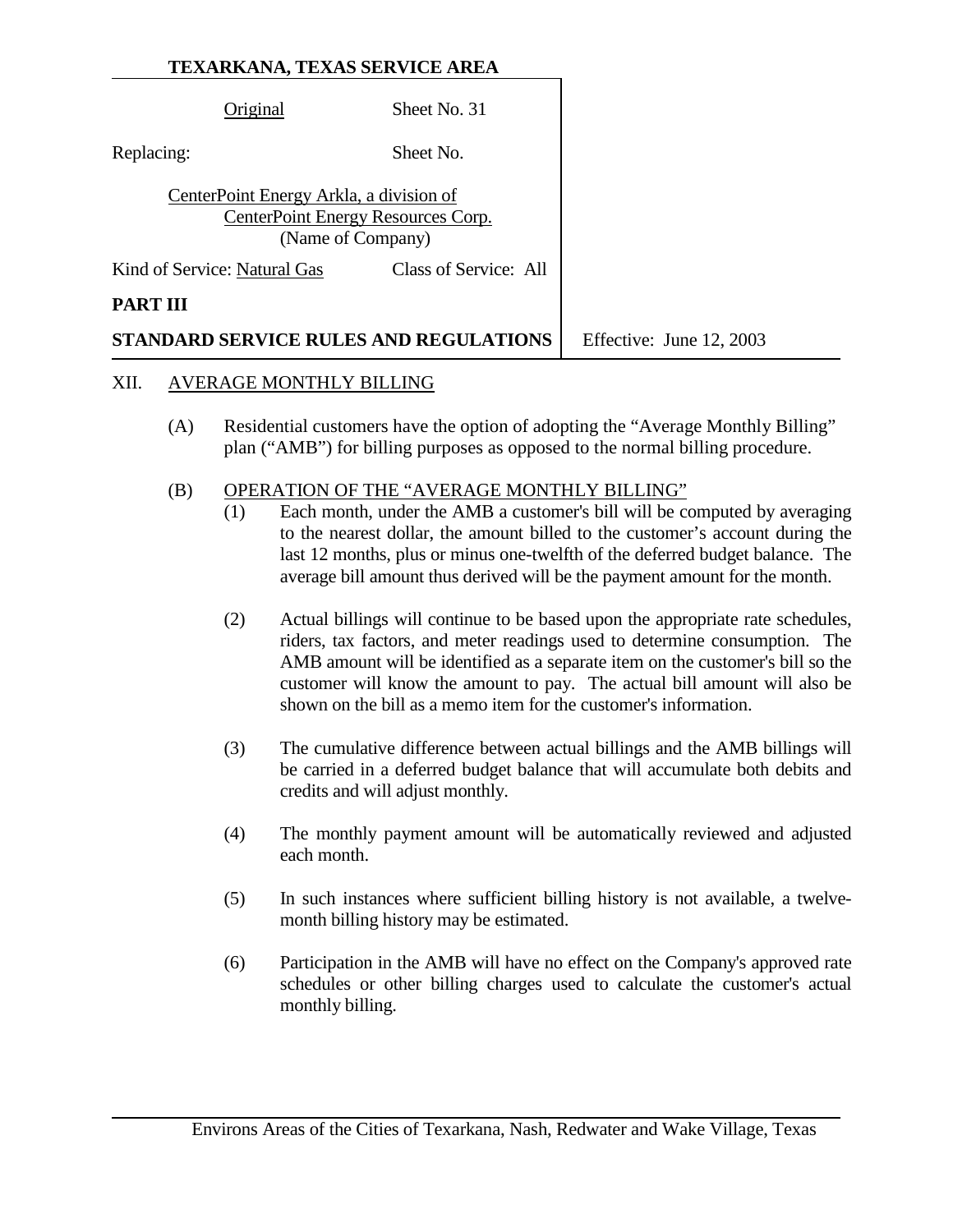|            | Original                                                     | Sheet No. 31                           |                          |
|------------|--------------------------------------------------------------|----------------------------------------|--------------------------|
| Replacing: |                                                              | Sheet No.                              |                          |
|            | CenterPoint Energy Arkla, a division of<br>(Name of Company) | CenterPoint Energy Resources Corp.     |                          |
|            | Kind of Service: Natural Gas                                 | Class of Service: All                  |                          |
| PART III   |                                                              |                                        |                          |
|            |                                                              | STANDARD SERVICE RULES AND REGULATIONS | Effective: June 12, 2003 |

#### XII. AVERAGE MONTHLY BILLING

- (A) Residential customers have the option of adopting the "Average Monthly Billing" plan ("AMB") for billing purposes as opposed to the normal billing procedure.
- (B) OPERATION OF THE "AVERAGE MONTHLY BILLING"
	- (1) Each month, under the AMB a customer's bill will be computed by averaging to the nearest dollar, the amount billed to the customer's account during the last 12 months, plus or minus one-twelfth of the deferred budget balance. The average bill amount thus derived will be the payment amount for the month.
	- (2) Actual billings will continue to be based upon the appropriate rate schedules, riders, tax factors, and meter readings used to determine consumption. The AMB amount will be identified as a separate item on the customer's bill so the customer will know the amount to pay. The actual bill amount will also be shown on the bill as a memo item for the customer's information.
	- (3) The cumulative difference between actual billings and the AMB billings will be carried in a deferred budget balance that will accumulate both debits and credits and will adjust monthly.
	- (4) The monthly payment amount will be automatically reviewed and adjusted each month.
	- (5) In such instances where sufficient billing history is not available, a twelvemonth billing history may be estimated.
	- (6) Participation in the AMB will have no effect on the Company's approved rate schedules or other billing charges used to calculate the customer's actual monthly billing.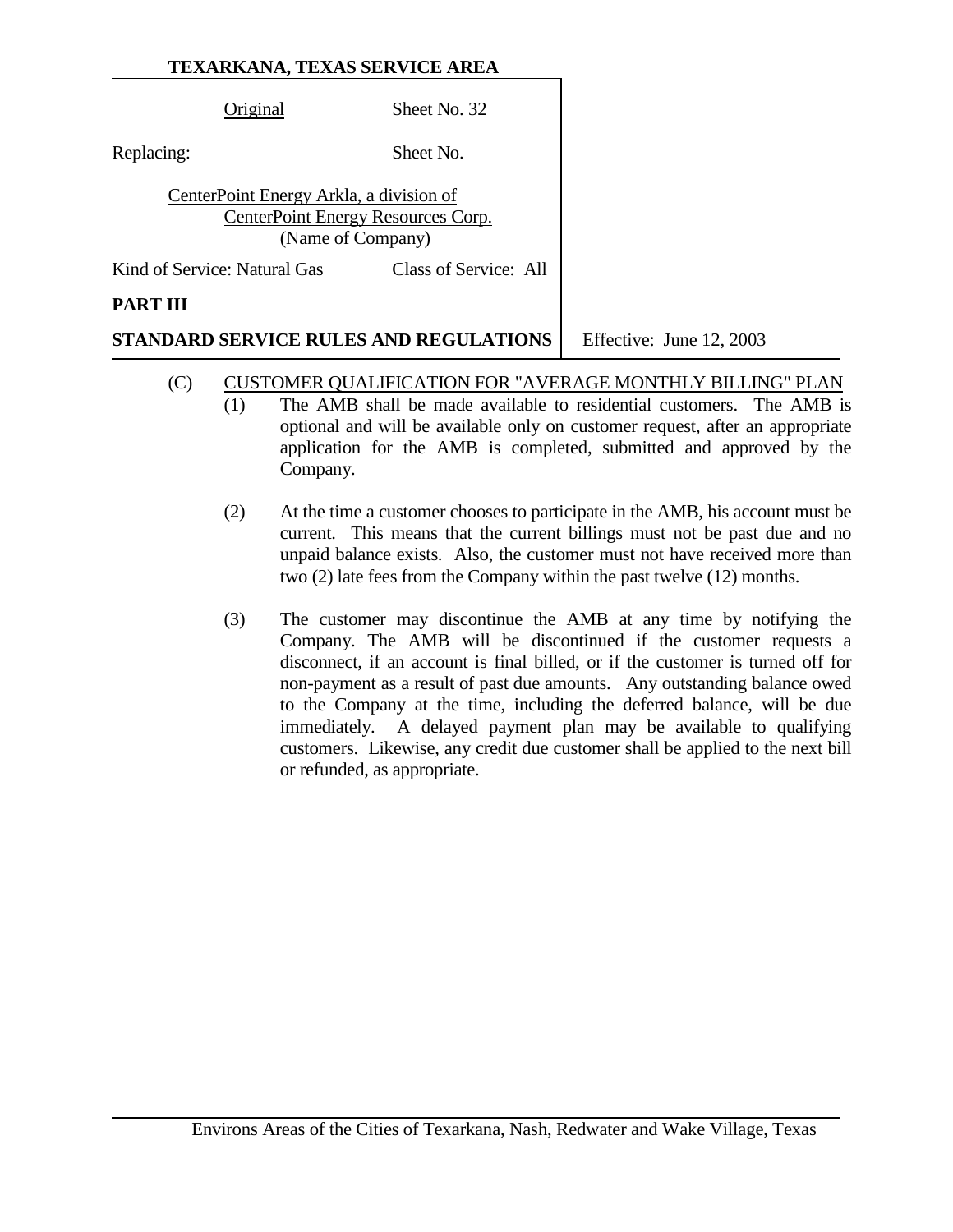| Original                     | Sheet No. 32                                                                                       |
|------------------------------|----------------------------------------------------------------------------------------------------|
| Replacing:                   | Sheet No.                                                                                          |
|                              | CenterPoint Energy Arkla, a division of<br>CenterPoint Energy Resources Corp.<br>(Name of Company) |
| Kind of Service: Natural Gas | Class of Service: All                                                                              |
| PART III                     |                                                                                                    |

**STANDARD SERVICE RULES AND REGULATIONS** Feffective: June 12, 2003

- (C) CUSTOMER QUALIFICATION FOR "AVERAGE MONTHLY BILLING" PLAN (1) The AMB shall be made available to residential customers. The AMB is optional and will be available only on customer request, after an appropriate application for the AMB is completed, submitted and approved by the Company.
	- (2) At the time a customer chooses to participate in the AMB, his account must be current. This means that the current billings must not be past due and no unpaid balance exists. Also, the customer must not have received more than two (2) late fees from the Company within the past twelve (12) months.
	- (3) The customer may discontinue the AMB at any time by notifying the Company. The AMB will be discontinued if the customer requests a disconnect, if an account is final billed, or if the customer is turned off for non-payment as a result of past due amounts. Any outstanding balance owed to the Company at the time, including the deferred balance, will be due immediately. A delayed payment plan may be available to qualifying customers. Likewise, any credit due customer shall be applied to the next bill or refunded, as appropriate.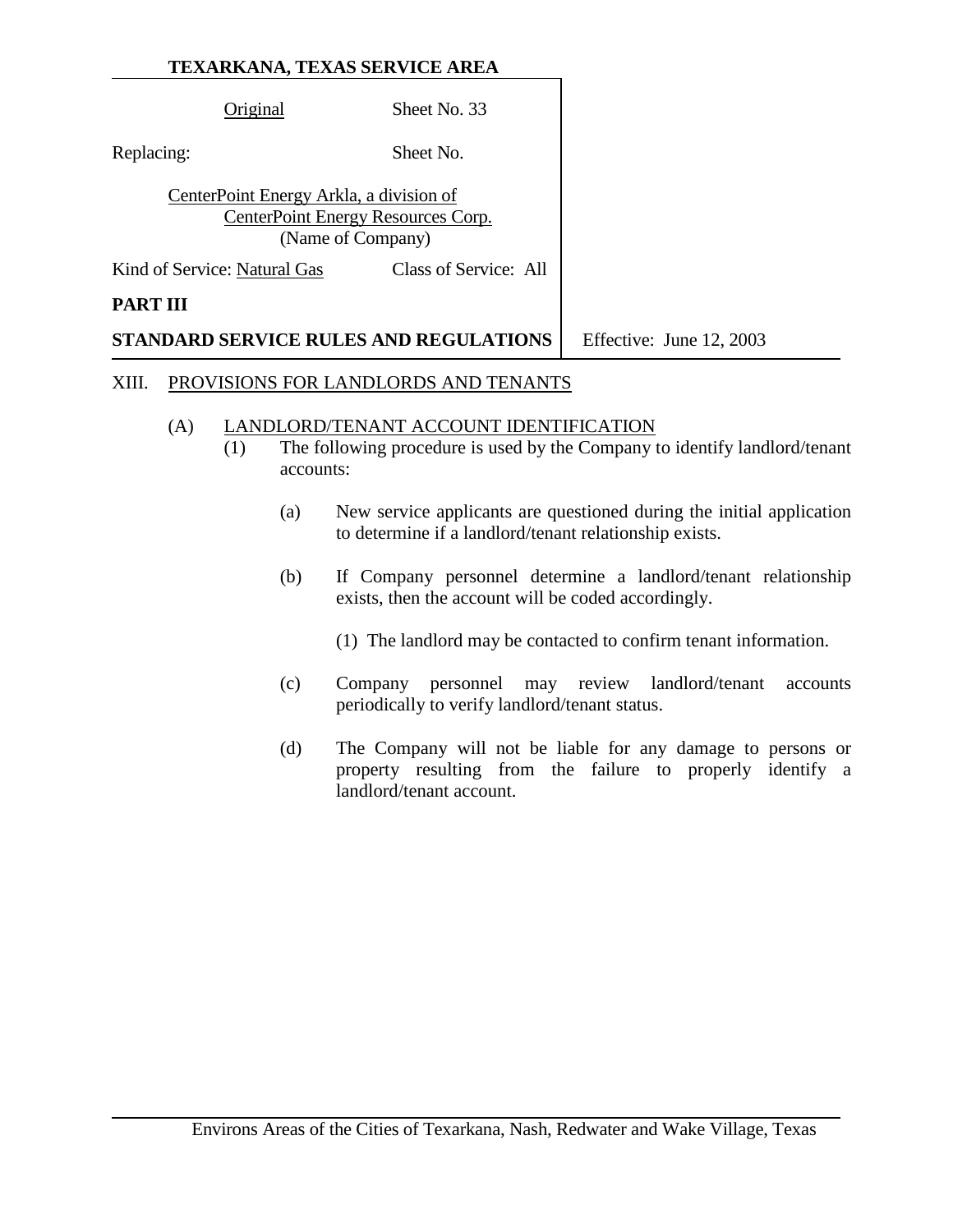|            | Original                                | Sheet No. 33                                            |                          |
|------------|-----------------------------------------|---------------------------------------------------------|--------------------------|
| Replacing: |                                         | Sheet No.                                               |                          |
|            | CenterPoint Energy Arkla, a division of | CenterPoint Energy Resources Corp.<br>(Name of Company) |                          |
|            | Kind of Service: Natural Gas            | Class of Service: All                                   |                          |
| PART III   |                                         |                                                         |                          |
|            |                                         | STANDARD SERVICE RULES AND REGULATIONS                  | Effective: June 12, 2003 |

### XIII. PROVISIONS FOR LANDLORDS AND TENANTS

#### (A) LANDLORD/TENANT ACCOUNT IDENTIFICATION

- (1) The following procedure is used by the Company to identify landlord/tenant accounts:
	- (a) New service applicants are questioned during the initial application to determine if a landlord/tenant relationship exists.
	- (b) If Company personnel determine a landlord/tenant relationship exists, then the account will be coded accordingly.
		- (1) The landlord may be contacted to confirm tenant information.
	- (c) Company personnel may review landlord/tenant accounts periodically to verify landlord/tenant status.
	- (d) The Company will not be liable for any damage to persons or property resulting from the failure to properly identify a landlord/tenant account.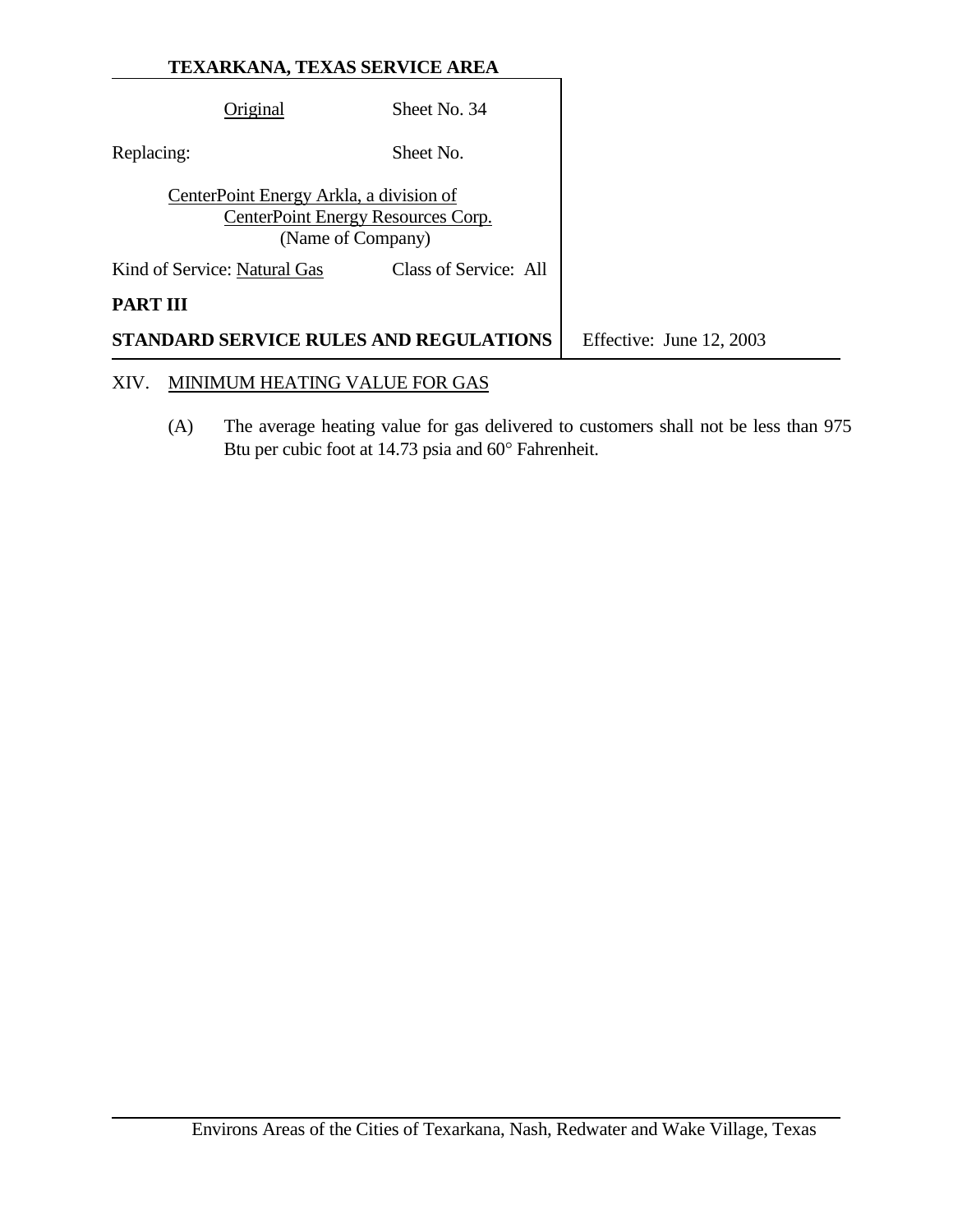| TEXARKANA, TEXAS SERVICE AREA                                                                      |                       |                          |
|----------------------------------------------------------------------------------------------------|-----------------------|--------------------------|
| Original                                                                                           | Sheet No. 34          |                          |
| Replacing:                                                                                         | Sheet No.             |                          |
| CenterPoint Energy Arkla, a division of<br>CenterPoint Energy Resources Corp.<br>(Name of Company) |                       |                          |
| Kind of Service: Natural Gas                                                                       | Class of Service: All |                          |
| PART III                                                                                           |                       |                          |
| STANDARD SERVICE RULES AND REGULATIONS                                                             |                       | Effective: June 12, 2003 |

# XIV. MINIMUM HEATING VALUE FOR GAS

(A) The average heating value for gas delivered to customers shall not be less than 975 Btu per cubic foot at 14.73 psia and 60° Fahrenheit.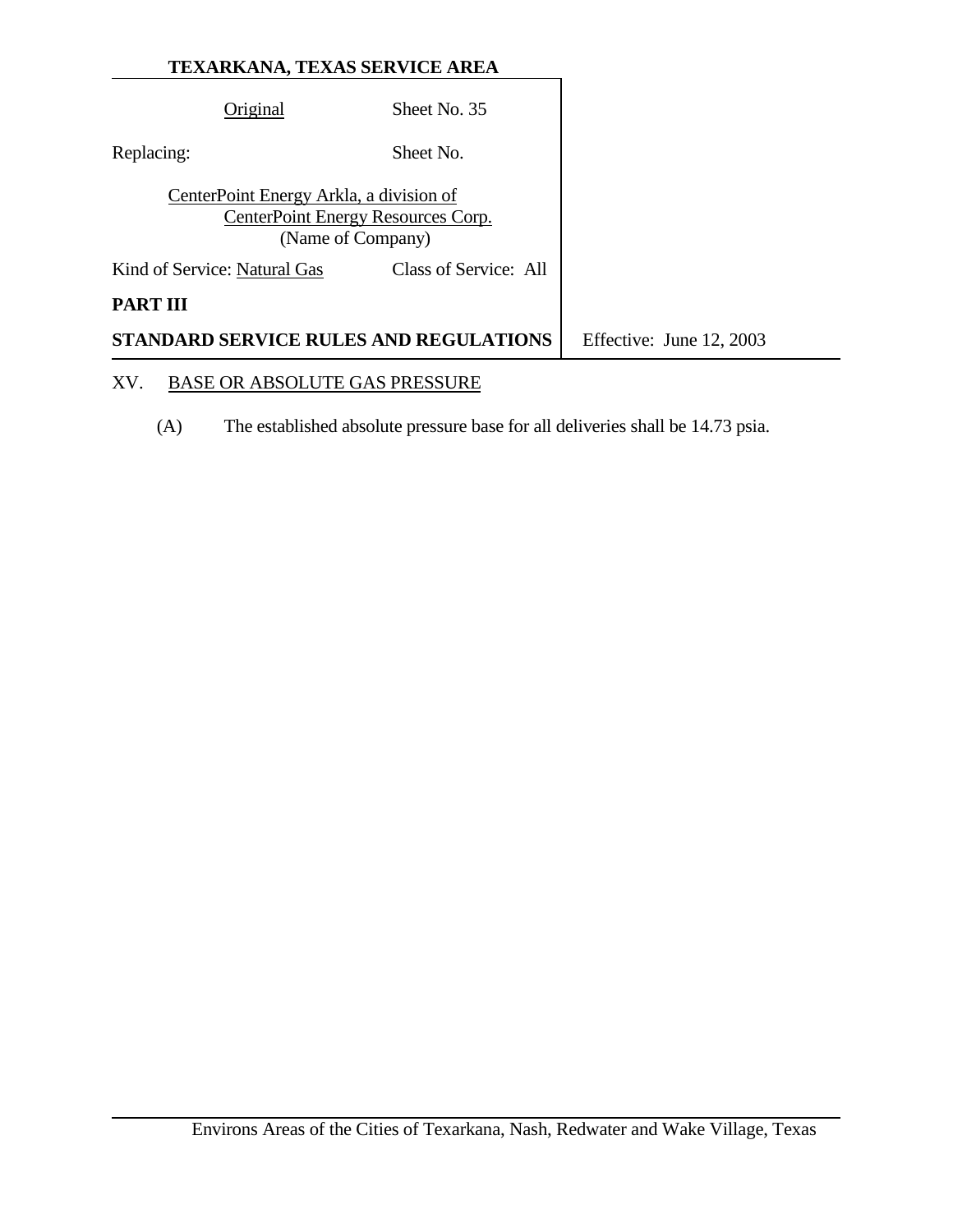|                                                                                                    | Original                     | Sheet No. 35                                  |                          |
|----------------------------------------------------------------------------------------------------|------------------------------|-----------------------------------------------|--------------------------|
| Replacing:                                                                                         |                              | Sheet No.                                     |                          |
| CenterPoint Energy Arkla, a division of<br>CenterPoint Energy Resources Corp.<br>(Name of Company) |                              |                                               |                          |
|                                                                                                    | Kind of Service: Natural Gas | Class of Service: All                         |                          |
| PART III                                                                                           |                              |                                               |                          |
|                                                                                                    |                              | <b>STANDARD SERVICE RULES AND REGULATIONS</b> | Effective: June 12, 2003 |

# XV. BASE OR ABSOLUTE GAS PRESSURE

(A) The established absolute pressure base for all deliveries shall be 14.73 psia.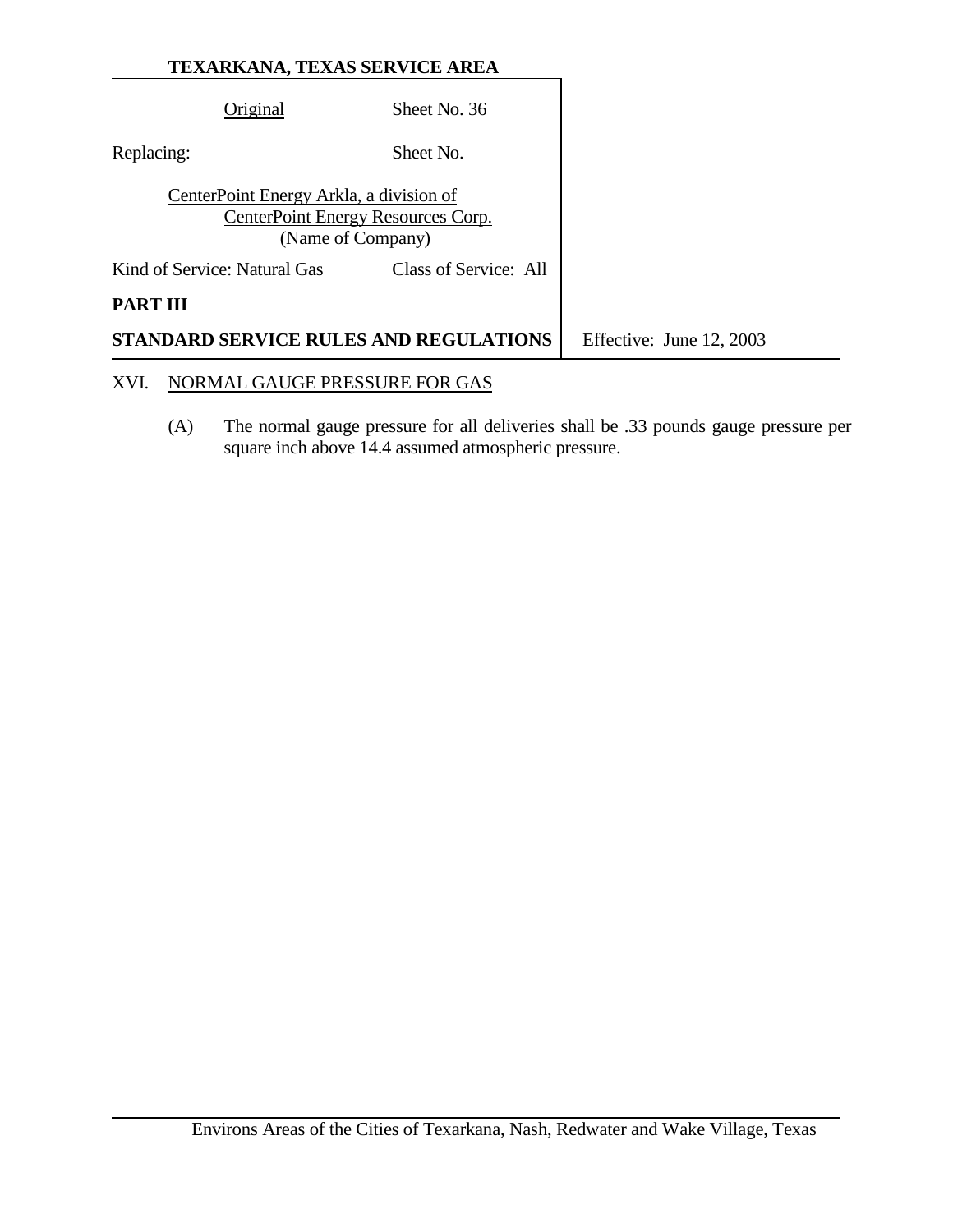| TEXARKANA, TEXAS SERVICE AREA           |                                                         |                          |
|-----------------------------------------|---------------------------------------------------------|--------------------------|
| Original                                | Sheet No. 36                                            |                          |
| Replacing:                              | Sheet No.                                               |                          |
| CenterPoint Energy Arkla, a division of | CenterPoint Energy Resources Corp.<br>(Name of Company) |                          |
| Kind of Service: Natural Gas            | Class of Service: All                                   |                          |
| PART III                                |                                                         |                          |
| STANDARD SERVICE RULES AND REGULATIONS  |                                                         | Effective: June 12, 2003 |

# XVI. NORMAL GAUGE PRESSURE FOR GAS

(A) The normal gauge pressure for all deliveries shall be .33 pounds gauge pressure per square inch above 14.4 assumed atmospheric pressure.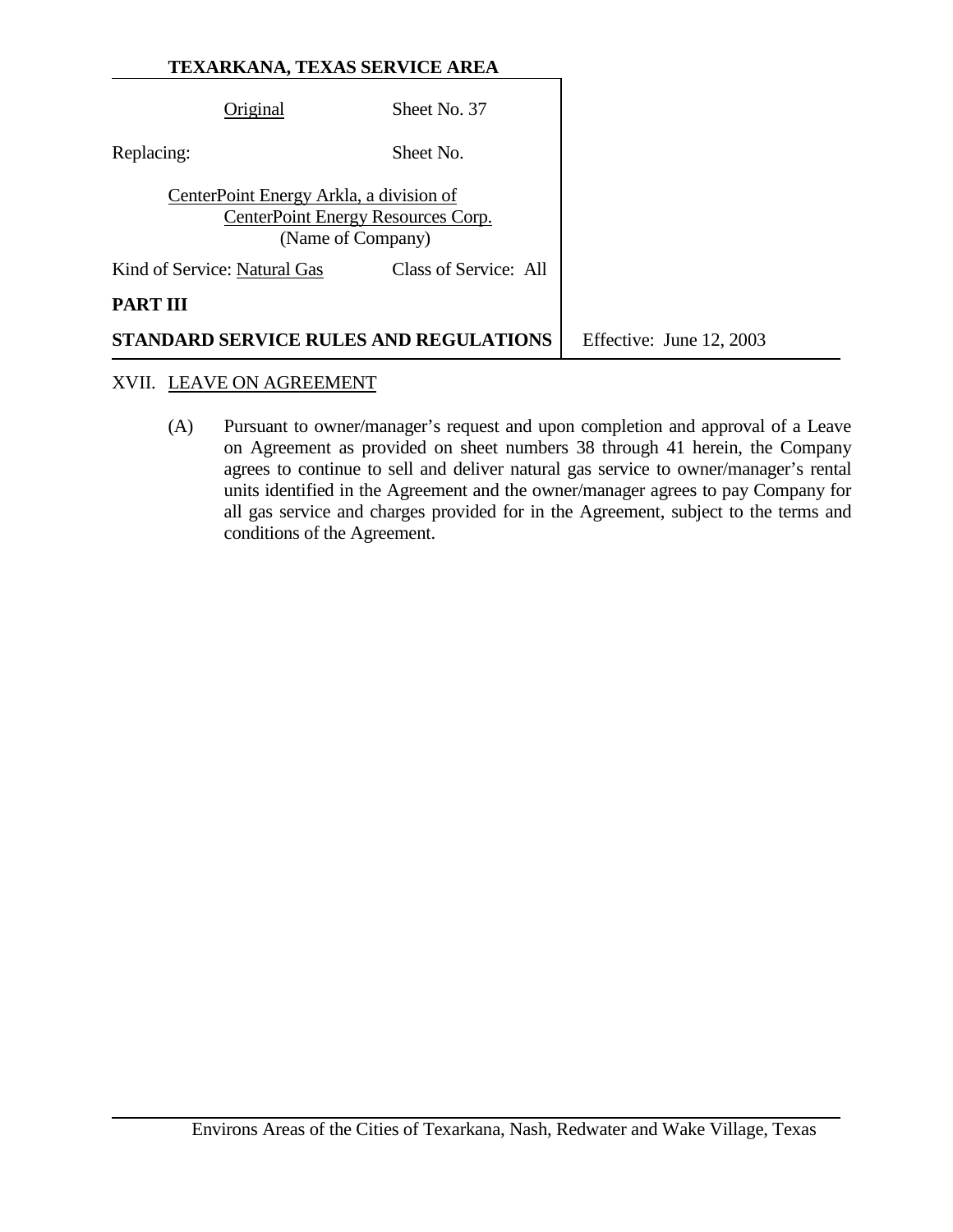| Original                     | Sheet No. 37                                                                                       |                          |
|------------------------------|----------------------------------------------------------------------------------------------------|--------------------------|
| Replacing:                   | Sheet No.                                                                                          |                          |
|                              | CenterPoint Energy Arkla, a division of<br>CenterPoint Energy Resources Corp.<br>(Name of Company) |                          |
| Kind of Service: Natural Gas | Class of Service: All                                                                              |                          |
| PART III                     |                                                                                                    |                          |
|                              | STANDARD SERVICE RULES AND REGULATIONS                                                             | Effective: June 12, 2003 |

#### XVII. LEAVE ON AGREEMENT

(A) Pursuant to owner/manager's request and upon completion and approval of a Leave on Agreement as provided on sheet numbers 38 through 41 herein, the Company agrees to continue to sell and deliver natural gas service to owner/manager's rental units identified in the Agreement and the owner/manager agrees to pay Company for all gas service and charges provided for in the Agreement, subject to the terms and conditions of the Agreement.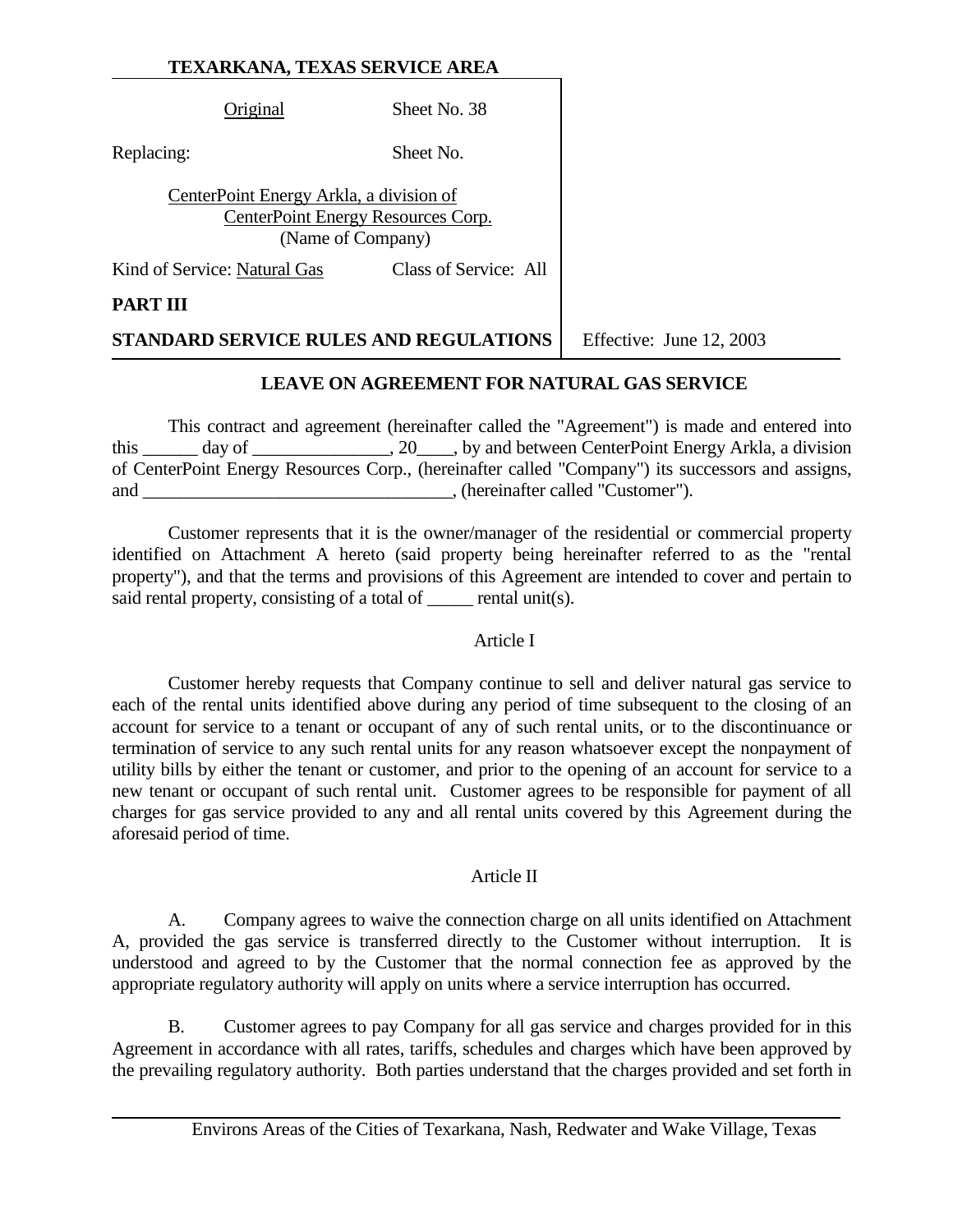Original Sheet No. 38

Replacing: Sheet No.

CenterPoint Energy Arkla, a division of CenterPoint Energy Resources Corp. (Name of Company)

Kind of Service: Natural Gas Class of Service: All

### **PART III**

**STANDARD SERVICE RULES AND REGULATIONS** Feffective: June 12, 2003

# **LEAVE ON AGREEMENT FOR NATURAL GAS SERVICE**

This contract and agreement (hereinafter called the "Agreement") is made and entered into this day of  $\qquad \qquad$ , 20  $\qquad$ , by and between CenterPoint Energy Arkla, a division of CenterPoint Energy Resources Corp., (hereinafter called "Company") its successors and assigns, and \_\_\_\_\_\_\_\_\_\_\_\_\_\_\_\_\_\_\_\_\_\_\_\_\_\_\_\_, (hereinafter called "Customer").

Customer represents that it is the owner/manager of the residential or commercial property identified on Attachment A hereto (said property being hereinafter referred to as the "rental property"), and that the terms and provisions of this Agreement are intended to cover and pertain to said rental property, consisting of a total of <u>equal unit</u> consisting of a total of  $\Box$ 

### Article I

Customer hereby requests that Company continue to sell and deliver natural gas service to each of the rental units identified above during any period of time subsequent to the closing of an account for service to a tenant or occupant of any of such rental units, or to the discontinuance or termination of service to any such rental units for any reason whatsoever except the nonpayment of utility bills by either the tenant or customer, and prior to the opening of an account for service to a new tenant or occupant of such rental unit. Customer agrees to be responsible for payment of all charges for gas service provided to any and all rental units covered by this Agreement during the aforesaid period of time.

### Article II

A. Company agrees to waive the connection charge on all units identified on Attachment A, provided the gas service is transferred directly to the Customer without interruption. It is understood and agreed to by the Customer that the normal connection fee as approved by the appropriate regulatory authority will apply on units where a service interruption has occurred.

B. Customer agrees to pay Company for all gas service and charges provided for in this Agreement in accordance with all rates, tariffs, schedules and charges which have been approved by the prevailing regulatory authority. Both parties understand that the charges provided and set forth in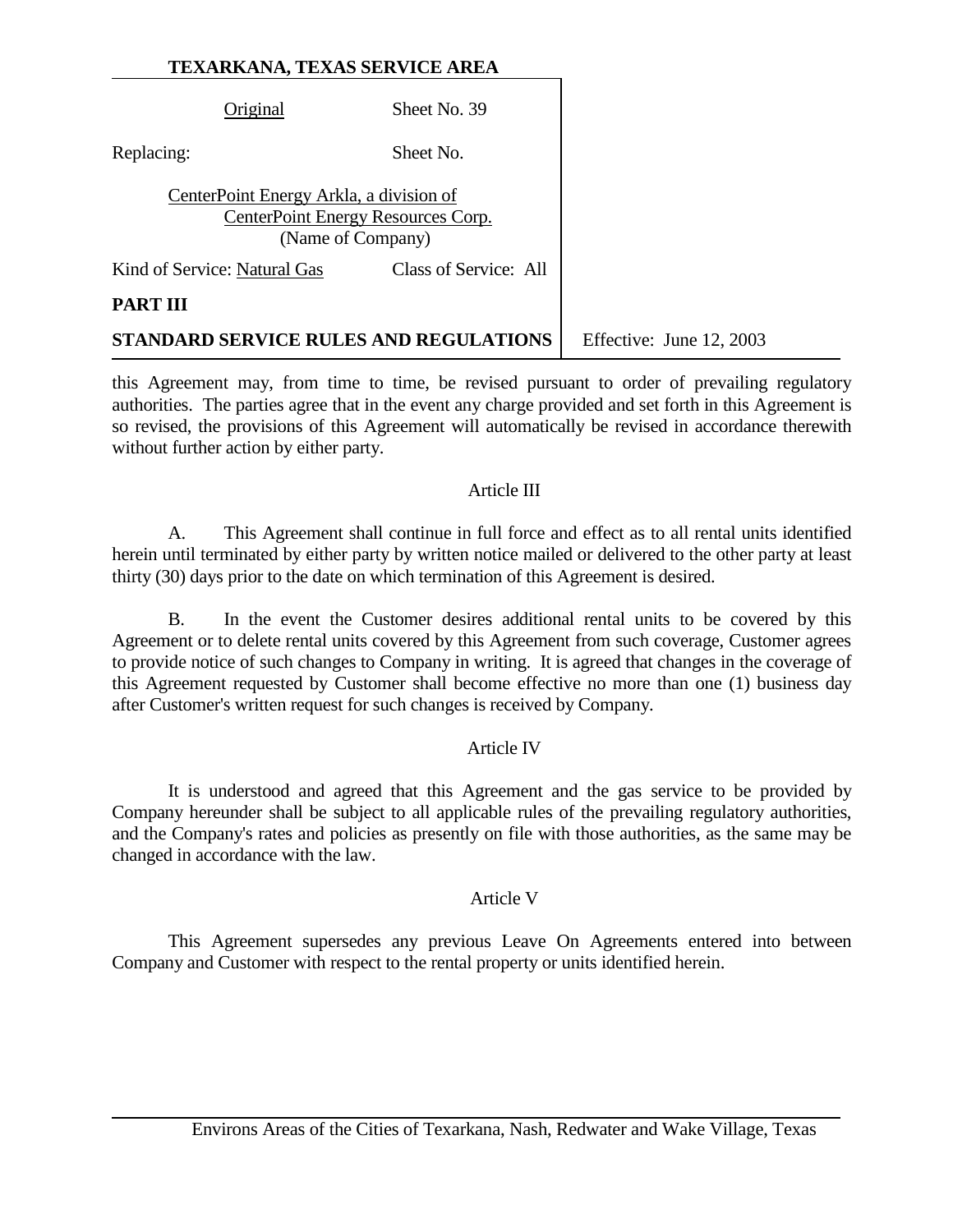|                                                                                                    | Original                     | Sheet No. 39                                  |                          |
|----------------------------------------------------------------------------------------------------|------------------------------|-----------------------------------------------|--------------------------|
| Replacing:                                                                                         |                              | Sheet No.                                     |                          |
| CenterPoint Energy Arkla, a division of<br>CenterPoint Energy Resources Corp.<br>(Name of Company) |                              |                                               |                          |
|                                                                                                    | Kind of Service: Natural Gas | Class of Service: All                         |                          |
| <b>PART III</b>                                                                                    |                              |                                               |                          |
|                                                                                                    |                              | <b>STANDARD SERVICE RULES AND REGULATIONS</b> | Effective: June 12, 2003 |

this Agreement may, from time to time, be revised pursuant to order of prevailing regulatory authorities. The parties agree that in the event any charge provided and set forth in this Agreement is so revised, the provisions of this Agreement will automatically be revised in accordance therewith without further action by either party.

#### Article III

A. This Agreement shall continue in full force and effect as to all rental units identified herein until terminated by either party by written notice mailed or delivered to the other party at least thirty (30) days prior to the date on which termination of this Agreement is desired.

B. In the event the Customer desires additional rental units to be covered by this Agreement or to delete rental units covered by this Agreement from such coverage, Customer agrees to provide notice of such changes to Company in writing. It is agreed that changes in the coverage of this Agreement requested by Customer shall become effective no more than one (1) business day after Customer's written request for such changes is received by Company.

### Article IV

It is understood and agreed that this Agreement and the gas service to be provided by Company hereunder shall be subject to all applicable rules of the prevailing regulatory authorities, and the Company's rates and policies as presently on file with those authorities, as the same may be changed in accordance with the law.

### Article V

This Agreement supersedes any previous Leave On Agreements entered into between Company and Customer with respect to the rental property or units identified herein.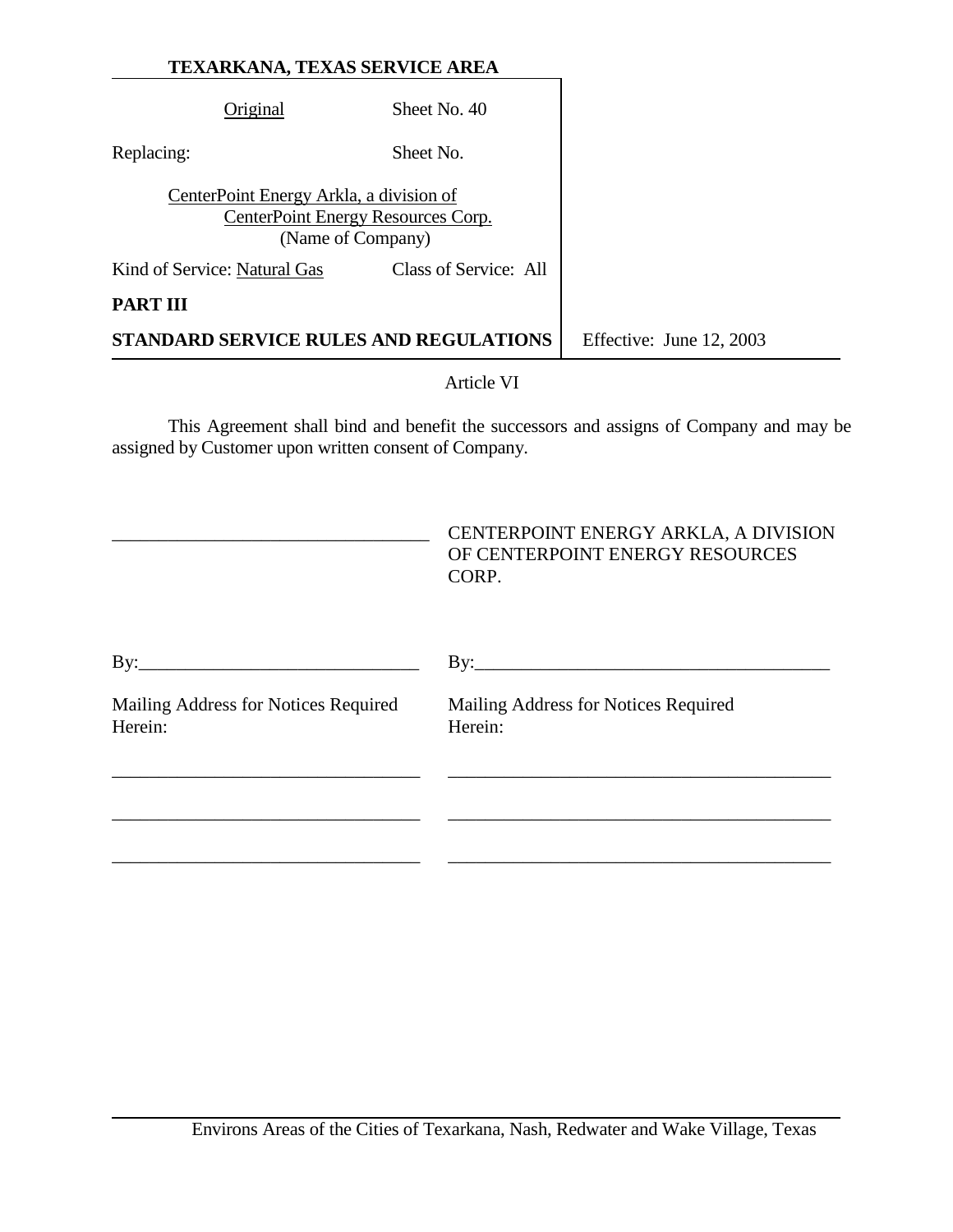| TEXARKANA, TEXAS SERVICE AREA |                                         |                                                         |                          |
|-------------------------------|-----------------------------------------|---------------------------------------------------------|--------------------------|
|                               | Original                                | Sheet No. 40                                            |                          |
| Replacing:                    |                                         | Sheet No.                                               |                          |
|                               | CenterPoint Energy Arkla, a division of | CenterPoint Energy Resources Corp.<br>(Name of Company) |                          |
|                               | Kind of Service: Natural Gas            | Class of Service: All                                   |                          |
| <b>PART III</b>               |                                         |                                                         |                          |
|                               |                                         | <b>STANDARD SERVICE RULES AND REGULATIONS</b>           | Effective: June 12, 2003 |

# Article VI

This Agreement shall bind and benefit the successors and assigns of Company and may be assigned by Customer upon written consent of Company.

|                                                 | CENTERPOINT ENERGY ARKLA, A DIVISION<br>OF CENTERPOINT ENERGY RESOURCES<br>CORP. |
|-------------------------------------------------|----------------------------------------------------------------------------------|
|                                                 |                                                                                  |
| Mailing Address for Notices Required<br>Herein: | Mailing Address for Notices Required<br>Herein:                                  |
|                                                 |                                                                                  |
|                                                 |                                                                                  |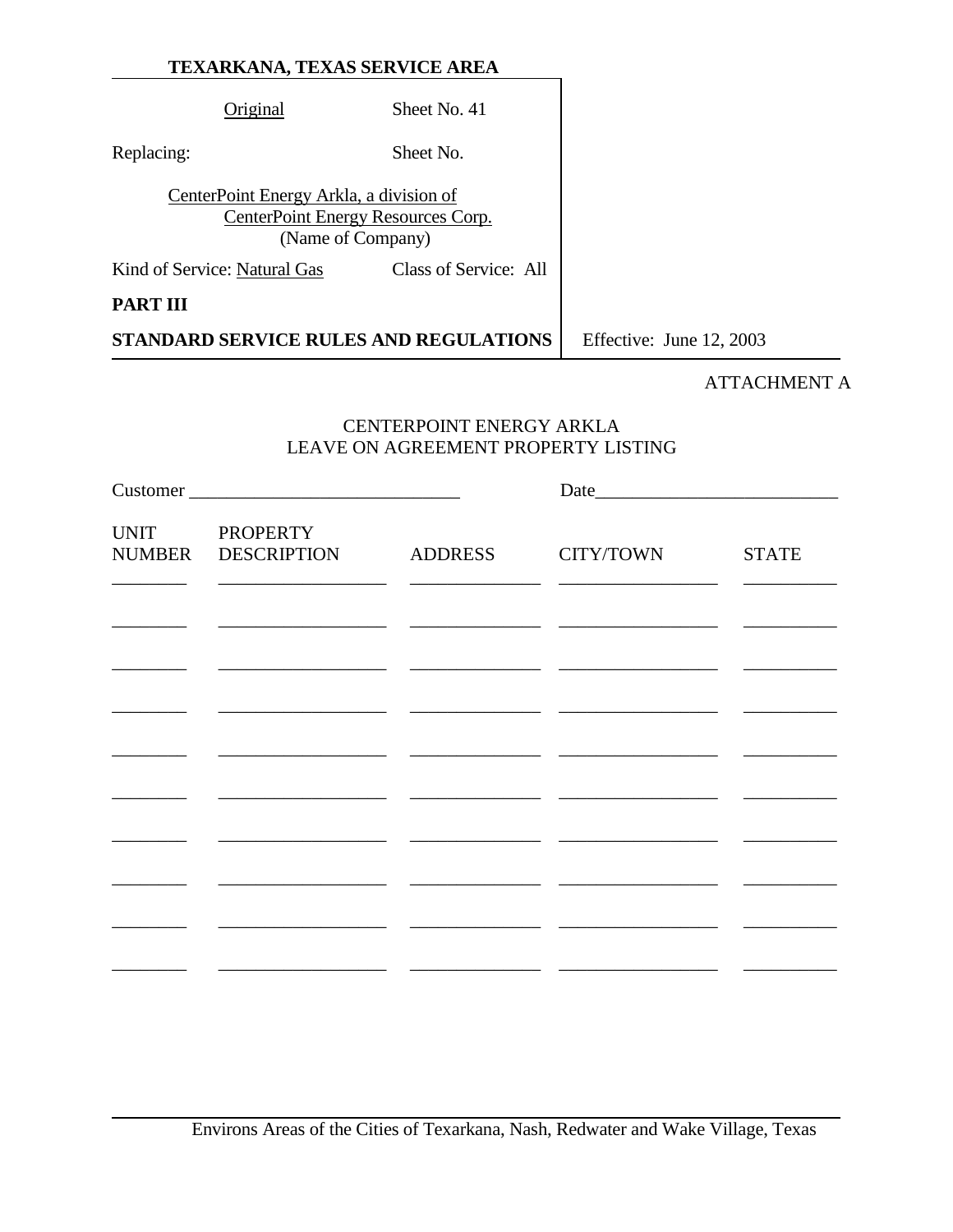|                              | Original                                                                                           | Sheet No. 41                           |                          |
|------------------------------|----------------------------------------------------------------------------------------------------|----------------------------------------|--------------------------|
| Replacing:                   |                                                                                                    | Sheet No.                              |                          |
|                              | CenterPoint Energy Arkla, a division of<br>CenterPoint Energy Resources Corp.<br>(Name of Company) |                                        |                          |
| Kind of Service: Natural Gas |                                                                                                    | Class of Service: All                  |                          |
| PART III                     |                                                                                                    |                                        |                          |
|                              |                                                                                                    | STANDARD SERVICE RULES AND REGULATIONS | Effective: June 12, 2003 |

# ATTACHMENT A

# CENTERPOINT ENERGY ARKLA LEAVE ON AGREEMENT PROPERTY LISTING

| Customer    |                                       |                |           |              |
|-------------|---------------------------------------|----------------|-----------|--------------|
| <b>UNIT</b> | <b>PROPERTY</b><br>NUMBER DESCRIPTION | <b>ADDRESS</b> | CITY/TOWN | <b>STATE</b> |
|             |                                       |                |           |              |
|             |                                       |                |           |              |
|             |                                       |                |           |              |
|             |                                       |                |           |              |
|             |                                       |                |           |              |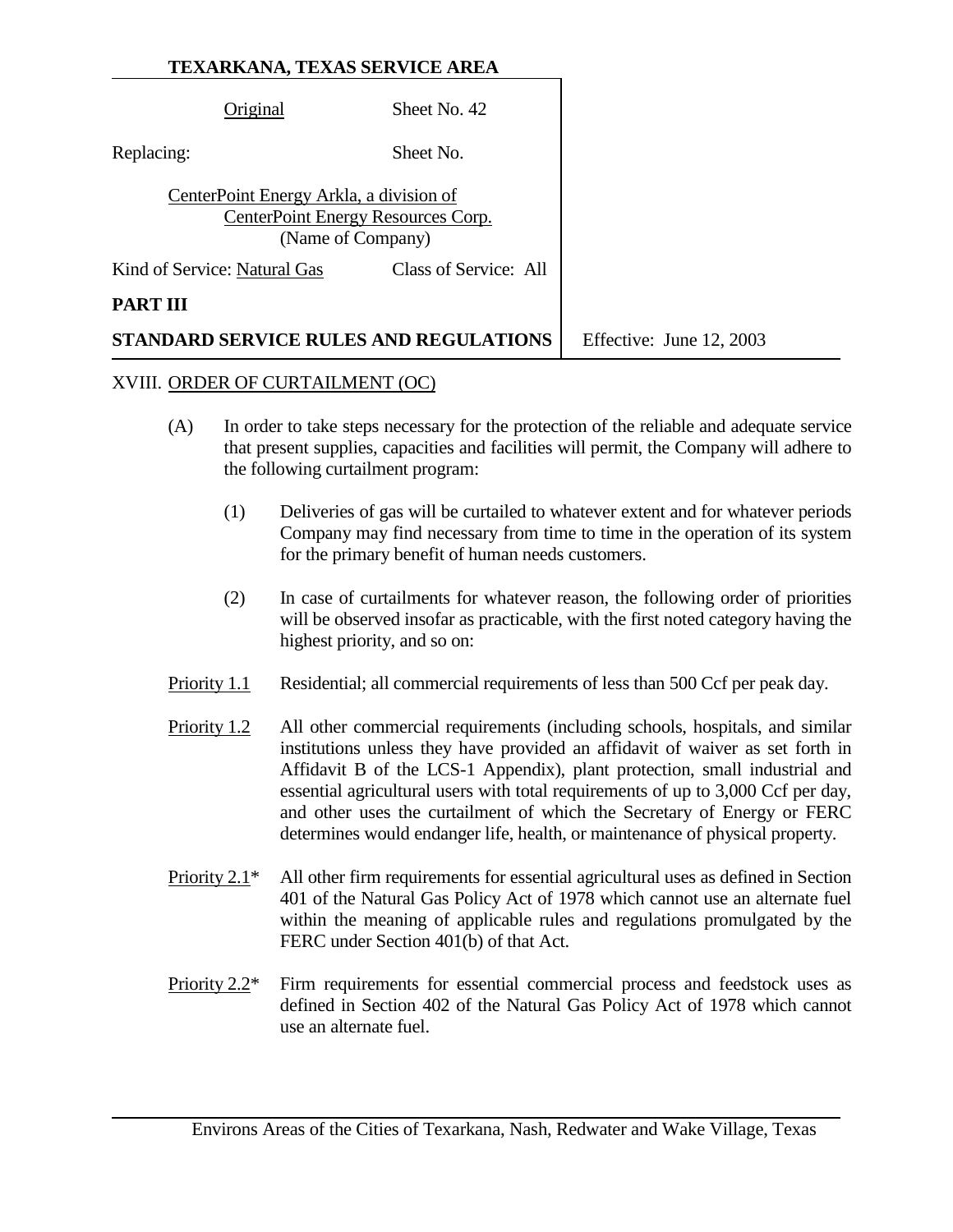|                                                                                                    | Original                     | Sheet No. 42                           |                          |
|----------------------------------------------------------------------------------------------------|------------------------------|----------------------------------------|--------------------------|
| Replacing:                                                                                         |                              | Sheet No.                              |                          |
| CenterPoint Energy Arkla, a division of<br>CenterPoint Energy Resources Corp.<br>(Name of Company) |                              |                                        |                          |
|                                                                                                    | Kind of Service: Natural Gas | Class of Service: All                  |                          |
| PART III                                                                                           |                              |                                        |                          |
|                                                                                                    |                              | STANDARD SERVICE RULES AND REGULATIONS | Effective: June 12, 2003 |

#### XVIII. ORDER OF CURTAILMENT (OC)

- (A) In order to take steps necessary for the protection of the reliable and adequate service that present supplies, capacities and facilities will permit, the Company will adhere to the following curtailment program:
	- (1) Deliveries of gas will be curtailed to whatever extent and for whatever periods Company may find necessary from time to time in the operation of its system for the primary benefit of human needs customers.
	- (2) In case of curtailments for whatever reason, the following order of priorities will be observed insofar as practicable, with the first noted category having the highest priority, and so on:
- Priority 1.1 Residential; all commercial requirements of less than 500 Ccf per peak day.
- Priority 1.2 All other commercial requirements (including schools, hospitals, and similar institutions unless they have provided an affidavit of waiver as set forth in Affidavit B of the LCS-1 Appendix), plant protection, small industrial and essential agricultural users with total requirements of up to 3,000 Ccf per day, and other uses the curtailment of which the Secretary of Energy or FERC determines would endanger life, health, or maintenance of physical property.
- Priority 2.1\* All other firm requirements for essential agricultural uses as defined in Section 401 of the Natural Gas Policy Act of 1978 which cannot use an alternate fuel within the meaning of applicable rules and regulations promulgated by the FERC under Section 401(b) of that Act.
- Priority 2.2\* Firm requirements for essential commercial process and feedstock uses as defined in Section 402 of the Natural Gas Policy Act of 1978 which cannot use an alternate fuel.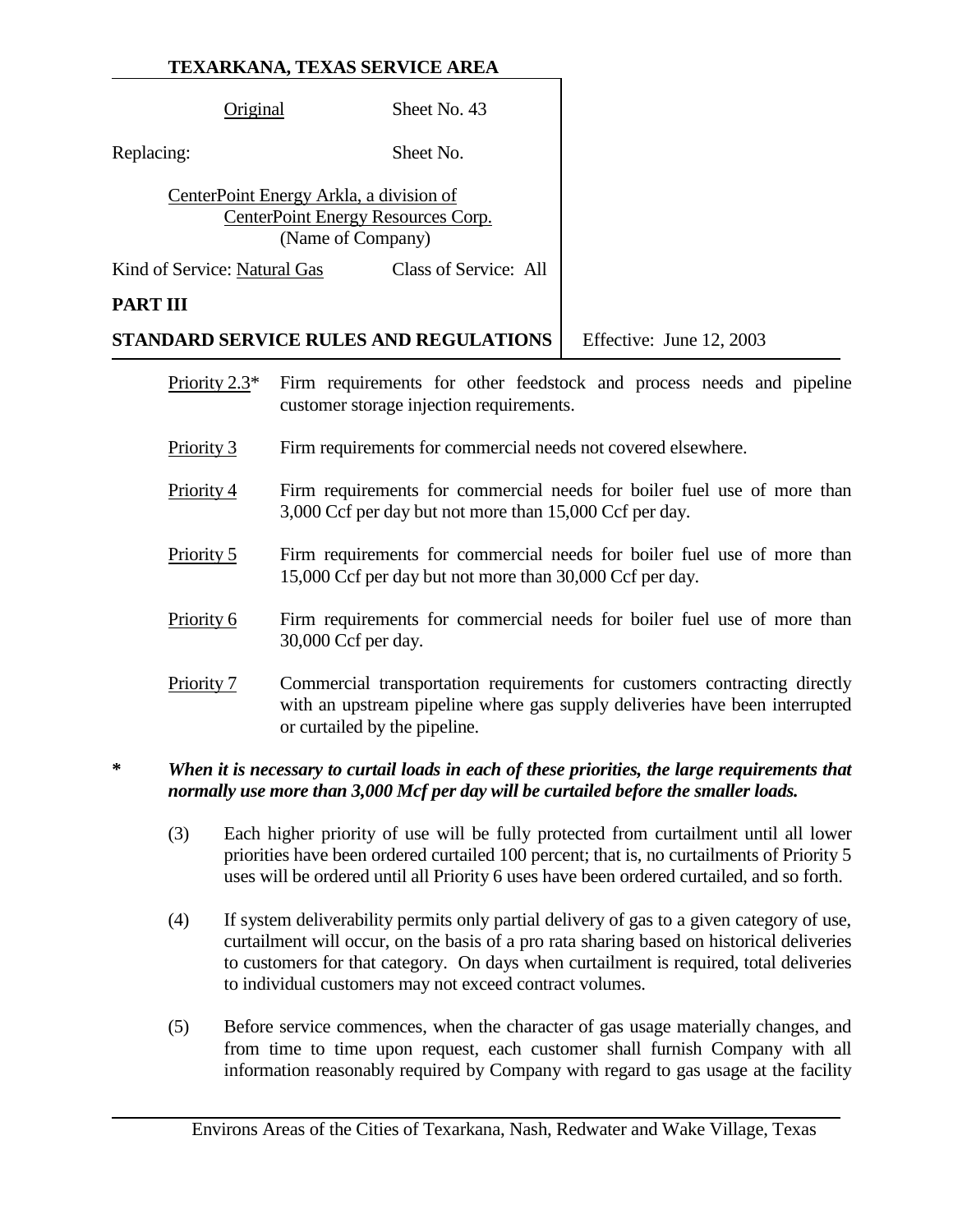| Original                                                                                           | Sheet No. 43          |      |  |
|----------------------------------------------------------------------------------------------------|-----------------------|------|--|
| Replacing:                                                                                         | Sheet No.             |      |  |
| CenterPoint Energy Arkla, a division of<br>CenterPoint Energy Resources Corp.<br>(Name of Company) |                       |      |  |
| Kind of Service: Natural Gas                                                                       | Class of Service: All |      |  |
| PART III                                                                                           |                       |      |  |
| $CFT$ $\lambda$                                                                                    |                       | r cc |  |

**STANDARD SERVICE RULES AND REGULATIONS** Feffective: June 12, 2003

- Priority 2.3<sup>\*</sup> Firm requirements for other feedstock and process needs and pipeline customer storage injection requirements.
- Priority 3 Firm requirements for commercial needs not covered elsewhere.
- Priority 4 Firm requirements for commercial needs for boiler fuel use of more than 3,000 Ccf per day but not more than 15,000 Ccf per day.
- Priority 5 Firm requirements for commercial needs for boiler fuel use of more than 15,000 Ccf per day but not more than 30,000 Ccf per day.
- Priority 6 Firm requirements for commercial needs for boiler fuel use of more than 30,000 Ccf per day.
- Priority 7 Commercial transportation requirements for customers contracting directly with an upstream pipeline where gas supply deliveries have been interrupted or curtailed by the pipeline.

### **\*** *When it is necessary to curtail loads in each of these priorities, the large requirements that normally use more than 3,000 Mcf per day will be curtailed before the smaller loads.*

- (3) Each higher priority of use will be fully protected from curtailment until all lower priorities have been ordered curtailed 100 percent; that is, no curtailments of Priority 5 uses will be ordered until all Priority 6 uses have been ordered curtailed, and so forth.
- (4) If system deliverability permits only partial delivery of gas to a given category of use, curtailment will occur, on the basis of a pro rata sharing based on historical deliveries to customers for that category. On days when curtailment is required, total deliveries to individual customers may not exceed contract volumes.
- (5) Before service commences, when the character of gas usage materially changes, and from time to time upon request, each customer shall furnish Company with all information reasonably required by Company with regard to gas usage at the facility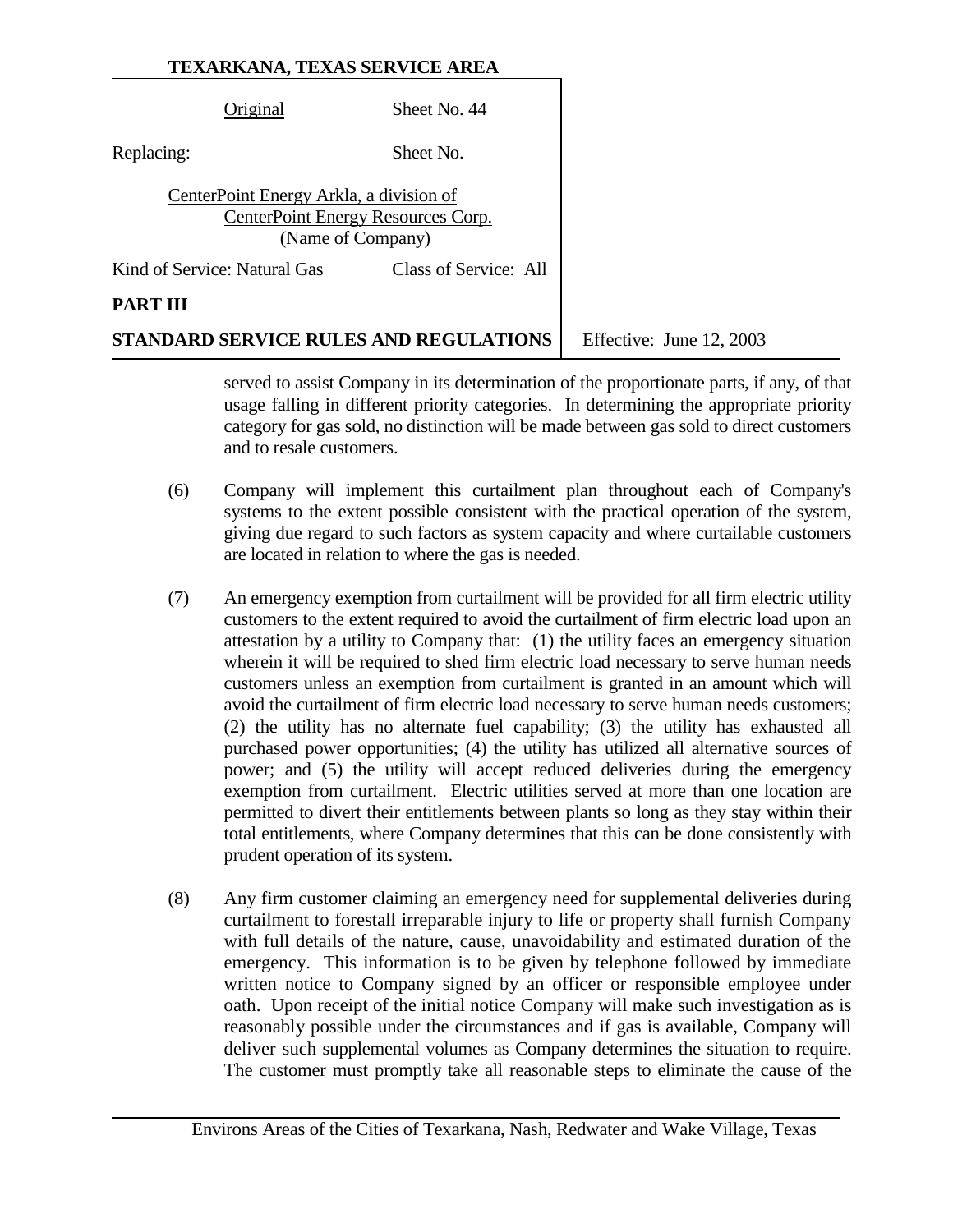| Original                                                                                           | Sheet No. 44          |                  |
|----------------------------------------------------------------------------------------------------|-----------------------|------------------|
| Replacing:                                                                                         | Sheet No.             |                  |
| CenterPoint Energy Arkla, a division of<br>CenterPoint Energy Resources Corp.<br>(Name of Company) |                       |                  |
| Kind of Service: Natural Gas                                                                       | Class of Service: All |                  |
| PART III                                                                                           |                       |                  |
| STANDARD SERVICE RULES AND REGULATIONS                                                             |                       | <b>Effective</b> |

**STANDE:** June 12, 2003

served to assist Company in its determination of the proportionate parts, if any, of that usage falling in different priority categories. In determining the appropriate priority category for gas sold, no distinction will be made between gas sold to direct customers and to resale customers.

- (6) Company will implement this curtailment plan throughout each of Company's systems to the extent possible consistent with the practical operation of the system, giving due regard to such factors as system capacity and where curtailable customers are located in relation to where the gas is needed.
- (7) An emergency exemption from curtailment will be provided for all firm electric utility customers to the extent required to avoid the curtailment of firm electric load upon an attestation by a utility to Company that: (1) the utility faces an emergency situation wherein it will be required to shed firm electric load necessary to serve human needs customers unless an exemption from curtailment is granted in an amount which will avoid the curtailment of firm electric load necessary to serve human needs customers; (2) the utility has no alternate fuel capability; (3) the utility has exhausted all purchased power opportunities; (4) the utility has utilized all alternative sources of power; and (5) the utility will accept reduced deliveries during the emergency exemption from curtailment. Electric utilities served at more than one location are permitted to divert their entitlements between plants so long as they stay within their total entitlements, where Company determines that this can be done consistently with prudent operation of its system.
- (8) Any firm customer claiming an emergency need for supplemental deliveries during curtailment to forestall irreparable injury to life or property shall furnish Company with full details of the nature, cause, unavoidability and estimated duration of the emergency. This information is to be given by telephone followed by immediate written notice to Company signed by an officer or responsible employee under oath. Upon receipt of the initial notice Company will make such investigation as is reasonably possible under the circumstances and if gas is available, Company will deliver such supplemental volumes as Company determines the situation to require. The customer must promptly take all reasonable steps to eliminate the cause of the